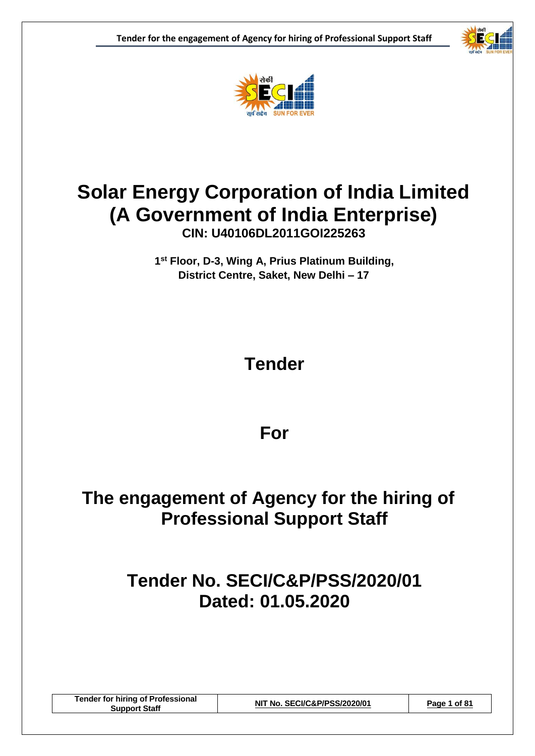



### **Solar Energy Corporation of India Limited (A Government of India Enterprise)**

**CIN: U40106DL2011GOI225263**

**1 st Floor, D-3, Wing A, Prius Platinum Building, District Centre, Saket, New Delhi – 17**

### **Tender**

### **For**

### **The engagement of Agency for the hiring of Professional Support Staff**

### **Tender No. SECI/C&P/PSS/2020/01 Dated: 01.05.2020**

**Tender for hiring of Professional Support Staff NIT No. SECI/C&P/PSS/2020/01 Page 1 of 81**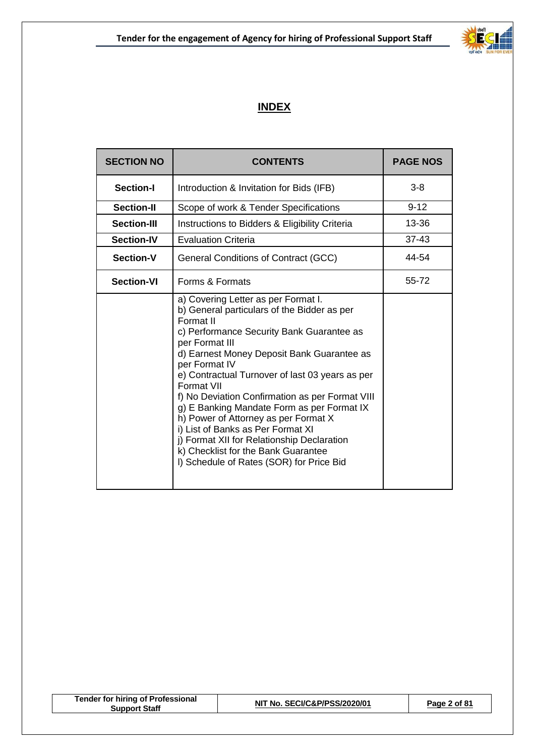

### **INDEX**

| <b>SECTION NO</b>  | <b>CONTENTS</b>                                                                                                                                                                                                                                                                                                                                                                                                                                                                                                                                                                                               | <b>PAGE NOS</b> |
|--------------------|---------------------------------------------------------------------------------------------------------------------------------------------------------------------------------------------------------------------------------------------------------------------------------------------------------------------------------------------------------------------------------------------------------------------------------------------------------------------------------------------------------------------------------------------------------------------------------------------------------------|-----------------|
| <b>Section-I</b>   | Introduction & Invitation for Bids (IFB)                                                                                                                                                                                                                                                                                                                                                                                                                                                                                                                                                                      | $3 - 8$         |
| <b>Section-II</b>  | Scope of work & Tender Specifications                                                                                                                                                                                                                                                                                                                                                                                                                                                                                                                                                                         | $9 - 12$        |
| <b>Section-III</b> | Instructions to Bidders & Eligibility Criteria                                                                                                                                                                                                                                                                                                                                                                                                                                                                                                                                                                | 13-36           |
| <b>Section-IV</b>  | <b>Evaluation Criteria</b>                                                                                                                                                                                                                                                                                                                                                                                                                                                                                                                                                                                    | $37 - 43$       |
| <b>Section-V</b>   | General Conditions of Contract (GCC)                                                                                                                                                                                                                                                                                                                                                                                                                                                                                                                                                                          | 44-54           |
| <b>Section-VI</b>  | Forms & Formats                                                                                                                                                                                                                                                                                                                                                                                                                                                                                                                                                                                               | 55-72           |
|                    | a) Covering Letter as per Format I.<br>b) General particulars of the Bidder as per<br>Format II<br>c) Performance Security Bank Guarantee as<br>per Format III<br>d) Earnest Money Deposit Bank Guarantee as<br>per Format IV<br>e) Contractual Turnover of last 03 years as per<br>Format VII<br>f) No Deviation Confirmation as per Format VIII<br>g) E Banking Mandate Form as per Format IX<br>h) Power of Attorney as per Format X<br>i) List of Banks as Per Format XI<br>j) Format XII for Relationship Declaration<br>k) Checklist for the Bank Guarantee<br>I) Schedule of Rates (SOR) for Price Bid |                 |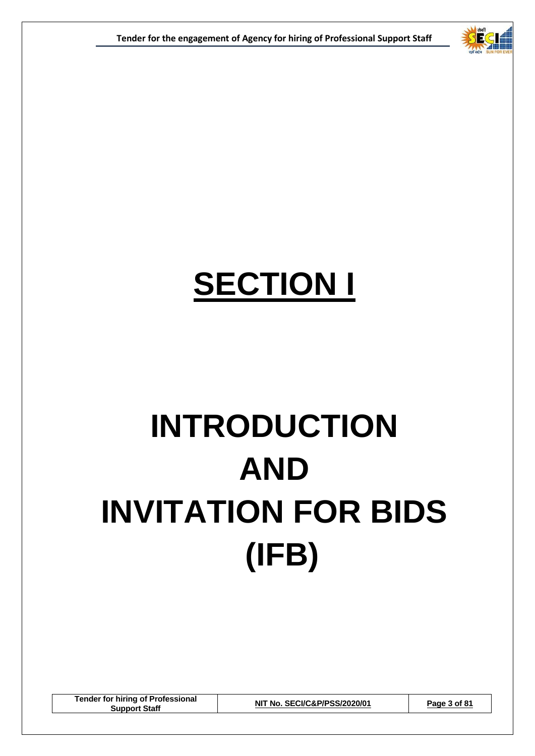

# **SECTION I**

# **INTRODUCTION AND INVITATION FOR BIDS (IFB)**

**Tender for hiring of Professional Support Staff NIT No. SECI/C&P/PSS/2020/01 Page 3 of 81**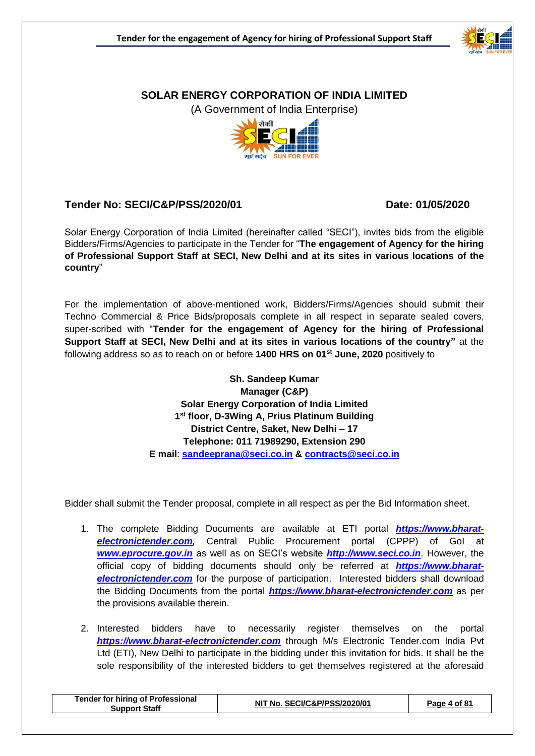

#### **SOLAR ENERGY CORPORATION OF INDIA LIMITED**

(A Government of India Enterprise)



#### **Tender No: SECI/C&P/PSS/2020/01 Date: 01/05/2020**

Solar Energy Corporation of India Limited (hereinafter called "SECI"), invites bids from the eligible Bidders/Firms/Agencies to participate in the Tender for "**The engagement of Agency for the hiring of Professional Support Staff at SECI, New Delhi and at its sites in various locations of the country**"

For the implementation of above-mentioned work, Bidders/Firms/Agencies should submit their Techno Commercial & Price Bids/proposals complete in all respect in separate sealed covers, super-scribed with "**Tender for the engagement of Agency for the hiring of Professional Support Staff at SECI, New Delhi and at its sites in various locations of the country"** at the following address so as to reach on or before **1400 HRS on 01st June, 2020** positively to

> **Sh. Sandeep Kumar Manager (C&P) Solar Energy Corporation of India Limited 1 st floor, D-3Wing A, Prius Platinum Building District Centre, Saket, New Delhi – 17 Telephone: 011 71989290, Extension 290 E mail**: **[sandeeprana@seci.co.in](mailto:sandeeprana@seci.co.in) & [contracts@seci.co.in](mailto:contracts@seci.co.in)**

Bidder shall submit the Tender proposal, complete in all respect as per the Bid Information sheet.

- 1. The complete Bidding Documents are available at ETI portal *[https://www.bharat](https://www.tcil-india-electronictender.com/)[electronictender.com,](https://www.tcil-india-electronictender.com/)* Central Public Procurement portal (CPPP) of GoI at *[www.eprocure.gov.in](http://www.eprocure.gov.in/)* as well as on SECI's website *[http://www.seci.co.in](http://www.seci.co.in/)*. However, the official copy of bidding documents should only be referred at *[https://www.bharat](https://www.bharat-electronictender.com/)***[electronictender.com](https://www.bharat-electronictender.com/)** for the purpose of participation. Interested bidders shall download the Bidding Documents from the portal *[https://www.bharat-electronictender.com](https://www.tcil-india-electronictender.com/)* as per the provisions available therein.
- 2. Interested bidders have to necessarily register themselves on the portal *[https://www.bharat-electronictender.com](https://www.tcil-india-electronictender.com/)* through M/s Electronic Tender.com India Pvt Ltd (ETI), New Delhi to participate in the bidding under this invitation for bids. It shall be the sole responsibility of the interested bidders to get themselves registered at the aforesaid

| <b>Tender for hiring of Professional</b><br>Support Staff | NIT No. SECI/C&P/PSS/2020/01 | Page 4 of 81 |
|-----------------------------------------------------------|------------------------------|--------------|
|-----------------------------------------------------------|------------------------------|--------------|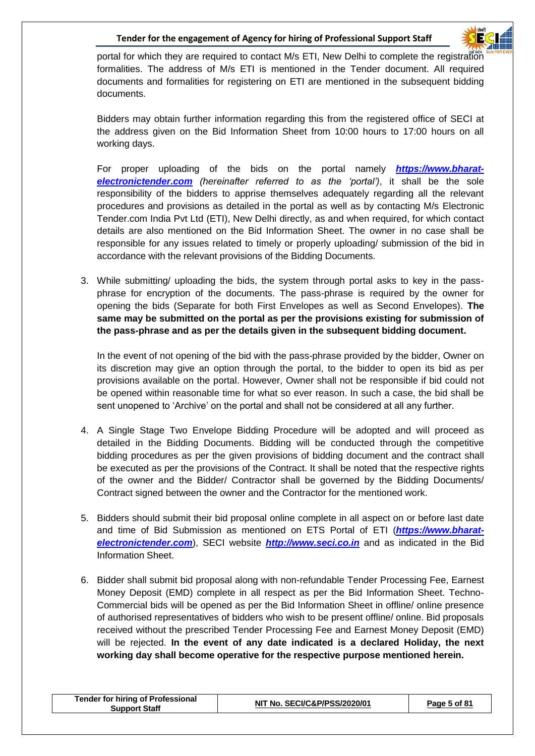

portal for which they are required to contact M/s ETI, New Delhi to complete the registration formalities. The address of M/s ETI is mentioned in the Tender document. All required documents and formalities for registering on ETI are mentioned in the subsequent bidding documents.

Bidders may obtain further information regarding this from the registered office of SECI at the address given on the Bid Information Sheet from 10:00 hours to 17:00 hours on all working days.

For proper uploading of the bids on the portal namely *[https://www.bharat](https://www.tcil-india-electronictender.com/)[electronictender.com](https://www.tcil-india-electronictender.com/) (hereinafter referred to as the 'portal')*, it shall be the sole responsibility of the bidders to apprise themselves adequately regarding all the relevant procedures and provisions as detailed in the portal as well as by contacting M/s Electronic Tender.com India Pvt Ltd (ETI), New Delhi directly, as and when required, for which contact details are also mentioned on the Bid Information Sheet. The owner in no case shall be responsible for any issues related to timely or properly uploading/ submission of the bid in accordance with the relevant provisions of the Bidding Documents.

3. While submitting/ uploading the bids, the system through portal asks to key in the passphrase for encryption of the documents. The pass-phrase is required by the owner for opening the bids (Separate for both First Envelopes as well as Second Envelopes). **The same may be submitted on the portal as per the provisions existing for submission of the pass-phrase and as per the details given in the subsequent bidding document.**

In the event of not opening of the bid with the pass-phrase provided by the bidder, Owner on its discretion may give an option through the portal, to the bidder to open its bid as per provisions available on the portal. However, Owner shall not be responsible if bid could not be opened within reasonable time for what so ever reason. In such a case, the bid shall be sent unopened to 'Archive' on the portal and shall not be considered at all any further.

- 4. A Single Stage Two Envelope Bidding Procedure will be adopted and will proceed as detailed in the Bidding Documents. Bidding will be conducted through the competitive bidding procedures as per the given provisions of bidding document and the contract shall be executed as per the provisions of the Contract. It shall be noted that the respective rights of the owner and the Bidder/ Contractor shall be governed by the Bidding Documents/ Contract signed between the owner and the Contractor for the mentioned work.
- 5. Bidders should submit their bid proposal online complete in all aspect on or before last date and time of Bid Submission as mentioned on ETS Portal of ETI (*[https://www.bharat](https://www.tcil-india-electronictender.com/)[electronictender.com](https://www.tcil-india-electronictender.com/)*), SECI website *[http://www.seci.co.in](http://www.seci.co.in/)* and as indicated in the Bid Information Sheet.
- 6. Bidder shall submit bid proposal along with non-refundable Tender Processing Fee, Earnest Money Deposit (EMD) complete in all respect as per the Bid Information Sheet. Techno-Commercial bids will be opened as per the Bid Information Sheet in offline/ online presence of authorised representatives of bidders who wish to be present offline/ online. Bid proposals received without the prescribed Tender Processing Fee and Earnest Money Deposit (EMD) will be rejected. **In the event of any date indicated is a declared Holiday, the next working day shall become operative for the respective purpose mentioned herein.**

|  | <b>Tender for hiring of Professional</b><br>Support Staff | <b>「No. SECI/C&amp;P/PSS/2020/01</b><br>NIJ | Page 5 of 81 |
|--|-----------------------------------------------------------|---------------------------------------------|--------------|
|--|-----------------------------------------------------------|---------------------------------------------|--------------|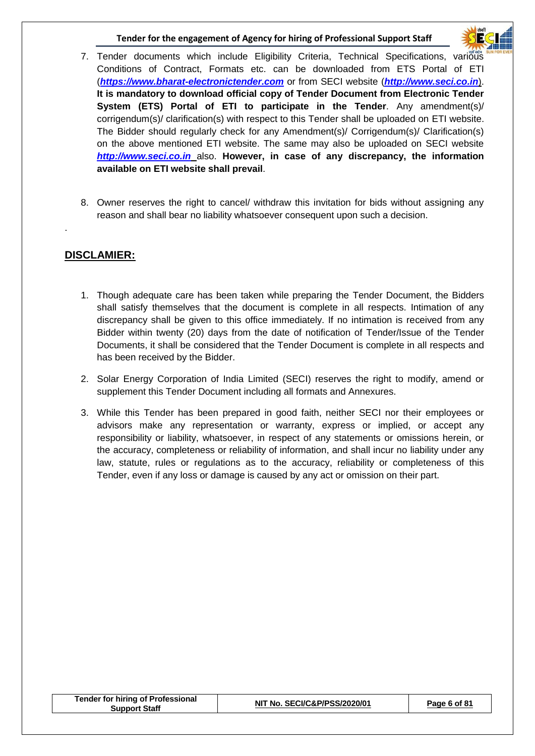

- 7. Tender documents which include Eligibility Criteria, Technical Specifications, various Conditions of Contract, Formats etc. can be downloaded from ETS Portal of ETI (*[https://www.bharat-electronictender.com](https://www.tcil-india-electronictender.com/)* or from SECI website (*[http://www.seci.co.in](http://www.seci.co.in/)*). **It is mandatory to download official copy of Tender Document from Electronic Tender System (ETS) Portal of ETI to participate in the Tender**. Any amendment(s)/ corrigendum(s)/ clarification(s) with respect to this Tender shall be uploaded on ETI website. The Bidder should regularly check for any Amendment(s)/ Corrigendum(s)/ Clarification(s) on the above mentioned ETI website. The same may also be uploaded on SECI website *[http://www.seci.co.in](http://www.seci.co.in/)* also. **However, in case of any discrepancy, the information available on ETI website shall prevail**.
- 8. Owner reserves the right to cancel/ withdraw this invitation for bids without assigning any reason and shall bear no liability whatsoever consequent upon such a decision.

#### **DISCLAMIER:**

.

- 1. Though adequate care has been taken while preparing the Tender Document, the Bidders shall satisfy themselves that the document is complete in all respects. Intimation of any discrepancy shall be given to this office immediately. If no intimation is received from any Bidder within twenty (20) days from the date of notification of Tender/Issue of the Tender Documents, it shall be considered that the Tender Document is complete in all respects and has been received by the Bidder.
- 2. Solar Energy Corporation of India Limited (SECI) reserves the right to modify, amend or supplement this Tender Document including all formats and Annexures.
- 3. While this Tender has been prepared in good faith, neither SECI nor their employees or advisors make any representation or warranty, express or implied, or accept any responsibility or liability, whatsoever, in respect of any statements or omissions herein, or the accuracy, completeness or reliability of information, and shall incur no liability under any law, statute, rules or regulations as to the accuracy, reliability or completeness of this Tender, even if any loss or damage is caused by any act or omission on their part.

|  | Tender for hiring of Professional<br><b>Support Staff</b> | NIT No. SECI/C&P/PSS/2020/01 | Page 6 of 81 |
|--|-----------------------------------------------------------|------------------------------|--------------|
|--|-----------------------------------------------------------|------------------------------|--------------|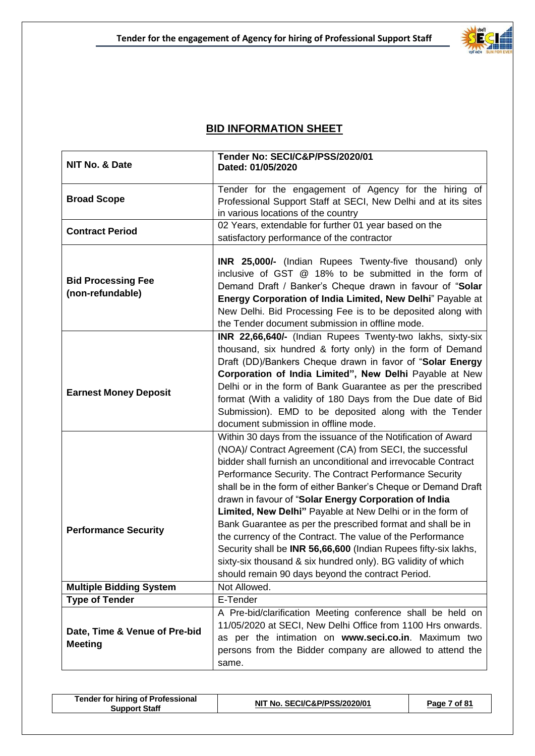

#### **BID INFORMATION SHEET**

| NIT No. & Date                                  | Tender No: SECI/C&P/PSS/2020/01<br>Dated: 01/05/2020                                                                                                                                                                                                                                                                                                                                                                                                                                                                                                                                                                                            |
|-------------------------------------------------|-------------------------------------------------------------------------------------------------------------------------------------------------------------------------------------------------------------------------------------------------------------------------------------------------------------------------------------------------------------------------------------------------------------------------------------------------------------------------------------------------------------------------------------------------------------------------------------------------------------------------------------------------|
| <b>Broad Scope</b>                              | Tender for the engagement of Agency for the hiring of<br>Professional Support Staff at SECI, New Delhi and at its sites<br>in various locations of the country                                                                                                                                                                                                                                                                                                                                                                                                                                                                                  |
| <b>Contract Period</b>                          | 02 Years, extendable for further 01 year based on the<br>satisfactory performance of the contractor                                                                                                                                                                                                                                                                                                                                                                                                                                                                                                                                             |
| <b>Bid Processing Fee</b><br>(non-refundable)   | <b>INR 25,000/-</b> (Indian Rupees Twenty-five thousand) only<br>inclusive of GST @ 18% to be submitted in the form of<br>Demand Draft / Banker's Cheque drawn in favour of "Solar<br>Energy Corporation of India Limited, New Delhi" Payable at<br>New Delhi. Bid Processing Fee is to be deposited along with<br>the Tender document submission in offline mode.                                                                                                                                                                                                                                                                              |
| <b>Earnest Money Deposit</b>                    | INR 22,66,640/- (Indian Rupees Twenty-two lakhs, sixty-six<br>thousand, six hundred & forty only) in the form of Demand<br>Draft (DD)/Bankers Cheque drawn in favor of "Solar Energy<br>Corporation of India Limited", New Delhi Payable at New<br>Delhi or in the form of Bank Guarantee as per the prescribed<br>format (With a validity of 180 Days from the Due date of Bid<br>Submission). EMD to be deposited along with the Tender<br>document submission in offline mode.                                                                                                                                                               |
| <b>Performance Security</b>                     | Within 30 days from the issuance of the Notification of Award<br>(NOA)/ Contract Agreement (CA) from SECI, the successful<br>bidder shall furnish an unconditional and irrevocable Contract<br>Performance Security. The Contract Performance Security<br>shall be in the form of either Banker's Cheque or Demand Draft<br>drawn in favour of "Solar Energy Corporation of India<br>Limited, New Delhi" Payable at New Delhi or in the form of<br>Bank Guarantee as per the prescribed format and shall be in<br>the currency of the Contract. The value of the Performance<br>Security shall be INR 56,66,600 (Indian Rupees fifty-six lakhs, |
| <b>Multiple Bidding System</b>                  | sixty-six thousand & six hundred only). BG validity of which<br>should remain 90 days beyond the contract Period.<br>Not Allowed.                                                                                                                                                                                                                                                                                                                                                                                                                                                                                                               |
| <b>Type of Tender</b>                           | E-Tender                                                                                                                                                                                                                                                                                                                                                                                                                                                                                                                                                                                                                                        |
|                                                 | A Pre-bid/clarification Meeting conference shall be held on                                                                                                                                                                                                                                                                                                                                                                                                                                                                                                                                                                                     |
| Date, Time & Venue of Pre-bid<br><b>Meeting</b> | 11/05/2020 at SECI, New Delhi Office from 1100 Hrs onwards.<br>as per the intimation on www.seci.co.in. Maximum two<br>persons from the Bidder company are allowed to attend the<br>same.                                                                                                                                                                                                                                                                                                                                                                                                                                                       |

| <b>Tender for hiring of Professional</b><br><b>Support Staff</b> | NIT No. SECI/C&P/PSS/2020/01 | Page 7 of 81 |
|------------------------------------------------------------------|------------------------------|--------------|
|------------------------------------------------------------------|------------------------------|--------------|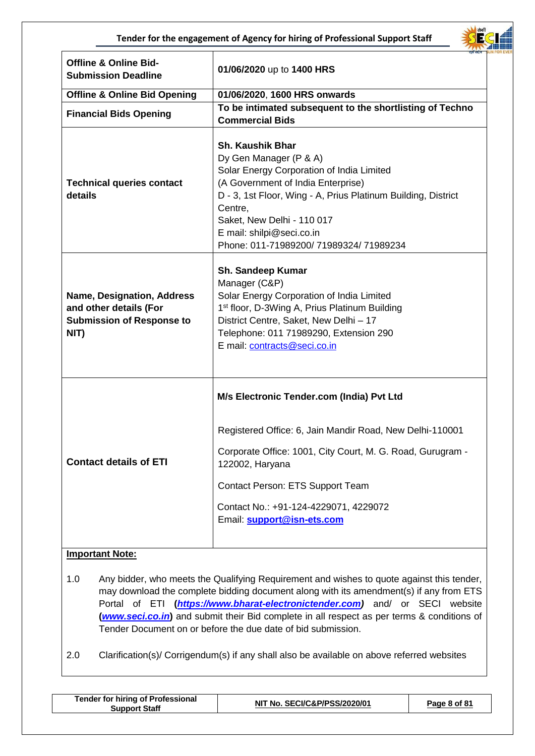

| <b>Offline &amp; Online Bid-</b><br><b>Submission Deadline</b>                                          | 01/06/2020 up to 1400 HRS                                                                                                                                                                                                                                                                                            |
|---------------------------------------------------------------------------------------------------------|----------------------------------------------------------------------------------------------------------------------------------------------------------------------------------------------------------------------------------------------------------------------------------------------------------------------|
| <b>Offline &amp; Online Bid Opening</b>                                                                 | 01/06/2020, 1600 HRS onwards                                                                                                                                                                                                                                                                                         |
| <b>Financial Bids Opening</b>                                                                           | To be intimated subsequent to the shortlisting of Techno<br><b>Commercial Bids</b>                                                                                                                                                                                                                                   |
| <b>Technical queries contact</b><br>details                                                             | <b>Sh. Kaushik Bhar</b><br>Dy Gen Manager (P & A)<br>Solar Energy Corporation of India Limited<br>(A Government of India Enterprise)<br>D - 3, 1st Floor, Wing - A, Prius Platinum Building, District<br>Centre,<br>Saket, New Delhi - 110 017<br>E mail: shilpi@seci.co.in<br>Phone: 011-71989200/71989324/71989234 |
| <b>Name, Designation, Address</b><br>and other details (For<br><b>Submission of Response to</b><br>NIT) | Sh. Sandeep Kumar<br>Manager (C&P)<br>Solar Energy Corporation of India Limited<br>1 <sup>st</sup> floor, D-3Wing A, Prius Platinum Building<br>District Centre, Saket, New Delhi - 17<br>Telephone: 011 71989290, Extension 290<br>E mail: contracts@seci.co.in                                                     |
|                                                                                                         | M/s Electronic Tender.com (India) Pvt Ltd<br>Registered Office: 6, Jain Mandir Road, New Delhi-110001                                                                                                                                                                                                                |
| <b>Contact details of ETI</b>                                                                           | Corporate Office: 1001, City Court, M. G. Road, Gurugram -<br>122002, Haryana<br>Contact Person: ETS Support Team<br>Contact No.: +91-124-4229071, 4229072<br>Email: support@isn-ets.com                                                                                                                             |
|                                                                                                         |                                                                                                                                                                                                                                                                                                                      |

#### **Important Note:**

- 1.0 Any bidder, who meets the Qualifying Requirement and wishes to quote against this tender, may download the complete bidding document along with its amendment(s) if any from ETS Portal of ETI **(***[https://www.bharat-electronictender.com\)](https://www.tcil-india-electronictender.com/)* and/ or SECI website **(***[www.seci.co.in](http://www.seci.co.in/)***)** and submit their Bid complete in all respect as per terms & conditions of Tender Document on or before the due date of bid submission.
- 2.0 Clarification(s)/ Corrigendum(s) if any shall also be available on above referred websites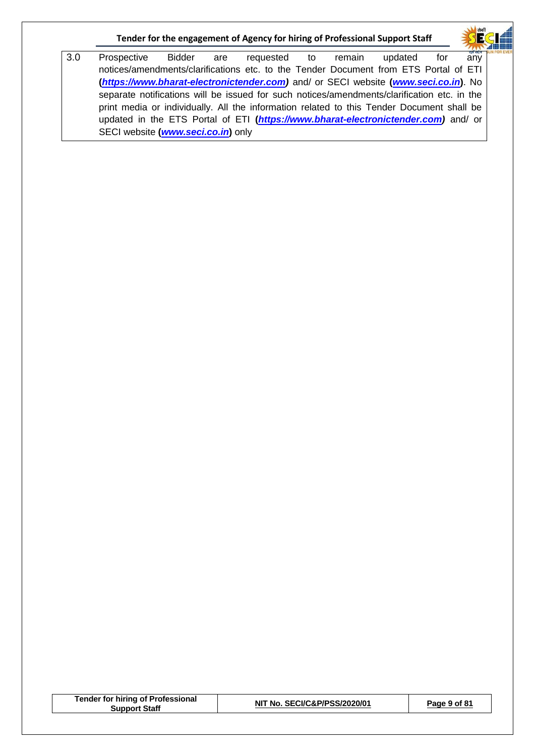3.0 Prospective Bidder are requested to remain updated for any notices/amendments/clarifications etc. to the Tender Document from ETS Portal of ETI **(***[https://www.bharat-electronictender.com\)](https://www.tcil-india-electronictender.com/)* and/ or SECI website **(***[www.seci.co.in](http://www.seci.co.in/)***)**. No separate notifications will be issued for such notices/amendments/clarification etc. in the print media or individually. All the information related to this Tender Document shall be updated in the ETS Portal of ETI **(***[https://www.bharat-electronictender.com\)](https://www.tcil-india-electronictender.com/)* and/ or SECI website **(***[www.seci.co.in](http://www.seci.co.in/)***)** only

| <b>Tender for hiring of Professional</b> |  |
|------------------------------------------|--|
| <b>Support Staff</b>                     |  |

**Support Staff NIT No. SECI/C&P/PSS/2020/01 Page 9 of 81**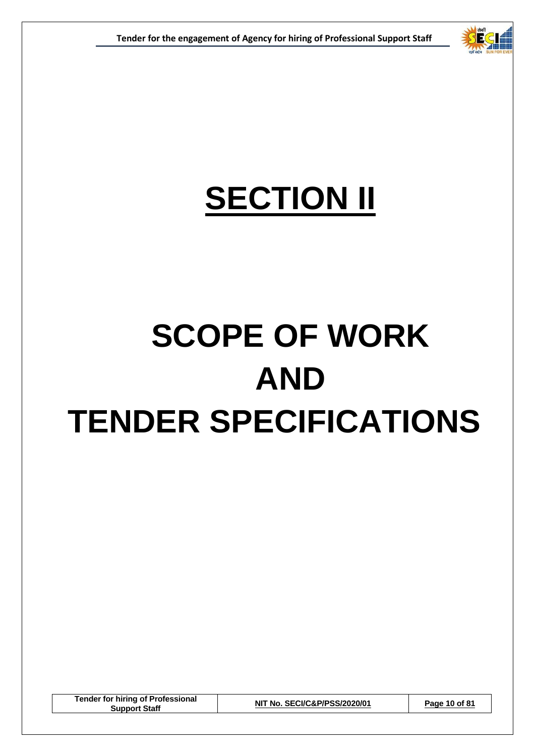

## **SECTION II**

# **SCOPE OF WORK AND TENDER SPECIFICATIONS**

**Tender for hiring of Professional Support Staff NIT No. SECI/C&P/PSS/2020/01 Page 10 of 81**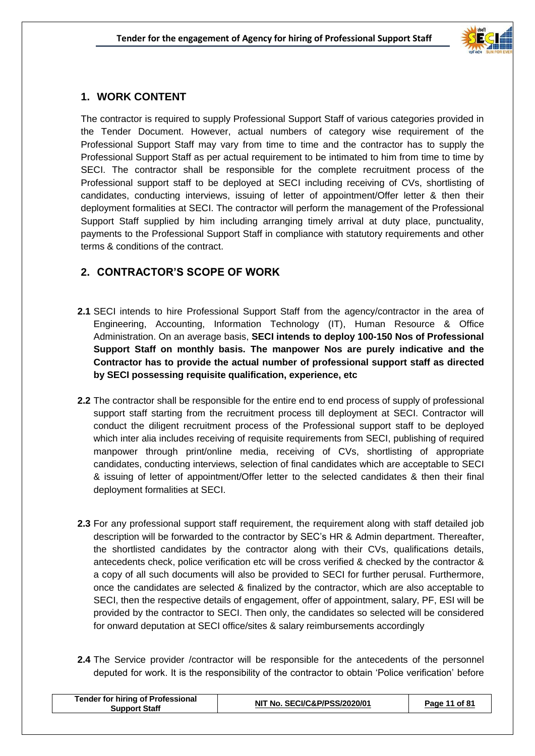

#### **1. WORK CONTENT**

The contractor is required to supply Professional Support Staff of various categories provided in the Tender Document. However, actual numbers of category wise requirement of the Professional Support Staff may vary from time to time and the contractor has to supply the Professional Support Staff as per actual requirement to be intimated to him from time to time by SECI. The contractor shall be responsible for the complete recruitment process of the Professional support staff to be deployed at SECI including receiving of CVs, shortlisting of candidates, conducting interviews, issuing of letter of appointment/Offer letter & then their deployment formalities at SECI. The contractor will perform the management of the Professional Support Staff supplied by him including arranging timely arrival at duty place, punctuality, payments to the Professional Support Staff in compliance with statutory requirements and other terms & conditions of the contract.

#### **2. CONTRACTOR'S SCOPE OF WORK**

- **2.1** SECI intends to hire Professional Support Staff from the agency/contractor in the area of Engineering, Accounting, Information Technology (IT), Human Resource & Office Administration. On an average basis, **SECI intends to deploy 100-150 Nos of Professional Support Staff on monthly basis. The manpower Nos are purely indicative and the Contractor has to provide the actual number of professional support staff as directed by SECI possessing requisite qualification, experience, etc**
- **2.2** The contractor shall be responsible for the entire end to end process of supply of professional support staff starting from the recruitment process till deployment at SECI. Contractor will conduct the diligent recruitment process of the Professional support staff to be deployed which inter alia includes receiving of requisite requirements from SECI, publishing of required manpower through print/online media, receiving of CVs, shortlisting of appropriate candidates, conducting interviews, selection of final candidates which are acceptable to SECI & issuing of letter of appointment/Offer letter to the selected candidates & then their final deployment formalities at SECI.
- **2.3** For any professional support staff requirement, the requirement along with staff detailed job description will be forwarded to the contractor by SEC's HR & Admin department. Thereafter, the shortlisted candidates by the contractor along with their CVs, qualifications details, antecedents check, police verification etc will be cross verified & checked by the contractor & a copy of all such documents will also be provided to SECI for further perusal. Furthermore, once the candidates are selected & finalized by the contractor, which are also acceptable to SECI, then the respective details of engagement, offer of appointment, salary, PF, ESI will be provided by the contractor to SECI. Then only, the candidates so selected will be considered for onward deputation at SECI office/sites & salary reimbursements accordingly
- **2.4** The Service provider /contractor will be responsible for the antecedents of the personnel deputed for work. It is the responsibility of the contractor to obtain 'Police verification' before

| <b>Tender for hiring of Professional</b><br>Support Staff | NIT No. SECI/C&P/PSS/2020/01 | Page 11 of 81 |
|-----------------------------------------------------------|------------------------------|---------------|
|                                                           |                              |               |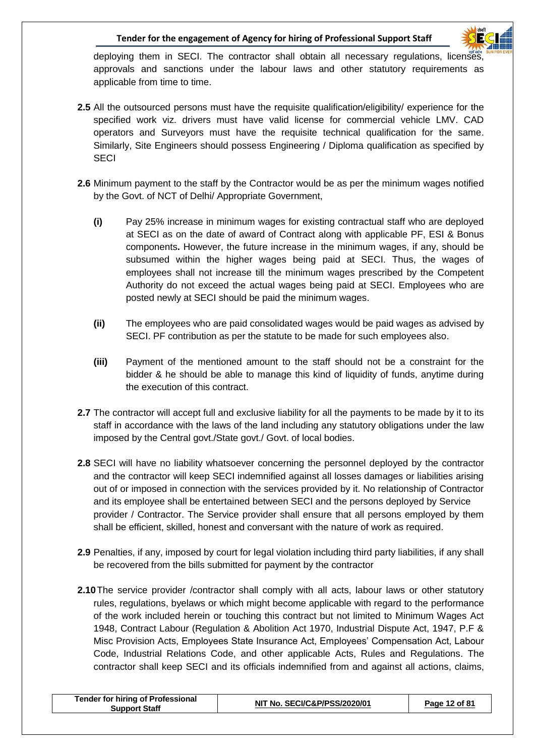deploying them in SECI. The contractor shall obtain all necessary regulations, licenses, approvals and sanctions under the labour laws and other statutory requirements as applicable from time to time.

- **2.5** All the outsourced persons must have the requisite qualification/eligibility/ experience for the specified work viz. drivers must have valid license for commercial vehicle LMV. CAD operators and Surveyors must have the requisite technical qualification for the same. Similarly, Site Engineers should possess Engineering / Diploma qualification as specified by **SECI**
- **2.6** Minimum payment to the staff by the Contractor would be as per the minimum wages notified by the Govt. of NCT of Delhi/ Appropriate Government,
	- **(i)** Pay 25% increase in minimum wages for existing contractual staff who are deployed at SECI as on the date of award of Contract along with applicable PF, ESI & Bonus components**.** However, the future increase in the minimum wages, if any, should be subsumed within the higher wages being paid at SECI. Thus, the wages of employees shall not increase till the minimum wages prescribed by the Competent Authority do not exceed the actual wages being paid at SECI. Employees who are posted newly at SECI should be paid the minimum wages.
	- **(ii)** The employees who are paid consolidated wages would be paid wages as advised by SECI. PF contribution as per the statute to be made for such employees also.
	- **(iii)** Payment of the mentioned amount to the staff should not be a constraint for the bidder & he should be able to manage this kind of liquidity of funds, anytime during the execution of this contract.
- **2.7** The contractor will accept full and exclusive liability for all the payments to be made by it to its staff in accordance with the laws of the land including any statutory obligations under the law imposed by the Central govt./State govt./ Govt. of local bodies.
- **2.8** SECI will have no liability whatsoever concerning the personnel deployed by the contractor and the contractor will keep SECI indemnified against all losses damages or liabilities arising out of or imposed in connection with the services provided by it. No relationship of Contractor and its employee shall be entertained between SECI and the persons deployed by Service provider / Contractor. The Service provider shall ensure that all persons employed by them shall be efficient, skilled, honest and conversant with the nature of work as required.
- **2.9** Penalties, if any, imposed by court for legal violation including third party liabilities, if any shall be recovered from the bills submitted for payment by the contractor
- **2.10**The service provider /contractor shall comply with all acts, labour laws or other statutory rules, regulations, byelaws or which might become applicable with regard to the performance of the work included herein or touching this contract but not limited to Minimum Wages Act 1948, Contract Labour (Regulation & Abolition Act 1970, Industrial Dispute Act, 1947, P.F & Misc Provision Acts, Employees State Insurance Act, Employees' Compensation Act, Labour Code, Industrial Relations Code, and other applicable Acts, Rules and Regulations. The contractor shall keep SECI and its officials indemnified from and against all actions, claims,

| <b>Tender for hiring of Professional</b><br><b>Support Staff</b> | NIT No. SECI/C&P/PSS/2020/01 | Page 12 of 81 |
|------------------------------------------------------------------|------------------------------|---------------|
|                                                                  |                              |               |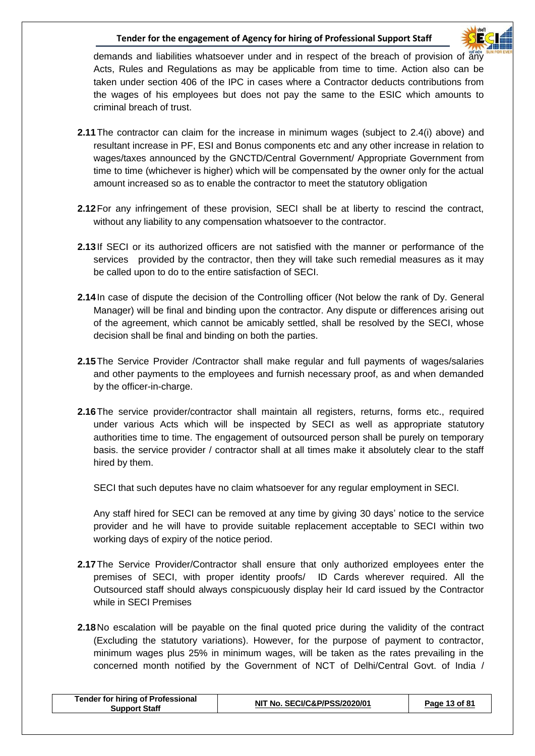

demands and liabilities whatsoever under and in respect of the breach of provision of  $\frac{1}{20}$ Acts, Rules and Regulations as may be applicable from time to time. Action also can be taken under section 406 of the IPC in cases where a Contractor deducts contributions from the wages of his employees but does not pay the same to the ESIC which amounts to criminal breach of trust.

- **2.11**The contractor can claim for the increase in minimum wages (subject to 2.4(i) above) and resultant increase in PF, ESI and Bonus components etc and any other increase in relation to wages/taxes announced by the GNCTD/Central Government/ Appropriate Government from time to time (whichever is higher) which will be compensated by the owner only for the actual amount increased so as to enable the contractor to meet the statutory obligation
- **2.12**For any infringement of these provision, SECI shall be at liberty to rescind the contract, without any liability to any compensation whatsoever to the contractor.
- **2.13**If SECI or its authorized officers are not satisfied with the manner or performance of the services provided by the contractor, then they will take such remedial measures as it may be called upon to do to the entire satisfaction of SECI.
- **2.14**In case of dispute the decision of the Controlling officer (Not below the rank of Dy. General Manager) will be final and binding upon the contractor. Any dispute or differences arising out of the agreement, which cannot be amicably settled, shall be resolved by the SECI, whose decision shall be final and binding on both the parties.
- **2.15**The Service Provider /Contractor shall make regular and full payments of wages/salaries and other payments to the employees and furnish necessary proof, as and when demanded by the officer-in-charge.
- **2.16**The service provider/contractor shall maintain all registers, returns, forms etc., required under various Acts which will be inspected by SECI as well as appropriate statutory authorities time to time. The engagement of outsourced person shall be purely on temporary basis. the service provider / contractor shall at all times make it absolutely clear to the staff hired by them.

SECI that such deputes have no claim whatsoever for any regular employment in SECI.

Any staff hired for SECI can be removed at any time by giving 30 days' notice to the service provider and he will have to provide suitable replacement acceptable to SECI within two working days of expiry of the notice period.

- **2.17**The Service Provider/Contractor shall ensure that only authorized employees enter the premises of SECI, with proper identity proofs/ ID Cards wherever required. All the Outsourced staff should always conspicuously display heir Id card issued by the Contractor while in SECI Premises
- **2.18**No escalation will be payable on the final quoted price during the validity of the contract (Excluding the statutory variations). However, for the purpose of payment to contractor, minimum wages plus 25% in minimum wages, will be taken as the rates prevailing in the concerned month notified by the Government of NCT of Delhi/Central Govt. of India /

| <b>Support Staff</b> | <b>Tender for hiring of Professional</b> | NIT No. SECI/C&P/PSS/2020/01 | Page 13 of 81 |
|----------------------|------------------------------------------|------------------------------|---------------|
|----------------------|------------------------------------------|------------------------------|---------------|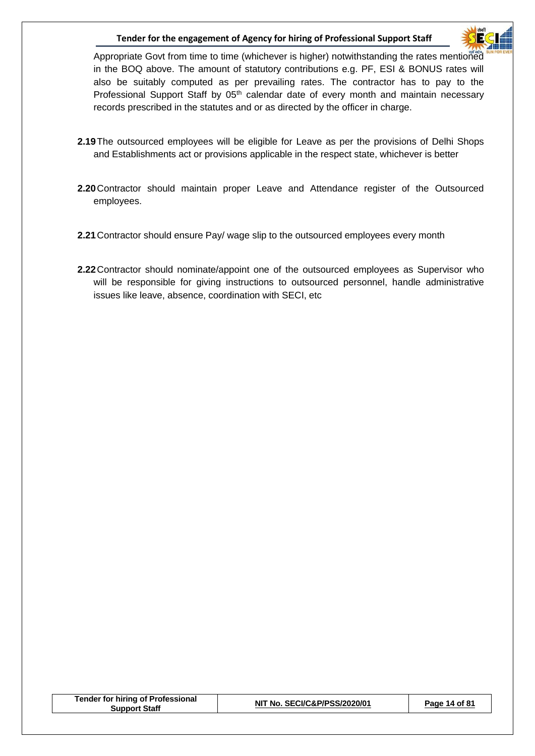

Appropriate Govt from time to time (whichever is higher) notwithstanding the rates mentioned in the BOQ above. The amount of statutory contributions e.g. PF, ESI & BONUS rates will also be suitably computed as per prevailing rates. The contractor has to pay to the Professional Support Staff by 05<sup>th</sup> calendar date of every month and maintain necessary records prescribed in the statutes and or as directed by the officer in charge.

- **2.19**The outsourced employees will be eligible for Leave as per the provisions of Delhi Shops and Establishments act or provisions applicable in the respect state, whichever is better
- **2.20**Contractor should maintain proper Leave and Attendance register of the Outsourced employees.
- **2.21**Contractor should ensure Pay/ wage slip to the outsourced employees every month
- **2.22**Contractor should nominate/appoint one of the outsourced employees as Supervisor who will be responsible for giving instructions to outsourced personnel, handle administrative issues like leave, absence, coordination with SECI, etc

|  | Tender for hiring of Professional<br><b>Support Staff</b> | NIT No. SECI/C&P/PSS/2020/01 | Page 14 of 81 |
|--|-----------------------------------------------------------|------------------------------|---------------|
|--|-----------------------------------------------------------|------------------------------|---------------|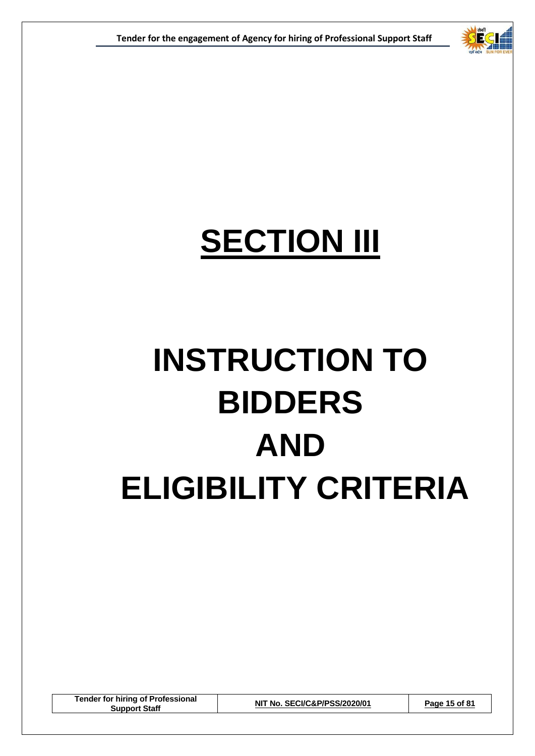

## **SECTION III**

# **INSTRUCTION TO BIDDERS AND ELIGIBILITY CRITERIA**

**Tender for hiring of Professional Support Staff NIT No. SECI/C&P/PSS/2020/01 Page 15 of 81**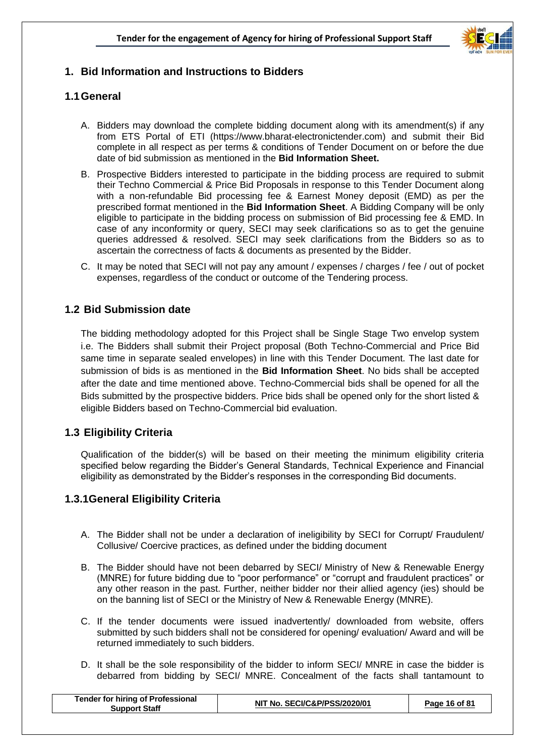

#### **1. Bid Information and Instructions to Bidders**

#### **1.1General**

- A. Bidders may download the complete bidding document along with its amendment(s) if any from ETS Portal of ETI (https://www.bharat-electronictender.com) and submit their Bid complete in all respect as per terms & conditions of Tender Document on or before the due date of bid submission as mentioned in the **Bid Information Sheet.**
- B. Prospective Bidders interested to participate in the bidding process are required to submit their Techno Commercial & Price Bid Proposals in response to this Tender Document along with a non-refundable Bid processing fee & Earnest Money deposit (EMD) as per the prescribed format mentioned in the **Bid Information Sheet**. A Bidding Company will be only eligible to participate in the bidding process on submission of Bid processing fee & EMD. In case of any inconformity or query, SECI may seek clarifications so as to get the genuine queries addressed & resolved. SECI may seek clarifications from the Bidders so as to ascertain the correctness of facts & documents as presented by the Bidder.
- C. It may be noted that SECI will not pay any amount / expenses / charges / fee / out of pocket expenses, regardless of the conduct or outcome of the Tendering process.

#### **1.2 Bid Submission date**

The bidding methodology adopted for this Project shall be Single Stage Two envelop system i.e. The Bidders shall submit their Project proposal (Both Techno-Commercial and Price Bid same time in separate sealed envelopes) in line with this Tender Document. The last date for submission of bids is as mentioned in the **Bid Information Sheet**. No bids shall be accepted after the date and time mentioned above. Techno-Commercial bids shall be opened for all the Bids submitted by the prospective bidders. Price bids shall be opened only for the short listed & eligible Bidders based on Techno-Commercial bid evaluation.

#### **1.3 Eligibility Criteria**

Qualification of the bidder(s) will be based on their meeting the minimum eligibility criteria specified below regarding the Bidder's General Standards, Technical Experience and Financial eligibility as demonstrated by the Bidder's responses in the corresponding Bid documents.

#### **1.3.1General Eligibility Criteria**

- A. The Bidder shall not be under a declaration of ineligibility by SECI for Corrupt/ Fraudulent/ Collusive/ Coercive practices, as defined under the bidding document
- B. The Bidder should have not been debarred by SECI/ Ministry of New & Renewable Energy (MNRE) for future bidding due to "poor performance" or "corrupt and fraudulent practices" or any other reason in the past. Further, neither bidder nor their allied agency (ies) should be on the banning list of SECI or the Ministry of New & Renewable Energy (MNRE).
- C. If the tender documents were issued inadvertently/ downloaded from website, offers submitted by such bidders shall not be considered for opening/ evaluation/ Award and will be returned immediately to such bidders.
- D. It shall be the sole responsibility of the bidder to inform SECI/ MNRE in case the bidder is debarred from bidding by SECI/ MNRE. Concealment of the facts shall tantamount to

| <b>Tender for hiring of Professional</b><br>Support Staff | NIT No. SECI/C&P/PSS/2020/01 | Page 16 of 81 |
|-----------------------------------------------------------|------------------------------|---------------|
|                                                           |                              |               |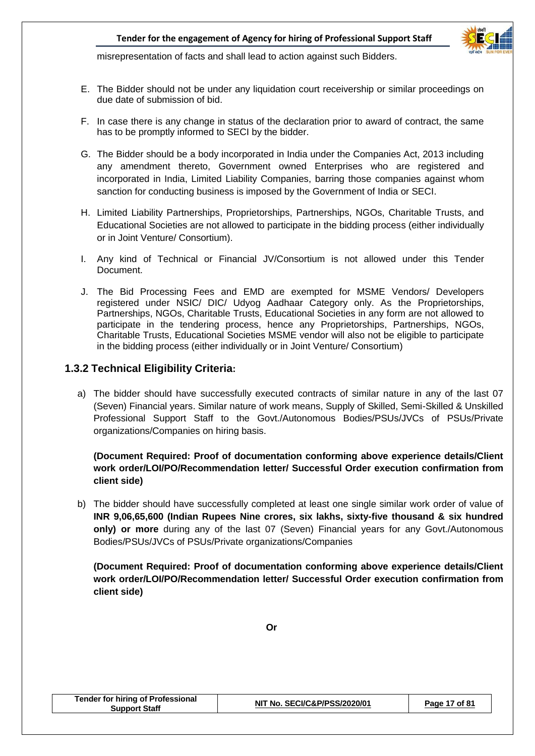

misrepresentation of facts and shall lead to action against such Bidders.

- E. The Bidder should not be under any liquidation court receivership or similar proceedings on due date of submission of bid.
- F. In case there is any change in status of the declaration prior to award of contract, the same has to be promptly informed to SECI by the bidder.
- G. The Bidder should be a body incorporated in India under the Companies Act, 2013 including any amendment thereto, Government owned Enterprises who are registered and incorporated in India, Limited Liability Companies, barring those companies against whom sanction for conducting business is imposed by the Government of India or SECI.
- H. Limited Liability Partnerships, Proprietorships, Partnerships, NGOs, Charitable Trusts, and Educational Societies are not allowed to participate in the bidding process (either individually or in Joint Venture/ Consortium).
- I. Any kind of Technical or Financial JV/Consortium is not allowed under this Tender Document.
- J. The Bid Processing Fees and EMD are exempted for MSME Vendors/ Developers registered under NSIC/ DIC/ Udyog Aadhaar Category only. As the Proprietorships, Partnerships, NGOs, Charitable Trusts, Educational Societies in any form are not allowed to participate in the tendering process, hence any Proprietorships, Partnerships, NGOs, Charitable Trusts, Educational Societies MSME vendor will also not be eligible to participate in the bidding process (either individually or in Joint Venture/ Consortium)

#### **1.3.2 Technical Eligibility Criteria:**

a) The bidder should have successfully executed contracts of similar nature in any of the last 07 (Seven) Financial years. Similar nature of work means, Supply of Skilled, Semi-Skilled & Unskilled Professional Support Staff to the Govt./Autonomous Bodies/PSUs/JVCs of PSUs/Private organizations/Companies on hiring basis.

#### **(Document Required: Proof of documentation conforming above experience details/Client work order/LOI/PO/Recommendation letter/ Successful Order execution confirmation from client side)**

b) The bidder should have successfully completed at least one single similar work order of value of **INR 9,06,65,600 (Indian Rupees Nine crores, six lakhs, sixty-five thousand & six hundred only) or more** during any of the last 07 (Seven) Financial years for any Govt./Autonomous Bodies/PSUs/JVCs of PSUs/Private organizations/Companies

**(Document Required: Proof of documentation conforming above experience details/Client work order/LOI/PO/Recommendation letter/ Successful Order execution confirmation from client side)**

**Oriented and the contract of the Contract of the Contract of the Contract of the Contract of the Contract of the Contract of the Contract of the Contract of the Contract of the Contract of the Contract of the Contract of** 

| <b>Tender for hiring of Professional</b><br><b>Support Staff</b> | NIT No. SECI/C&P/PSS/2020/01 | Page 17 of 81 |
|------------------------------------------------------------------|------------------------------|---------------|
|------------------------------------------------------------------|------------------------------|---------------|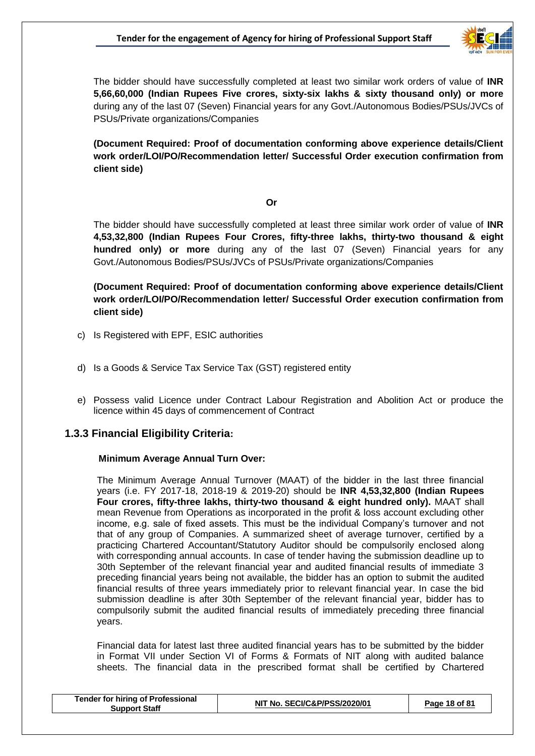

The bidder should have successfully completed at least two similar work orders of value of **INR 5,66,60,000 (Indian Rupees Five crores, sixty-six lakhs & sixty thousand only) or more**  during any of the last 07 (Seven) Financial years for any Govt./Autonomous Bodies/PSUs/JVCs of PSUs/Private organizations/Companies

**(Document Required: Proof of documentation conforming above experience details/Client work order/LOI/PO/Recommendation letter/ Successful Order execution confirmation from client side)**

#### **Oriented and the contract of the Contract of the Contract of the Contract of the Contract of the Contract of the Contract of the Contract of the Contract of the Contract of the Contract of the Contract of the Contract of**

The bidder should have successfully completed at least three similar work order of value of **INR 4,53,32,800 (Indian Rupees Four Crores, fifty-three lakhs, thirty-two thousand & eight hundred only) or more** during any of the last 07 (Seven) Financial years for any Govt./Autonomous Bodies/PSUs/JVCs of PSUs/Private organizations/Companies

**(Document Required: Proof of documentation conforming above experience details/Client work order/LOI/PO/Recommendation letter/ Successful Order execution confirmation from client side)**

- c) Is Registered with EPF, ESIC authorities
- d) Is a Goods & Service Tax Service Tax (GST) registered entity
- e) Possess valid Licence under Contract Labour Registration and Abolition Act or produce the licence within 45 days of commencement of Contract

#### **1.3.3 Financial Eligibility Criteria:**

#### **Minimum Average Annual Turn Over:**

The Minimum Average Annual Turnover (MAAT) of the bidder in the last three financial years (i.e. FY 2017-18, 2018-19 & 2019-20) should be **INR 4,53,32,800 (Indian Rupees Four crores, fifty-three lakhs, thirty-two thousand & eight hundred only).** MAAT shall mean Revenue from Operations as incorporated in the profit & loss account excluding other income, e.g. sale of fixed assets. This must be the individual Company's turnover and not that of any group of Companies. A summarized sheet of average turnover, certified by a practicing Chartered Accountant/Statutory Auditor should be compulsorily enclosed along with corresponding annual accounts. In case of tender having the submission deadline up to 30th September of the relevant financial year and audited financial results of immediate 3 preceding financial years being not available, the bidder has an option to submit the audited financial results of three years immediately prior to relevant financial year. In case the bid submission deadline is after 30th September of the relevant financial year, bidder has to compulsorily submit the audited financial results of immediately preceding three financial years.

Financial data for latest last three audited financial years has to be submitted by the bidder in Format VII under Section VI of Forms & Formats of NIT along with audited balance sheets. The financial data in the prescribed format shall be certified by Chartered

| Support Staff | <b>Tender for hiring of Professional</b> | NIT No. SECI/C&P/PSS/2020/01 | Page 18 of 81 |
|---------------|------------------------------------------|------------------------------|---------------|
|---------------|------------------------------------------|------------------------------|---------------|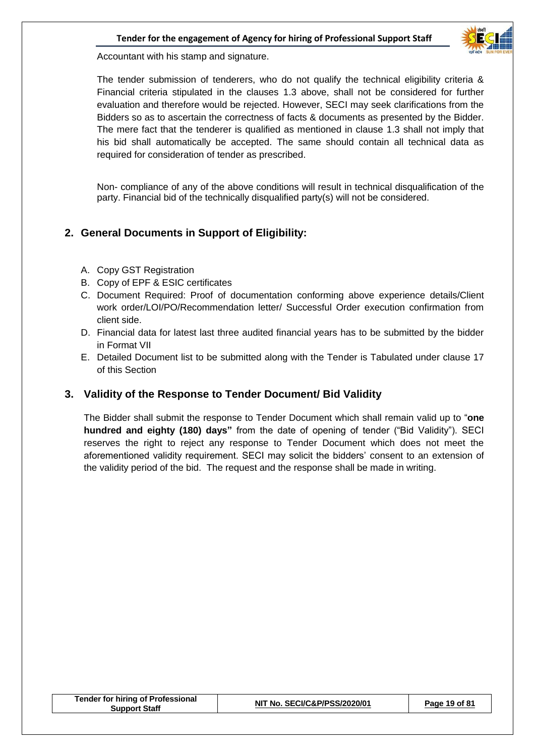

Accountant with his stamp and signature.

The tender submission of tenderers, who do not qualify the technical eligibility criteria & Financial criteria stipulated in the clauses 1.3 above, shall not be considered for further evaluation and therefore would be rejected. However, SECI may seek clarifications from the Bidders so as to ascertain the correctness of facts & documents as presented by the Bidder. The mere fact that the tenderer is qualified as mentioned in clause 1.3 shall not imply that his bid shall automatically be accepted. The same should contain all technical data as required for consideration of tender as prescribed.

Non- compliance of any of the above conditions will result in technical disqualification of the party. Financial bid of the technically disqualified party(s) will not be considered.

#### **2. General Documents in Support of Eligibility:**

- A. Copy GST Registration
- B. Copy of EPF & ESIC certificates
- C. Document Required: Proof of documentation conforming above experience details/Client work order/LOI/PO/Recommendation letter/ Successful Order execution confirmation from client side.
- D. Financial data for latest last three audited financial years has to be submitted by the bidder in Format VII
- E. Detailed Document list to be submitted along with the Tender is Tabulated under clause 17 of this Section

#### **3. Validity of the Response to Tender Document/ Bid Validity**

The Bidder shall submit the response to Tender Document which shall remain valid up to "**one hundred and eighty (180) days"** from the date of opening of tender ("Bid Validity"). SECI reserves the right to reject any response to Tender Document which does not meet the aforementioned validity requirement. SECI may solicit the bidders' consent to an extension of the validity period of the bid. The request and the response shall be made in writing.

| <b>Tender for hiring of Professional</b><br><b>Support Staff</b> | NIT No. SECI/C&P/PSS/2020/01 | Page 19 of 81 |
|------------------------------------------------------------------|------------------------------|---------------|
|------------------------------------------------------------------|------------------------------|---------------|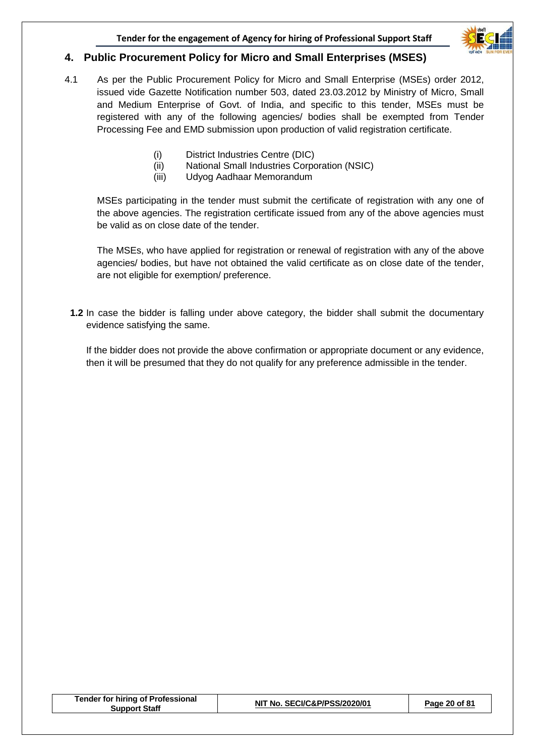

#### **4. Public Procurement Policy for Micro and Small Enterprises (MSES)**

- 4.1 As per the Public Procurement Policy for Micro and Small Enterprise (MSEs) order 2012, issued vide Gazette Notification number 503, dated 23.03.2012 by Ministry of Micro, Small and Medium Enterprise of Govt. of India, and specific to this tender, MSEs must be registered with any of the following agencies/ bodies shall be exempted from Tender Processing Fee and EMD submission upon production of valid registration certificate.
	- (i) District Industries Centre (DIC)
	- (ii) National Small Industries Corporation (NSIC)
	- (iii) Udyog Aadhaar Memorandum

MSEs participating in the tender must submit the certificate of registration with any one of the above agencies. The registration certificate issued from any of the above agencies must be valid as on close date of the tender.

The MSEs, who have applied for registration or renewal of registration with any of the above agencies/ bodies, but have not obtained the valid certificate as on close date of the tender, are not eligible for exemption/ preference.

**1.2** In case the bidder is falling under above category, the bidder shall submit the documentary evidence satisfying the same.

If the bidder does not provide the above confirmation or appropriate document or any evidence, then it will be presumed that they do not qualify for any preference admissible in the tender.

| <b>Tender for hiring of Professional</b><br><b>Support Staff</b> | NIT No. SECI/C&P/PSS/2020/01 | Page 20 of 81 |
|------------------------------------------------------------------|------------------------------|---------------|
|------------------------------------------------------------------|------------------------------|---------------|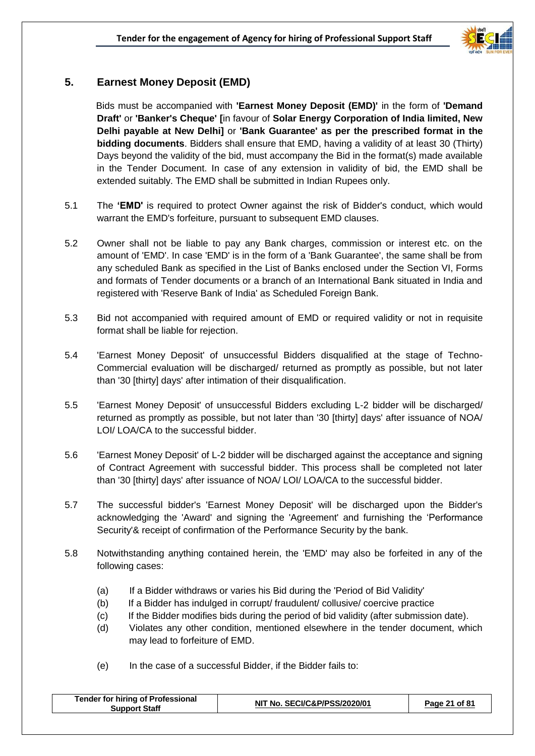

#### **5. Earnest Money Deposit (EMD)**

 Bids must be accompanied with **'Earnest Money Deposit (EMD)'** in the form of **'Demand Draft'** or **'Banker's Cheque' [**in favour of **Solar Energy Corporation of India limited, New Delhi payable at New Delhi]** or **'Bank Guarantee' as per the prescribed format in the bidding documents**. Bidders shall ensure that EMD, having a validity of at least 30 (Thirty) Days beyond the validity of the bid, must accompany the Bid in the format(s) made available in the Tender Document. In case of any extension in validity of bid, the EMD shall be extended suitably. The EMD shall be submitted in Indian Rupees only.

- 5.1 The **'EMD'** is required to protect Owner against the risk of Bidder's conduct, which would warrant the EMD's forfeiture, pursuant to subsequent EMD clauses.
- 5.2 Owner shall not be liable to pay any Bank charges, commission or interest etc. on the amount of 'EMD'. In case 'EMD' is in the form of a 'Bank Guarantee', the same shall be from any scheduled Bank as specified in the List of Banks enclosed under the Section VI, Forms and formats of Tender documents or a branch of an International Bank situated in India and registered with 'Reserve Bank of India' as Scheduled Foreign Bank.
- 5.3 Bid not accompanied with required amount of EMD or required validity or not in requisite format shall be liable for rejection.
- 5.4 'Earnest Money Deposit' of unsuccessful Bidders disqualified at the stage of Techno-Commercial evaluation will be discharged/ returned as promptly as possible, but not later than '30 [thirty] days' after intimation of their disqualification.
- 5.5 'Earnest Money Deposit' of unsuccessful Bidders excluding L-2 bidder will be discharged/ returned as promptly as possible, but not later than '30 [thirty] days' after issuance of NOA/ LOI/ LOA/CA to the successful bidder.
- 5.6 'Earnest Money Deposit' of L-2 bidder will be discharged against the acceptance and signing of Contract Agreement with successful bidder. This process shall be completed not later than '30 [thirty] days' after issuance of NOA/ LOI/ LOA/CA to the successful bidder.
- 5.7 The successful bidder's 'Earnest Money Deposit' will be discharged upon the Bidder's acknowledging the 'Award' and signing the 'Agreement' and furnishing the 'Performance Security'& receipt of confirmation of the Performance Security by the bank.
- 5.8 Notwithstanding anything contained herein, the 'EMD' may also be forfeited in any of the following cases:
	- (a) If a Bidder withdraws or varies his Bid during the 'Period of Bid Validity'
	- (b) If a Bidder has indulged in corrupt/ fraudulent/ collusive/ coercive practice
	- (c) If the Bidder modifies bids during the period of bid validity (after submission date).
	- (d) Violates any other condition, mentioned elsewhere in the tender document, which may lead to forfeiture of EMD.
	- (e) In the case of a successful Bidder, if the Bidder fails to:

| <b>Tender for hiring of Professional</b><br><b>Support Staff</b> | NIT No. SECI/C&P/PSS/2020/01 | Page 21 of 81 |
|------------------------------------------------------------------|------------------------------|---------------|
|                                                                  |                              |               |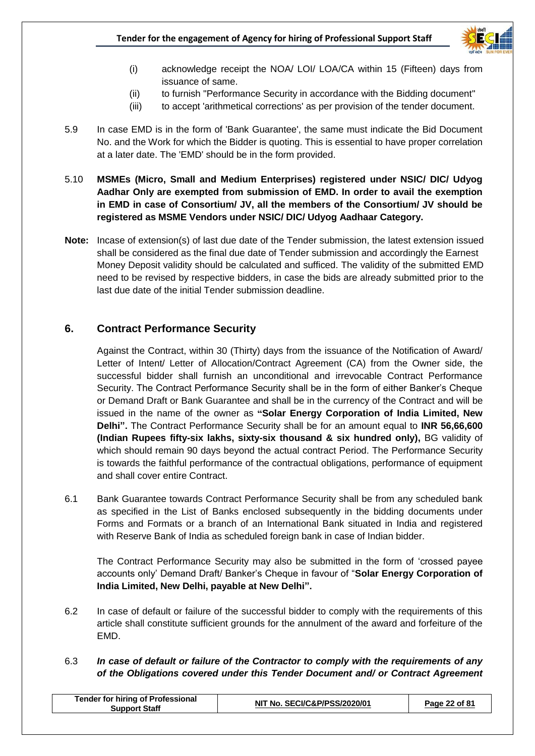

- (i) acknowledge receipt the NOA/ LOI/ LOA/CA within 15 (Fifteen) days from issuance of same.
- (ii) to furnish "Performance Security in accordance with the Bidding document"
- (iii) to accept 'arithmetical corrections' as per provision of the tender document.
- 5.9 In case EMD is in the form of 'Bank Guarantee', the same must indicate the Bid Document No. and the Work for which the Bidder is quoting. This is essential to have proper correlation at a later date. The 'EMD' should be in the form provided.
- 5.10 **MSMEs (Micro, Small and Medium Enterprises) registered under NSIC/ DIC/ Udyog Aadhar Only are exempted from submission of EMD. In order to avail the exemption in EMD in case of Consortium/ JV, all the members of the Consortium/ JV should be registered as MSME Vendors under NSIC/ DIC/ Udyog Aadhaar Category.**
- **Note:** Incase of extension(s) of last due date of the Tender submission, the latest extension issued shall be considered as the final due date of Tender submission and accordingly the Earnest Money Deposit validity should be calculated and sufficed. The validity of the submitted EMD need to be revised by respective bidders, in case the bids are already submitted prior to the last due date of the initial Tender submission deadline.

#### **6. Contract Performance Security**

 Against the Contract, within 30 (Thirty) days from the issuance of the Notification of Award/ Letter of Intent/ Letter of Allocation/Contract Agreement (CA) from the Owner side, the successful bidder shall furnish an unconditional and irrevocable Contract Performance Security. The Contract Performance Security shall be in the form of either Banker's Cheque or Demand Draft or Bank Guarantee and shall be in the currency of the Contract and will be issued in the name of the owner as **"Solar Energy Corporation of India Limited, New Delhi".** The Contract Performance Security shall be for an amount equal to **INR 56,66,600 (Indian Rupees fifty-six lakhs, sixty-six thousand & six hundred only),** BG validity of which should remain 90 days beyond the actual contract Period. The Performance Security is towards the faithful performance of the contractual obligations, performance of equipment and shall cover entire Contract.

6.1 Bank Guarantee towards Contract Performance Security shall be from any scheduled bank as specified in the List of Banks enclosed subsequently in the bidding documents under Forms and Formats or a branch of an International Bank situated in India and registered with Reserve Bank of India as scheduled foreign bank in case of Indian bidder.

The Contract Performance Security may also be submitted in the form of 'crossed payee accounts only' Demand Draft/ Banker's Cheque in favour of "**Solar Energy Corporation of India Limited, New Delhi, payable at New Delhi".**

- 6.2 In case of default or failure of the successful bidder to comply with the requirements of this article shall constitute sufficient grounds for the annulment of the award and forfeiture of the EMD.
- 6.3 *In case of default or failure of the Contractor to comply with the requirements of any of the Obligations covered under this Tender Document and/ or Contract Agreement*

| <b>Tender for hiring of Professional</b><br>NIT No. SECI/C&P/PSS/2020/01<br>Page 22 of 81<br><b>Support Staff</b> |
|-------------------------------------------------------------------------------------------------------------------|
|-------------------------------------------------------------------------------------------------------------------|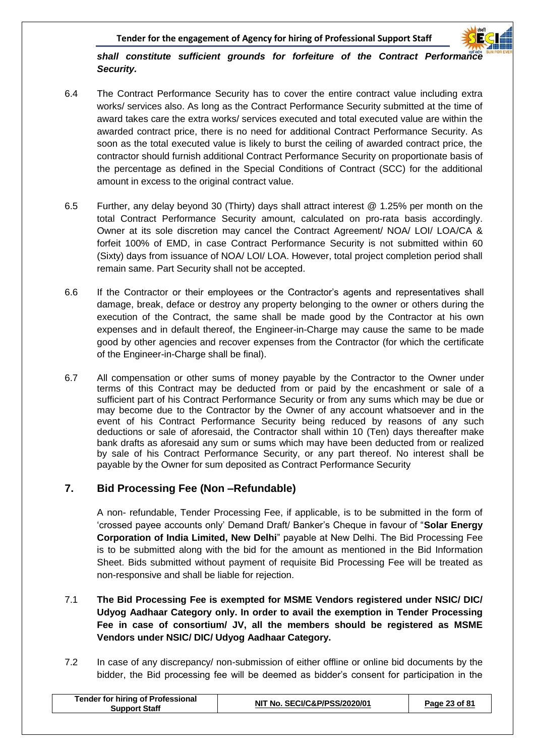

#### *shall constitute sufficient grounds for forfeiture of the Contract Performance Security.*

- 6.4 The Contract Performance Security has to cover the entire contract value including extra works/ services also. As long as the Contract Performance Security submitted at the time of award takes care the extra works/ services executed and total executed value are within the awarded contract price, there is no need for additional Contract Performance Security. As soon as the total executed value is likely to burst the ceiling of awarded contract price, the contractor should furnish additional Contract Performance Security on proportionate basis of the percentage as defined in the Special Conditions of Contract (SCC) for the additional amount in excess to the original contract value.
- 6.5 Further, any delay beyond 30 (Thirty) days shall attract interest @ 1.25% per month on the total Contract Performance Security amount, calculated on pro-rata basis accordingly. Owner at its sole discretion may cancel the Contract Agreement/ NOA/ LOI/ LOA/CA & forfeit 100% of EMD, in case Contract Performance Security is not submitted within 60 (Sixty) days from issuance of NOA/ LOI/ LOA. However, total project completion period shall remain same. Part Security shall not be accepted.
- 6.6 If the Contractor or their employees or the Contractor's agents and representatives shall damage, break, deface or destroy any property belonging to the owner or others during the execution of the Contract, the same shall be made good by the Contractor at his own expenses and in default thereof, the Engineer-in-Charge may cause the same to be made good by other agencies and recover expenses from the Contractor (for which the certificate of the Engineer-in-Charge shall be final).
- 6.7 All compensation or other sums of money payable by the Contractor to the Owner under terms of this Contract may be deducted from or paid by the encashment or sale of a sufficient part of his Contract Performance Security or from any sums which may be due or may become due to the Contractor by the Owner of any account whatsoever and in the event of his Contract Performance Security being reduced by reasons of any such deductions or sale of aforesaid, the Contractor shall within 10 (Ten) days thereafter make bank drafts as aforesaid any sum or sums which may have been deducted from or realized by sale of his Contract Performance Security, or any part thereof. No interest shall be payable by the Owner for sum deposited as Contract Performance Security

#### **7. Bid Processing Fee (Non –Refundable)**

A non- refundable, Tender Processing Fee, if applicable, is to be submitted in the form of 'crossed payee accounts only' Demand Draft/ Banker's Cheque in favour of "**Solar Energy Corporation of India Limited, New Delhi**" payable at New Delhi. The Bid Processing Fee is to be submitted along with the bid for the amount as mentioned in the Bid Information Sheet. Bids submitted without payment of requisite Bid Processing Fee will be treated as non-responsive and shall be liable for rejection.

#### 7.1 **The Bid Processing Fee is exempted for MSME Vendors registered under NSIC/ DIC/ Udyog Aadhaar Category only. In order to avail the exemption in Tender Processing Fee in case of consortium/ JV, all the members should be registered as MSME Vendors under NSIC/ DIC/ Udyog Aadhaar Category.**

7.2 In case of any discrepancy/ non-submission of either offline or online bid documents by the bidder, the Bid processing fee will be deemed as bidder's consent for participation in the

| <b>Tender for hiring of Professional</b><br><b>Support Staff</b> | NIT No. SECI/C&P/PSS/2020/01 | Page 23 of 81 |
|------------------------------------------------------------------|------------------------------|---------------|
|                                                                  |                              |               |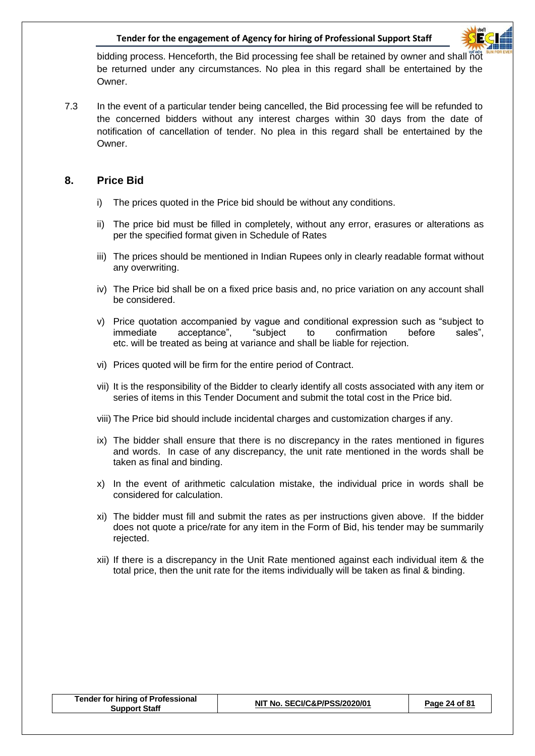

bidding process. Henceforth, the Bid processing fee shall be retained by owner and shall not be returned under any circumstances. No plea in this regard shall be entertained by the **Owner** 

7.3 In the event of a particular tender being cancelled, the Bid processing fee will be refunded to the concerned bidders without any interest charges within 30 days from the date of notification of cancellation of tender. No plea in this regard shall be entertained by the Owner.

#### **8. Price Bid**

- i) The prices quoted in the Price bid should be without any conditions.
- ii) The price bid must be filled in completely, without any error, erasures or alterations as per the specified format given in Schedule of Rates
- iii) The prices should be mentioned in Indian Rupees only in clearly readable format without any overwriting.
- iv) The Price bid shall be on a fixed price basis and, no price variation on any account shall be considered.
- v) Price quotation accompanied by vague and conditional expression such as "subject to immediate acceptance", "subject to confirmation before sales", etc. will be treated as being at variance and shall be liable for rejection.
- vi) Prices quoted will be firm for the entire period of Contract.
- vii) It is the responsibility of the Bidder to clearly identify all costs associated with any item or series of items in this Tender Document and submit the total cost in the Price bid.
- viii) The Price bid should include incidental charges and customization charges if any.
- ix) The bidder shall ensure that there is no discrepancy in the rates mentioned in figures and words. In case of any discrepancy, the unit rate mentioned in the words shall be taken as final and binding.
- x) In the event of arithmetic calculation mistake, the individual price in words shall be considered for calculation.
- xi) The bidder must fill and submit the rates as per instructions given above. If the bidder does not quote a price/rate for any item in the Form of Bid, his tender may be summarily rejected.
- xii) If there is a discrepancy in the Unit Rate mentioned against each individual item & the total price, then the unit rate for the items individually will be taken as final & binding.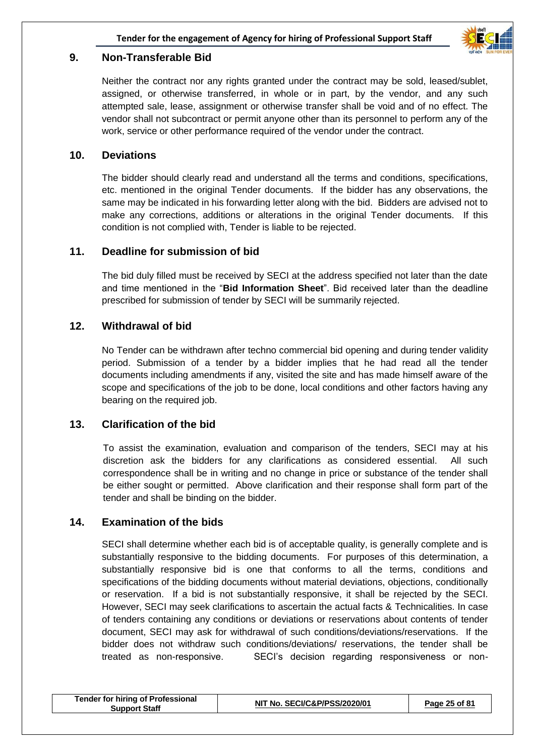

#### **9. Non-Transferable Bid**

Neither the contract nor any rights granted under the contract may be sold, leased/sublet, assigned, or otherwise transferred, in whole or in part, by the vendor, and any such attempted sale, lease, assignment or otherwise transfer shall be void and of no effect. The vendor shall not subcontract or permit anyone other than its personnel to perform any of the work, service or other performance required of the vendor under the contract.

#### **10. Deviations**

The bidder should clearly read and understand all the terms and conditions, specifications, etc. mentioned in the original Tender documents. If the bidder has any observations, the same may be indicated in his forwarding letter along with the bid. Bidders are advised not to make any corrections, additions or alterations in the original Tender documents. If this condition is not complied with, Tender is liable to be rejected.

#### **11. Deadline for submission of bid**

The bid duly filled must be received by SECI at the address specified not later than the date and time mentioned in the "**Bid Information Sheet**". Bid received later than the deadline prescribed for submission of tender by SECI will be summarily rejected.

#### **12. Withdrawal of bid**

No Tender can be withdrawn after techno commercial bid opening and during tender validity period. Submission of a tender by a bidder implies that he had read all the tender documents including amendments if any, visited the site and has made himself aware of the scope and specifications of the job to be done, local conditions and other factors having any bearing on the required job.

#### **13. Clarification of the bid**

To assist the examination, evaluation and comparison of the tenders, SECI may at his discretion ask the bidders for any clarifications as considered essential. All such correspondence shall be in writing and no change in price or substance of the tender shall be either sought or permitted. Above clarification and their response shall form part of the tender and shall be binding on the bidder.

#### **14. Examination of the bids**

SECI shall determine whether each bid is of acceptable quality, is generally complete and is substantially responsive to the bidding documents. For purposes of this determination, a substantially responsive bid is one that conforms to all the terms, conditions and specifications of the bidding documents without material deviations, objections, conditionally or reservation. If a bid is not substantially responsive, it shall be rejected by the SECI. However, SECI may seek clarifications to ascertain the actual facts & Technicalities. In case of tenders containing any conditions or deviations or reservations about contents of tender document, SECI may ask for withdrawal of such conditions/deviations/reservations. If the bidder does not withdraw such conditions/deviations/ reservations, the tender shall be treated as non-responsive. SECI's decision regarding responsiveness or non-

| <b>Tender for hiring of Professional</b><br><b>Support Staff</b> | NIT No. SECI/C&P/PSS/2020/01 | Page 25 of 81 |
|------------------------------------------------------------------|------------------------------|---------------|
|------------------------------------------------------------------|------------------------------|---------------|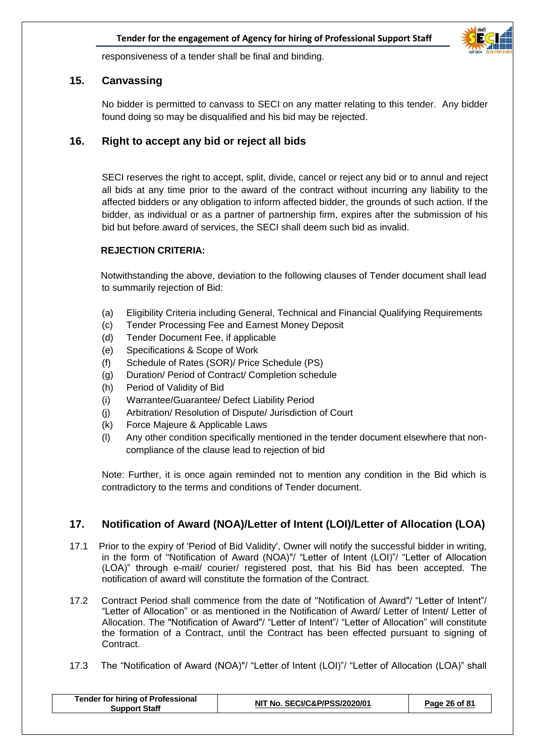

responsiveness of a tender shall be final and binding.

#### **15. Canvassing**

No bidder is permitted to canvass to SECI on any matter relating to this tender. Any bidder found doing so may be disqualified and his bid may be rejected.

#### **16. Right to accept any bid or reject all bids**

SECI reserves the right to accept, split, divide, cancel or reject any bid or to annul and reject all bids at any time prior to the award of the contract without incurring any liability to the affected bidders or any obligation to inform affected bidder, the grounds of such action. If the bidder, as individual or as a partner of partnership firm, expires after the submission of his bid but before award of services, the SECI shall deem such bid as invalid.

#### **REJECTION CRITERIA:**

 Notwithstanding the above, deviation to the following clauses of Tender document shall lead to summarily rejection of Bid:

- (a) Eligibility Criteria including General, Technical and Financial Qualifying Requirements
- (c) Tender Processing Fee and Earnest Money Deposit
- (d) Tender Document Fee, if applicable
- (e) Specifications & Scope of Work
- (f) Schedule of Rates (SOR)/ Price Schedule (PS)
- (g) Duration/ Period of Contract/ Completion schedule
- (h) Period of Validity of Bid
- (i) Warrantee/Guarantee/ Defect Liability Period
- (j) Arbitration/ Resolution of Dispute/ Jurisdiction of Court
- (k) Force Majeure & Applicable Laws
- (l) Any other condition specifically mentioned in the tender document elsewhere that noncompliance of the clause lead to rejection of bid

Note: Further, it is once again reminded not to mention any condition in the Bid which is contradictory to the terms and conditions of Tender document.

#### **17. Notification of Award (NOA)/Letter of Intent (LOI)/Letter of Allocation (LOA)**

- 17.1 Prior to the expiry of 'Period of Bid Validity', Owner will notify the successful bidder in writing, in the form of "Notification of Award (NOA)"/ "Letter of Intent (LOI)"/ "Letter of Allocation (LOA)" through e-mail/ courier/ registered post, that his Bid has been accepted. The notification of award will constitute the formation of the Contract.
- 17.2 Contract Period shall commence from the date of "Notification of Award"/ "Letter of Intent"/ "Letter of Allocation" or as mentioned in the Notification of Award/ Letter of Intent/ Letter of Allocation. The "Notification of Award"/ "Letter of Intent"/ "Letter of Allocation" will constitute the formation of a Contract, until the Contract has been effected pursuant to signing of Contract.
- 17.3 The "Notification of Award (NOA)"/ "Letter of Intent (LOI)"/ "Letter of Allocation (LOA)" shall

| <b>Tender for hiring of Professional</b><br><b>Support Staff</b> | NIT No. SECI/C&P/PSS/2020/01 | Page 26 of 81 |
|------------------------------------------------------------------|------------------------------|---------------|
|                                                                  |                              |               |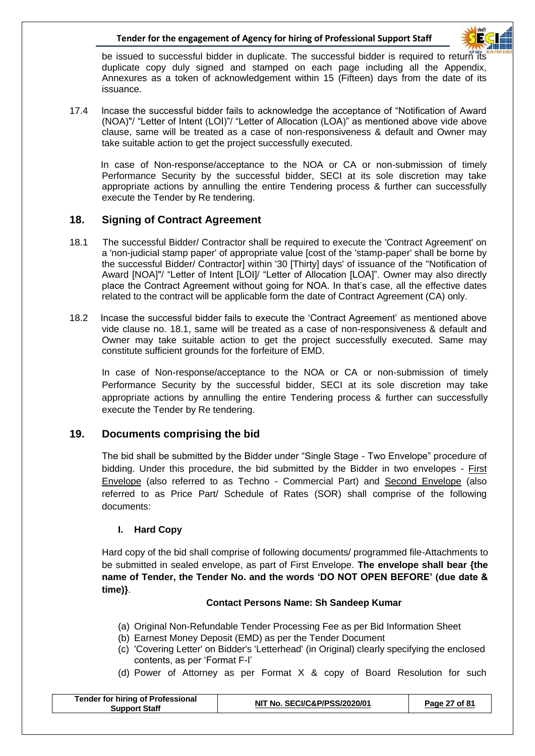

be issued to successful bidder in duplicate. The successful bidder is required to return its duplicate copy duly signed and stamped on each page including all the Appendix, Annexures as a token of acknowledgement within 15 (Fifteen) days from the date of its issuance.

17.4 Incase the successful bidder fails to acknowledge the acceptance of "Notification of Award (NOA)"/ "Letter of Intent (LOI)"/ "Letter of Allocation (LOA)" as mentioned above vide above clause, same will be treated as a case of non-responsiveness & default and Owner may take suitable action to get the project successfully executed.

 In case of Non-response/acceptance to the NOA or CA or non-submission of timely Performance Security by the successful bidder, SECI at its sole discretion may take appropriate actions by annulling the entire Tendering process & further can successfully execute the Tender by Re tendering.

#### **18. Signing of Contract Agreement**

- 18.1 The successful Bidder/ Contractor shall be required to execute the 'Contract Agreement' on a 'non-judicial stamp paper' of appropriate value [cost of the 'stamp-paper' shall be borne by the successful Bidder/ Contractor] within '30 [Thirty] days' of issuance of the "Notification of Award [NOA]"/ "Letter of Intent [LOI]/ "Letter of Allocation [LOA]". Owner may also directly place the Contract Agreement without going for NOA. In that's case, all the effective dates related to the contract will be applicable form the date of Contract Agreement (CA) only.
- 18.2 Incase the successful bidder fails to execute the 'Contract Agreement' as mentioned above vide clause no. 18.1, same will be treated as a case of non-responsiveness & default and Owner may take suitable action to get the project successfully executed. Same may constitute sufficient grounds for the forfeiture of EMD.

In case of Non-response/acceptance to the NOA or CA or non-submission of timely Performance Security by the successful bidder, SECI at its sole discretion may take appropriate actions by annulling the entire Tendering process & further can successfully execute the Tender by Re tendering.

#### **19. Documents comprising the bid**

The bid shall be submitted by the Bidder under "Single Stage - Two Envelope" procedure of bidding. Under this procedure, the bid submitted by the Bidder in two envelopes - First Envelope (also referred to as Techno - Commercial Part) and Second Envelope (also referred to as Price Part/ Schedule of Rates (SOR) shall comprise of the following documents:

#### **I. Hard Copy**

Hard copy of the bid shall comprise of following documents/ programmed file-Attachments to be submitted in sealed envelope, as part of First Envelope. **The envelope shall bear {the name of Tender, the Tender No. and the words 'DO NOT OPEN BEFORE' (due date & time)}**.

#### **Contact Persons Name: Sh Sandeep Kumar**

- (a) Original Non-Refundable Tender Processing Fee as per Bid Information Sheet
- (b) Earnest Money Deposit (EMD) as per the Tender Document
- (c) 'Covering Letter' on Bidder's 'Letterhead' (in Original) clearly specifying the enclosed contents, as per 'Format F-I'
- (d) Power of Attorney as per Format X & copy of Board Resolution for such

| NIT No. SECI/C&P/PSS/2020/01<br>Page 27 of 81<br>Support Staff | <b>Tender for hiring of Professional</b> |  |  |
|----------------------------------------------------------------|------------------------------------------|--|--|
|----------------------------------------------------------------|------------------------------------------|--|--|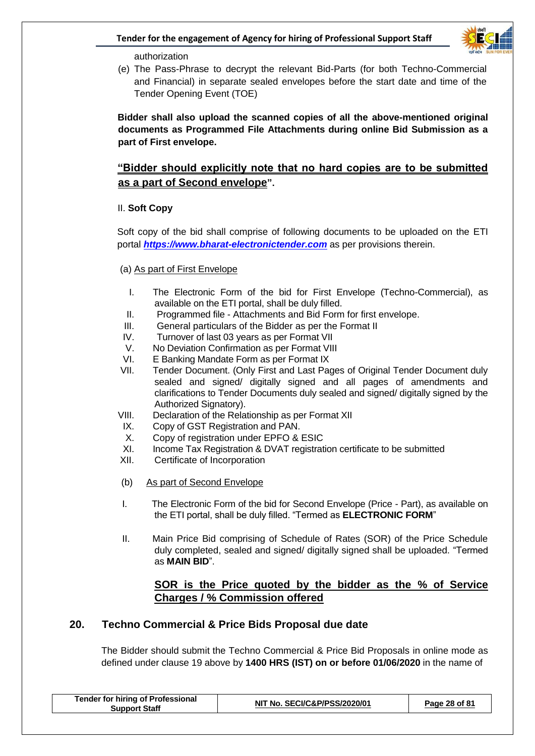

authorization

(e) The Pass-Phrase to decrypt the relevant Bid-Parts (for both Techno-Commercial and Financial) in separate sealed envelopes before the start date and time of the Tender Opening Event (TOE)

**Bidder shall also upload the scanned copies of all the above-mentioned original documents as Programmed File Attachments during online Bid Submission as a part of First envelope.**

#### **"Bidder should explicitly note that no hard copies are to be submitted as a part of Second envelope".**

#### II. **Soft Copy**

 Soft copy of the bid shall comprise of following documents to be uploaded on the ETI portal *[https://www.bharat-electronictender.com](https://www.il-electronictender.como/)* as per provisions therein.

- (a) As part of First Envelope
	- I. The Electronic Form of the bid for First Envelope (Techno-Commercial), as available on the ETI portal, shall be duly filled.
	- II. Programmed file Attachments and Bid Form for first envelope.
- III. General particulars of the Bidder as per the Format II
- IV. Turnover of last 03 years as per Format VII
- V. No Deviation Confirmation as per Format VIII
- VI. E Banking Mandate Form as per Format IX
- VII. Tender Document. (Only First and Last Pages of Original Tender Document duly sealed and signed/ digitally signed and all pages of amendments and clarifications to Tender Documents duly sealed and signed/ digitally signed by the Authorized Signatory).
- VIII. Declaration of the Relationship as per Format XII
- IX. Copy of GST Registration and PAN.
- X. Copy of registration under EPFO & ESIC
- XI. Income Tax Registration & DVAT registration certificate to be submitted
- XII. Certificate of Incorporation
- (b) As part of Second Envelope
- I. The Electronic Form of the bid for Second Envelope (Price Part), as available on the ETI portal, shall be duly filled. "Termed as **ELECTRONIC FORM**"
- II. Main Price Bid comprising of Schedule of Rates (SOR) of the Price Schedule duly completed, sealed and signed/ digitally signed shall be uploaded. "Termed as **MAIN BID**".

#### **SOR is the Price quoted by the bidder as the % of Service Charges / % Commission offered**

#### **20. Techno Commercial & Price Bids Proposal due date**

The Bidder should submit the Techno Commercial & Price Bid Proposals in online mode as defined under clause 19 above by **1400 HRS (IST) on or before 01/06/2020** in the name of

|  | <b>Tender for hiring of Professional</b><br><b>Support Staff</b> | NIT No. SECI/C&P/PSS/2020/01 | Page 28 of 81 |
|--|------------------------------------------------------------------|------------------------------|---------------|
|--|------------------------------------------------------------------|------------------------------|---------------|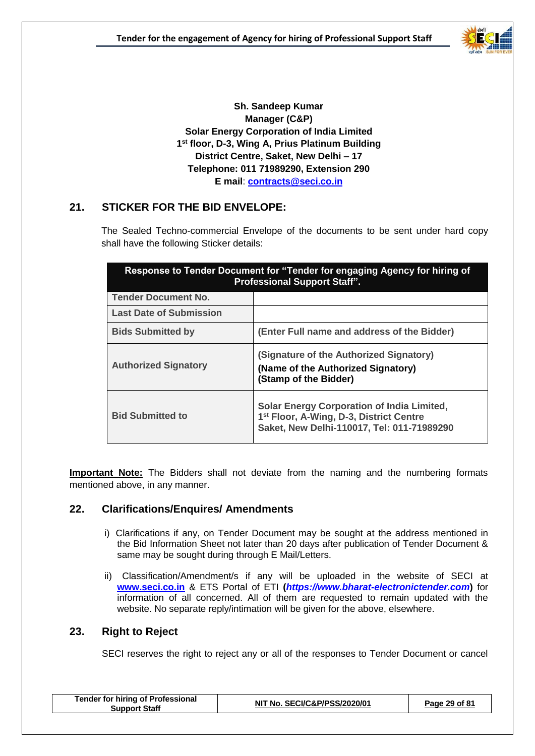

**Sh. Sandeep Kumar Manager (C&P) Solar Energy Corporation of India Limited 1 st floor, D-3, Wing A, Prius Platinum Building District Centre, Saket, New Delhi – 17 Telephone: 011 71989290, Extension 290 E mail**: **[contracts@seci.co.in](mailto:contracts@seci.co.in)**

#### **21. STICKER FOR THE BID ENVELOPE:**

The Sealed Techno-commercial Envelope of the documents to be sent under hard copy shall have the following Sticker details:

| Response to Tender Document for "Tender for engaging Agency for hiring of<br><b>Professional Support Staff".</b> |                                                                                                                                                        |  |
|------------------------------------------------------------------------------------------------------------------|--------------------------------------------------------------------------------------------------------------------------------------------------------|--|
| <b>Tender Document No.</b>                                                                                       |                                                                                                                                                        |  |
| <b>Last Date of Submission</b>                                                                                   |                                                                                                                                                        |  |
| <b>Bids Submitted by</b>                                                                                         | (Enter Full name and address of the Bidder)                                                                                                            |  |
| <b>Authorized Signatory</b>                                                                                      | (Signature of the Authorized Signatory)<br>(Name of the Authorized Signatory)<br>(Stamp of the Bidder)                                                 |  |
| <b>Bid Submitted to</b>                                                                                          | <b>Solar Energy Corporation of India Limited,</b><br>1 <sup>st</sup> Floor, A-Wing, D-3, District Centre<br>Saket, New Delhi-110017, Tel: 011-71989290 |  |

**Important Note:** The Bidders shall not deviate from the naming and the numbering formats mentioned above, in any manner.

#### **22. Clarifications/Enquires/ Amendments**

- i) Clarifications if any, on Tender Document may be sought at the address mentioned in the Bid Information Sheet not later than 20 days after publication of Tender Document & same may be sought during through E Mail/Letters.
- ii) Classification/Amendment/s if any will be uploaded in the website of SECI at **www.seci.co.in** & ETS Portal of ETI **(***[https://www.bharat-electronictender.com](https://www.tcil-india-electronictender.com/)***)** for information of all concerned. All of them are requested to remain updated with the website. No separate reply/intimation will be given for the above, elsewhere.

#### **23. Right to Reject**

SECI reserves the right to reject any or all of the responses to Tender Document or cancel

| <b>Tender for hiring of Professional</b><br><b>Support Staff</b> | NIT No. SECI/C&P/PSS/2020/01 | Page 29 of 81 |
|------------------------------------------------------------------|------------------------------|---------------|
|------------------------------------------------------------------|------------------------------|---------------|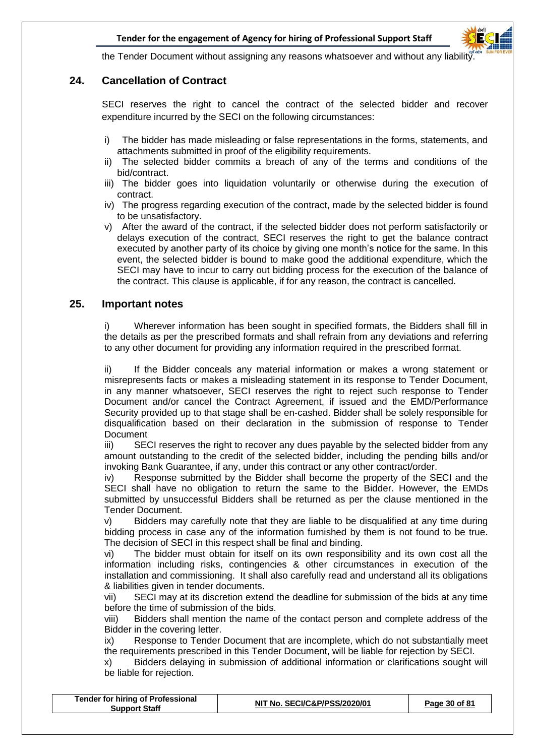

the Tender Document without assigning any reasons whatsoever and without any liability

#### **24. Cancellation of Contract**

SECI reserves the right to cancel the contract of the selected bidder and recover expenditure incurred by the SECI on the following circumstances:

- i) The bidder has made misleading or false representations in the forms, statements, and attachments submitted in proof of the eligibility requirements.
- ii) The selected bidder commits a breach of any of the terms and conditions of the bid/contract.
- iii) The bidder goes into liquidation voluntarily or otherwise during the execution of contract.
- iv) The progress regarding execution of the contract, made by the selected bidder is found to be unsatisfactory.
- v) After the award of the contract, if the selected bidder does not perform satisfactorily or delays execution of the contract, SECI reserves the right to get the balance contract executed by another party of its choice by giving one month's notice for the same. In this event, the selected bidder is bound to make good the additional expenditure, which the SECI may have to incur to carry out bidding process for the execution of the balance of the contract. This clause is applicable, if for any reason, the contract is cancelled.

#### **25. Important notes**

i) Wherever information has been sought in specified formats, the Bidders shall fill in the details as per the prescribed formats and shall refrain from any deviations and referring to any other document for providing any information required in the prescribed format.

ii) If the Bidder conceals any material information or makes a wrong statement or misrepresents facts or makes a misleading statement in its response to Tender Document, in any manner whatsoever, SECI reserves the right to reject such response to Tender Document and/or cancel the Contract Agreement, if issued and the EMD/Performance Security provided up to that stage shall be en-cashed. Bidder shall be solely responsible for disqualification based on their declaration in the submission of response to Tender Document

iii) SECI reserves the right to recover any dues payable by the selected bidder from any amount outstanding to the credit of the selected bidder, including the pending bills and/or invoking Bank Guarantee, if any, under this contract or any other contract/order.

iv) Response submitted by the Bidder shall become the property of the SECI and the SECI shall have no obligation to return the same to the Bidder. However, the EMDs submitted by unsuccessful Bidders shall be returned as per the clause mentioned in the Tender Document.

v) Bidders may carefully note that they are liable to be disqualified at any time during bidding process in case any of the information furnished by them is not found to be true. The decision of SECI in this respect shall be final and binding.

vi) The bidder must obtain for itself on its own responsibility and its own cost all the information including risks, contingencies & other circumstances in execution of the installation and commissioning. It shall also carefully read and understand all its obligations & liabilities given in tender documents.

vii) SECI may at its discretion extend the deadline for submission of the bids at any time before the time of submission of the bids.

viii) Bidders shall mention the name of the contact person and complete address of the Bidder in the covering letter.

ix) Response to Tender Document that are incomplete, which do not substantially meet the requirements prescribed in this Tender Document, will be liable for rejection by SECI.

x) Bidders delaying in submission of additional information or clarifications sought will be liable for rejection.

| <b>Tender for hiring of Professional</b><br><b>Support Staff</b> | NIT No. SECI/C&P/PSS/2020/01 | Page 30 of 81 |
|------------------------------------------------------------------|------------------------------|---------------|
|------------------------------------------------------------------|------------------------------|---------------|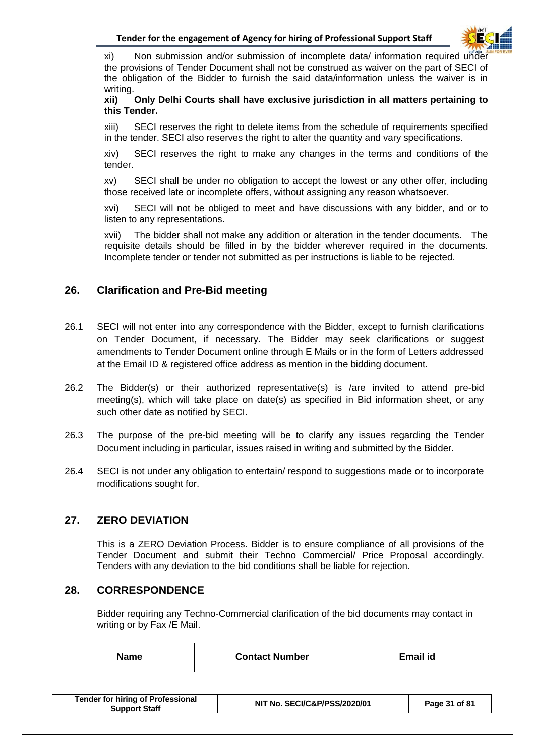

xi) Non submission and/or submission of incomplete data/ information required under the provisions of Tender Document shall not be construed as waiver on the part of SECI of the obligation of the Bidder to furnish the said data/information unless the waiver is in writing.

**xii) Only Delhi Courts shall have exclusive jurisdiction in all matters pertaining to this Tender.**

xiii) SECI reserves the right to delete items from the schedule of requirements specified in the tender. SECI also reserves the right to alter the quantity and vary specifications.

xiv) SECI reserves the right to make any changes in the terms and conditions of the tender.

xv) SECI shall be under no obligation to accept the lowest or any other offer, including those received late or incomplete offers, without assigning any reason whatsoever.

xvi) SECI will not be obliged to meet and have discussions with any bidder, and or to listen to any representations.

xvii) The bidder shall not make any addition or alteration in the tender documents. The requisite details should be filled in by the bidder wherever required in the documents. Incomplete tender or tender not submitted as per instructions is liable to be rejected.

#### **26. Clarification and Pre-Bid meeting**

- 26.1 SECI will not enter into any correspondence with the Bidder, except to furnish clarifications on Tender Document, if necessary. The Bidder may seek clarifications or suggest amendments to Tender Document online through E Mails or in the form of Letters addressed at the Email ID & registered office address as mention in the bidding document.
- 26.2 The Bidder(s) or their authorized representative(s) is /are invited to attend pre-bid meeting(s), which will take place on date(s) as specified in Bid information sheet, or any such other date as notified by SECI.
- 26.3 The purpose of the pre-bid meeting will be to clarify any issues regarding the Tender Document including in particular, issues raised in writing and submitted by the Bidder.
- 26.4 SECI is not under any obligation to entertain/ respond to suggestions made or to incorporate modifications sought for.

#### **27. ZERO DEVIATION**

This is a ZERO Deviation Process. Bidder is to ensure compliance of all provisions of the Tender Document and submit their Techno Commercial/ Price Proposal accordingly. Tenders with any deviation to the bid conditions shall be liable for rejection.

#### **28. CORRESPONDENCE**

Bidder requiring any Techno-Commercial clarification of the bid documents may contact in writing or by Fax /E Mail.

| Name | <b>Contact Number</b> | <b>Email id</b> |  |
|------|-----------------------|-----------------|--|
|      |                       |                 |  |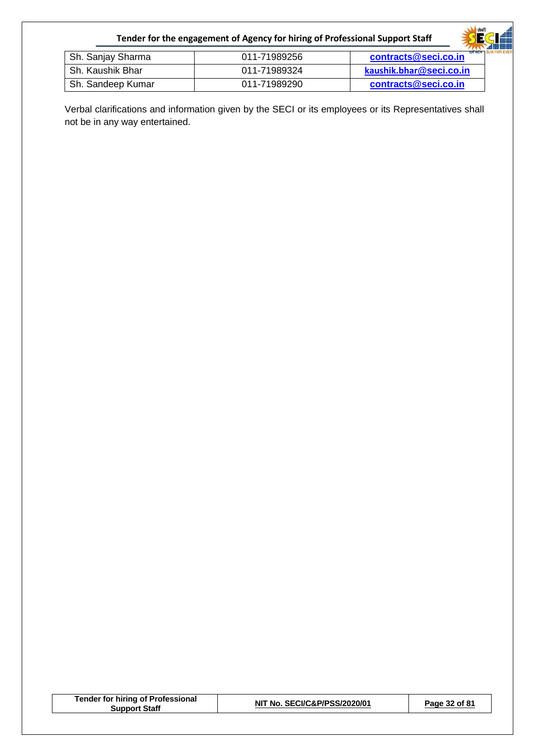|                   | Tender for the engagement of Agency for hiring of Professional Support Staff | सिकी<br>H               |
|-------------------|------------------------------------------------------------------------------|-------------------------|
| Sh. Sanjay Sharma | 011-71989256                                                                 | contracts@seci.co.in    |
| Sh. Kaushik Bhar  | 011-71989324                                                                 | kaushik.bhar@seci.co.in |
| Sh. Sandeep Kumar | 011-71989290                                                                 | contracts@seci.co.in    |

Verbal clarifications and information given by the SECI or its employees or its Representatives shall not be in any way entertained.

| <b>Tender for hiring of Professional</b> |
|------------------------------------------|
| <b>Support Staff</b>                     |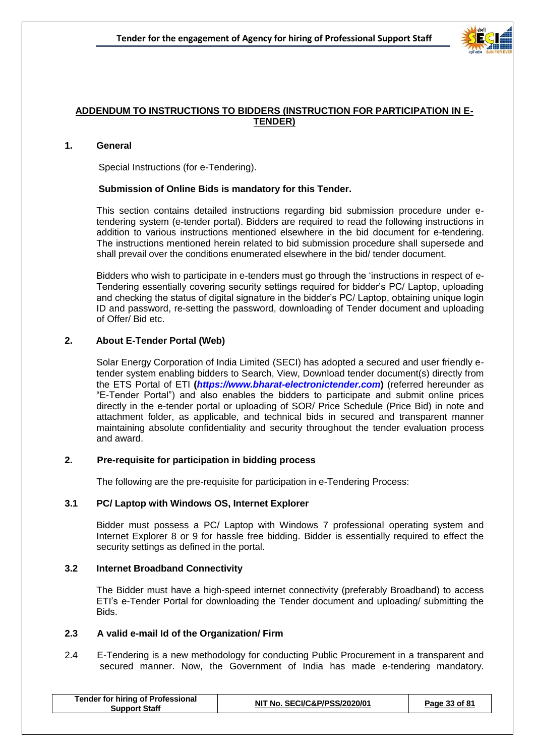

#### **ADDENDUM TO INSTRUCTIONS TO BIDDERS (INSTRUCTION FOR PARTICIPATION IN E-TENDER)**

#### **1. General**

Special Instructions (for e-Tendering).

#### **Submission of Online Bids is mandatory for this Tender.**

This section contains detailed instructions regarding bid submission procedure under etendering system (e-tender portal). Bidders are required to read the following instructions in addition to various instructions mentioned elsewhere in the bid document for e-tendering. The instructions mentioned herein related to bid submission procedure shall supersede and shall prevail over the conditions enumerated elsewhere in the bid/ tender document.

Bidders who wish to participate in e-tenders must go through the 'instructions in respect of e-Tendering essentially covering security settings required for bidder's PC/ Laptop, uploading and checking the status of digital signature in the bidder's PC/ Laptop, obtaining unique login ID and password, re-setting the password, downloading of Tender document and uploading of Offer/ Bid etc.

#### **2. About E-Tender Portal (Web)**

Solar Energy Corporation of India Limited (SECI) has adopted a secured and user friendly etender system enabling bidders to Search, View, Download tender document(s) directly from the ETS Portal of ETI **(***[https://www.bharat-electronictender.com](https://www.tcil-india-electronictender.com/)***)** (referred hereunder as "E-Tender Portal") and also enables the bidders to participate and submit online prices directly in the e-tender portal or uploading of SOR/ Price Schedule (Price Bid) in note and attachment folder, as applicable, and technical bids in secured and transparent manner maintaining absolute confidentiality and security throughout the tender evaluation process and award.

#### **2. Pre-requisite for participation in bidding process**

The following are the pre-requisite for participation in e-Tendering Process:

#### **3.1 PC/ Laptop with Windows OS, Internet Explorer**

Bidder must possess a PC/ Laptop with Windows 7 professional operating system and Internet Explorer 8 or 9 for hassle free bidding. Bidder is essentially required to effect the security settings as defined in the portal.

#### **3.2 Internet Broadband Connectivity**

 The Bidder must have a high-speed internet connectivity (preferably Broadband) to access ETI's e-Tender Portal for downloading the Tender document and uploading/ submitting the Bids.

#### **2.3 A valid e-mail Id of the Organization/ Firm**

2.4 E-Tendering is a new methodology for conducting Public Procurement in a transparent and secured manner. Now, the Government of India has made e-tendering mandatory.

| <b>Tender for hiring of Professional</b><br>Support Staff | NIT No. SECI/C&P/PSS/2020/01 | Page 33 of 81 |
|-----------------------------------------------------------|------------------------------|---------------|
|-----------------------------------------------------------|------------------------------|---------------|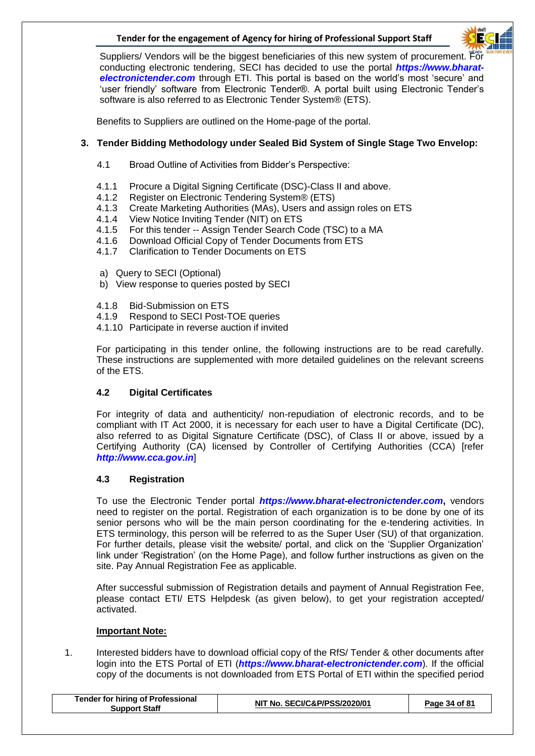

Suppliers/ Vendors will be the biggest beneficiaries of this new system of procurement. For conducting electronic tendering, SECI has decided to use the portal *[https://www.bharat](https://www.tcil-india-electronictender.com/)[electronictender.com](https://www.tcil-india-electronictender.com/)* through ETI. This portal is based on the world's most 'secure' and 'user friendly' software from Electronic Tender®. A portal built using Electronic Tender's software is also referred to as Electronic Tender System® (ETS).

Benefits to Suppliers are outlined on the Home-page of the portal.

#### **3. Tender Bidding Methodology under Sealed Bid System of Single Stage Two Envelop:**

- 4.1 Broad Outline of Activities from Bidder's Perspective:
- 4.1.1 Procure a Digital Signing Certificate (DSC)-Class II and above.
- 4.1.2 Register on Electronic Tendering System® (ETS)
- 4.1.3 Create Marketing Authorities (MAs), Users and assign roles on ETS
- 4.1.4 View Notice Inviting Tender (NIT) on ETS
- 4.1.5 For this tender -- Assign Tender Search Code (TSC) to a MA
- 4.1.6 Download Official Copy of Tender Documents from ETS
- 4.1.7 Clarification to Tender Documents on ETS
- a) Query to SECI (Optional)
- b) View response to queries posted by SECI
- 4.1.8 Bid-Submission on ETS
- 4.1.9 Respond to SECI Post-TOE queries
- 4.1.10 Participate in reverse auction if invited

For participating in this tender online, the following instructions are to be read carefully. These instructions are supplemented with more detailed guidelines on the relevant screens of the ETS.

#### **4.2 Digital Certificates**

For integrity of data and authenticity/ non-repudiation of electronic records, and to be compliant with IT Act 2000, it is necessary for each user to have a Digital Certificate (DC), also referred to as Digital Signature Certificate (DSC), of Class II or above, issued by a Certifying Authority (CA) licensed by Controller of Certifying Authorities (CCA) [refer *[http://www.cca.gov.in](http://www.cca.gov.in/)*]

#### **4.3 Registration**

To use the Electronic Tender portal *[https://www.bharat-electronictender.com](https://www.tcil-india-electronictender.com/)***,** vendors need to register on the portal. Registration of each organization is to be done by one of its senior persons who will be the main person coordinating for the e-tendering activities. In ETS terminology, this person will be referred to as the Super User (SU) of that organization. For further details, please visit the website/ portal, and click on the 'Supplier Organization' link under 'Registration' (on the Home Page), and follow further instructions as given on the site. Pay Annual Registration Fee as applicable.

After successful submission of Registration details and payment of Annual Registration Fee, please contact ETI/ ETS Helpdesk (as given below), to get your registration accepted/ activated.

#### **Important Note:**

1. Interested bidders have to download official copy of the RfS/ Tender & other documents after login into the ETS Portal of ETI (*[https://www.bharat-electronictender.com](https://www.tcil-india-electronictender.com/)*). If the official copy of the documents is not downloaded from ETS Portal of ETI within the specified period

| <b>Tender for hiring of Professional</b><br><b>Support Staff</b> | NIT No. SECI/C&P/PSS/2020/01 | Page 34 of 81 |
|------------------------------------------------------------------|------------------------------|---------------|
|                                                                  |                              |               |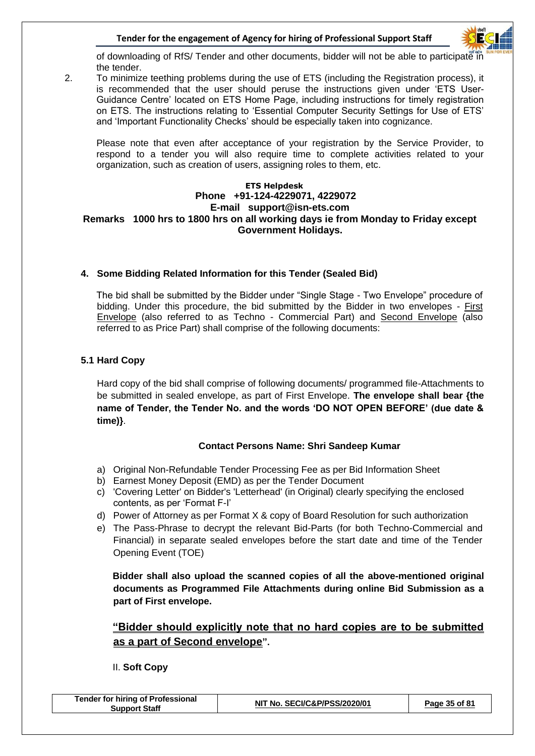

of downloading of RfS/ Tender and other documents, bidder will not be able to participate in the tender.

2. To minimize teething problems during the use of ETS (including the Registration process), it is recommended that the user should peruse the instructions given under 'ETS User-Guidance Centre' located on ETS Home Page, including instructions for timely registration on ETS. The instructions relating to 'Essential Computer Security Settings for Use of ETS' and 'Important Functionality Checks' should be especially taken into cognizance.

Please note that even after acceptance of your registration by the Service Provider, to respond to a tender you will also require time to complete activities related to your organization, such as creation of users, assigning roles to them, etc.

#### **ETS Helpdesk Phone +91-124-4229071, 4229072 E-mail support@isn-ets.com Remarks 1000 hrs to 1800 hrs on all working days ie from Monday to Friday except Government Holidays.**

#### **4. Some Bidding Related Information for this Tender (Sealed Bid)**

The bid shall be submitted by the Bidder under "Single Stage - Two Envelope" procedure of bidding. Under this procedure, the bid submitted by the Bidder in two envelopes - First Envelope (also referred to as Techno - Commercial Part) and Second Envelope (also referred to as Price Part) shall comprise of the following documents:

#### **5.1 Hard Copy**

Hard copy of the bid shall comprise of following documents/ programmed file-Attachments to be submitted in sealed envelope, as part of First Envelope. **The envelope shall bear {the name of Tender, the Tender No. and the words 'DO NOT OPEN BEFORE' (due date & time)}**.

#### **Contact Persons Name: Shri Sandeep Kumar**

- a) Original Non-Refundable Tender Processing Fee as per Bid Information Sheet
- b) Earnest Money Deposit (EMD) as per the Tender Document
- c) 'Covering Letter' on Bidder's 'Letterhead' (in Original) clearly specifying the enclosed contents, as per 'Format F-I'
- d) Power of Attorney as per Format  $X & copy$  of Board Resolution for such authorization
- e) The Pass-Phrase to decrypt the relevant Bid-Parts (for both Techno-Commercial and Financial) in separate sealed envelopes before the start date and time of the Tender Opening Event (TOE)

**Bidder shall also upload the scanned copies of all the above-mentioned original documents as Programmed File Attachments during online Bid Submission as a part of First envelope.**

#### **"Bidder should explicitly note that no hard copies are to be submitted as a part of Second envelope".**

II. **Soft Copy**

| <b>Tender for hiring of Professional</b><br><b>Support Staff</b> | NIT No. SECI/C&P/PSS/2020/01 | Page 35 of 81 |
|------------------------------------------------------------------|------------------------------|---------------|
|------------------------------------------------------------------|------------------------------|---------------|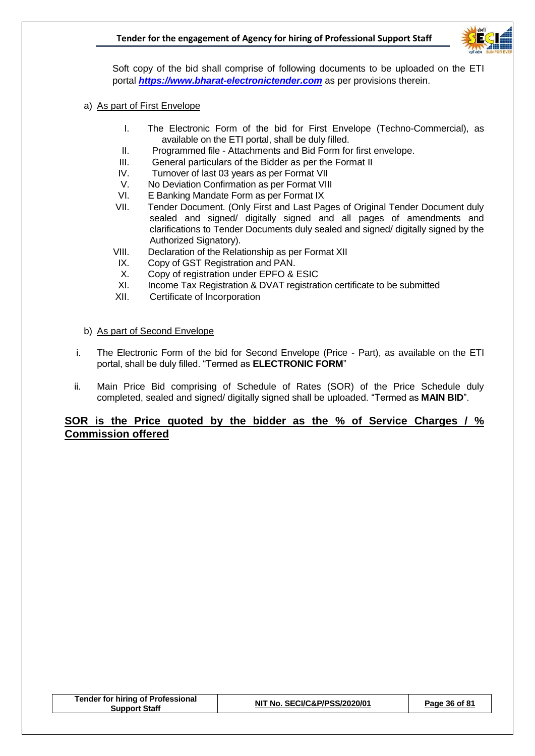

 Soft copy of the bid shall comprise of following documents to be uploaded on the ETI portal *[https://www.bharat-electronictender.com](https://www.il-electronictender.como/)* as per provisions therein.

- a) As part of First Envelope
	- I. The Electronic Form of the bid for First Envelope (Techno-Commercial), as available on the ETI portal, shall be duly filled.
	- II. Programmed file Attachments and Bid Form for first envelope.
	- III. General particulars of the Bidder as per the Format II
	- IV. Turnover of last 03 years as per Format VII
	- V. No Deviation Confirmation as per Format VIII
	- VI. E Banking Mandate Form as per Format IX
	- VII. Tender Document. (Only First and Last Pages of Original Tender Document duly sealed and signed/ digitally signed and all pages of amendments and clarifications to Tender Documents duly sealed and signed/ digitally signed by the Authorized Signatory).
	- VIII. Declaration of the Relationship as per Format XII
	- IX. Copy of GST Registration and PAN.
	- X. Copy of registration under EPFO & ESIC
	- XI. Income Tax Registration & DVAT registration certificate to be submitted
	- XII. Certificate of Incorporation
- b) As part of Second Envelope
- i. The Electronic Form of the bid for Second Envelope (Price Part), as available on the ETI portal, shall be duly filled. "Termed as **ELECTRONIC FORM**"
- ii. Main Price Bid comprising of Schedule of Rates (SOR) of the Price Schedule duly completed, sealed and signed/ digitally signed shall be uploaded. "Termed as **MAIN BID**".

#### **SOR is the Price quoted by the bidder as the % of Service Charges / % Commission offered**

| <b>Tender for hiring of Professional</b> |
|------------------------------------------|
| <b>Support Staff</b>                     |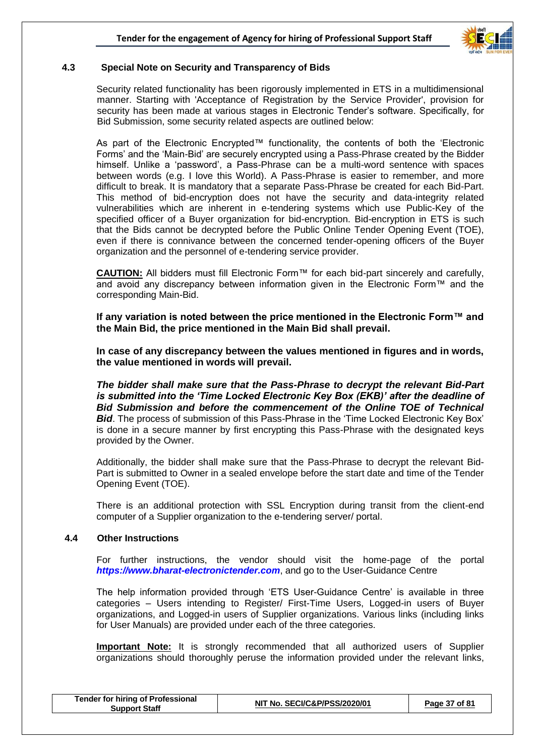

#### **4.3 Special Note on Security and Transparency of Bids**

Security related functionality has been rigorously implemented in ETS in a multidimensional manner. Starting with 'Acceptance of Registration by the Service Provider', provision for security has been made at various stages in Electronic Tender's software. Specifically, for Bid Submission, some security related aspects are outlined below:

As part of the Electronic Encrypted™ functionality, the contents of both the 'Electronic Forms' and the 'Main-Bid' are securely encrypted using a Pass-Phrase created by the Bidder himself. Unlike a 'password', a Pass-Phrase can be a multi-word sentence with spaces between words (e.g. I love this World). A Pass-Phrase is easier to remember, and more difficult to break. It is mandatory that a separate Pass-Phrase be created for each Bid-Part. This method of bid-encryption does not have the security and data-integrity related vulnerabilities which are inherent in e-tendering systems which use Public-Key of the specified officer of a Buyer organization for bid-encryption. Bid-encryption in ETS is such that the Bids cannot be decrypted before the Public Online Tender Opening Event (TOE), even if there is connivance between the concerned tender-opening officers of the Buyer organization and the personnel of e-tendering service provider.

**CAUTION:** All bidders must fill Electronic Form™ for each bid-part sincerely and carefully, and avoid any discrepancy between information given in the Electronic Form™ and the corresponding Main-Bid.

**If any variation is noted between the price mentioned in the Electronic Form™ and the Main Bid, the price mentioned in the Main Bid shall prevail.**

**In case of any discrepancy between the values mentioned in figures and in words, the value mentioned in words will prevail.** 

*The bidder shall make sure that the Pass-Phrase to decrypt the relevant Bid-Part is submitted into the 'Time Locked Electronic Key Box (EKB)' after the deadline of Bid Submission and before the commencement of the Online TOE of Technical*  **Bid**. The process of submission of this Pass-Phrase in the 'Time Locked Electronic Key Box' is done in a secure manner by first encrypting this Pass-Phrase with the designated keys provided by the Owner.

Additionally, the bidder shall make sure that the Pass-Phrase to decrypt the relevant Bid-Part is submitted to Owner in a sealed envelope before the start date and time of the Tender Opening Event (TOE).

There is an additional protection with SSL Encryption during transit from the client-end computer of a Supplier organization to the e-tendering server/ portal.

#### **4.4 Other Instructions**

For further instructions, the vendor should visit the home-page of the portal *[https://www.bharat-electronictender.com](https://www.il-electronictender.como/)*, and go to the User-Guidance Centre

The help information provided through 'ETS User-Guidance Centre' is available in three categories – Users intending to Register/ First-Time Users, Logged-in users of Buyer organizations, and Logged-in users of Supplier organizations. Various links (including links for User Manuals) are provided under each of the three categories.

**Important Note:** It is strongly recommended that all authorized users of Supplier organizations should thoroughly peruse the information provided under the relevant links,

| <b>Tender for hiring of Professional</b><br><b>Support Staff</b> | NIT No. SECI/C&P/PSS/2020/01 | Page 37 of 81 |  |
|------------------------------------------------------------------|------------------------------|---------------|--|
|                                                                  |                              |               |  |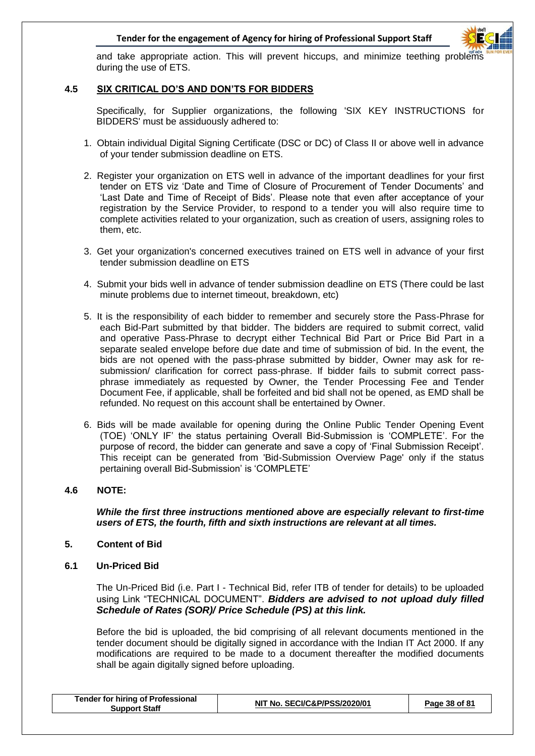

and take appropriate action. This will prevent hiccups, and minimize teething problems during the use of ETS.

#### **4.5 SIX CRITICAL DO'S AND DON'TS FOR BIDDERS**

Specifically, for Supplier organizations, the following 'SIX KEY INSTRUCTIONS for BIDDERS' must be assiduously adhered to:

- 1. Obtain individual Digital Signing Certificate (DSC or DC) of Class II or above well in advance of your tender submission deadline on ETS.
- 2. Register your organization on ETS well in advance of the important deadlines for your first tender on ETS viz 'Date and Time of Closure of Procurement of Tender Documents' and 'Last Date and Time of Receipt of Bids'. Please note that even after acceptance of your registration by the Service Provider, to respond to a tender you will also require time to complete activities related to your organization, such as creation of users, assigning roles to them, etc.
- 3. Get your organization's concerned executives trained on ETS well in advance of your first tender submission deadline on ETS
- 4. Submit your bids well in advance of tender submission deadline on ETS (There could be last minute problems due to internet timeout, breakdown, etc)
- 5. It is the responsibility of each bidder to remember and securely store the Pass-Phrase for each Bid-Part submitted by that bidder. The bidders are required to submit correct, valid and operative Pass-Phrase to decrypt either Technical Bid Part or Price Bid Part in a separate sealed envelope before due date and time of submission of bid. In the event, the bids are not opened with the pass-phrase submitted by bidder, Owner may ask for resubmission/ clarification for correct pass-phrase. If bidder fails to submit correct passphrase immediately as requested by Owner, the Tender Processing Fee and Tender Document Fee, if applicable, shall be forfeited and bid shall not be opened, as EMD shall be refunded. No request on this account shall be entertained by Owner.
- 6. Bids will be made available for opening during the Online Public Tender Opening Event (TOE) 'ONLY IF' the status pertaining Overall Bid-Submission is 'COMPLETE'. For the purpose of record, the bidder can generate and save a copy of 'Final Submission Receipt'. This receipt can be generated from 'Bid-Submission Overview Page' only if the status pertaining overall Bid-Submission' is 'COMPLETE'

#### **4.6 NOTE:**

*While the first three instructions mentioned above are especially relevant to first-time users of ETS, the fourth, fifth and sixth instructions are relevant at all times.* 

#### **5. Content of Bid**

**6.1 Un-Priced Bid**

The Un-Priced Bid (i.e. Part I - Technical Bid, refer ITB of tender for details) to be uploaded using Link "TECHNICAL DOCUMENT". *Bidders are advised to not upload duly filled Schedule of Rates (SOR)/ Price Schedule (PS) at this link.*

Before the bid is uploaded, the bid comprising of all relevant documents mentioned in the tender document should be digitally signed in accordance with the Indian IT Act 2000. If any modifications are required to be made to a document thereafter the modified documents shall be again digitally signed before uploading.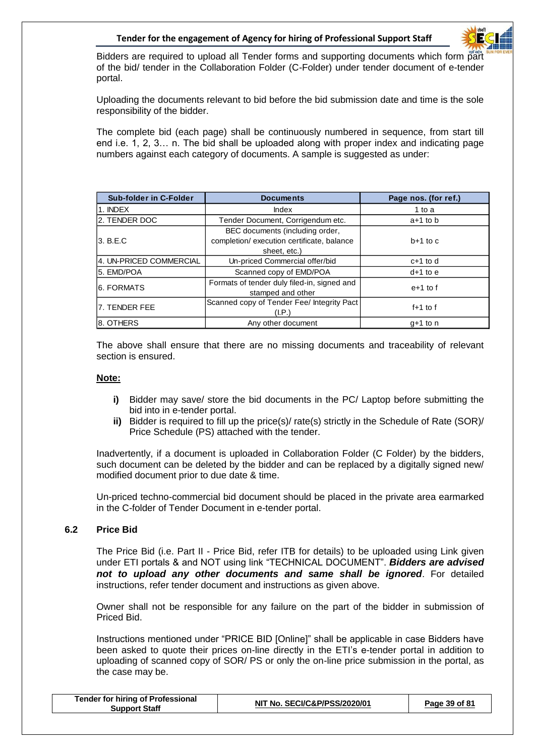

Bidders are required to upload all Tender forms and supporting documents which form part of the bid/ tender in the Collaboration Folder (C-Folder) under tender document of e-tender portal.

Uploading the documents relevant to bid before the bid submission date and time is the sole responsibility of the bidder.

The complete bid (each page) shall be continuously numbered in sequence, from start till end i.e. 1, 2, 3… n. The bid shall be uploaded along with proper index and indicating page numbers against each category of documents. A sample is suggested as under:

| <b>Sub-folder in C-Folder</b> | <b>Documents</b>                                                                              | Page nos. (for ref.) |  |
|-------------------------------|-----------------------------------------------------------------------------------------------|----------------------|--|
| 1. INDEX                      | Index<br>1 to a                                                                               |                      |  |
| 2. TENDER DOC                 | Tender Document, Corrigendum etc.                                                             | $a+1$ to b           |  |
| l3. B.E.C                     | BEC documents (including order,<br>completion/ execution certificate, balance<br>sheet, etc.) | $b+1$ to c           |  |
| 4. UN-PRICED COMMERCIAL       | Un-priced Commercial offer/bid                                                                | $c+1$ to d           |  |
| 5. EMD/POA                    | Scanned copy of EMD/POA                                                                       | $d+1$ to $e$         |  |
| 6. FORMATS                    | Formats of tender duly filed-in, signed and<br>stamped and other                              | $e+1$ to f           |  |
| l7. TENDER FEE                | Scanned copy of Tender Fee/ Integrity Pact<br>(I.P.)                                          | $f+1$ to f           |  |
| 8. OTHERS                     | Any other document                                                                            | $q+1$ to n           |  |

The above shall ensure that there are no missing documents and traceability of relevant section is ensured.

#### **Note:**

- **i)** Bidder may save/ store the bid documents in the PC/ Laptop before submitting the bid into in e-tender portal.
- **ii)** Bidder is required to fill up the price(s)/ rate(s) strictly in the Schedule of Rate (SOR)/ Price Schedule (PS) attached with the tender.

Inadvertently, if a document is uploaded in Collaboration Folder (C Folder) by the bidders, such document can be deleted by the bidder and can be replaced by a digitally signed new/ modified document prior to due date & time.

Un-priced techno-commercial bid document should be placed in the private area earmarked in the C-folder of Tender Document in e-tender portal.

#### **6.2 Price Bid**

The Price Bid (i.e. Part II - Price Bid, refer ITB for details) to be uploaded using Link given under ETI portals & and NOT using link "TECHNICAL DOCUMENT". *Bidders are advised not to upload any other documents and same shall be ignored*. For detailed instructions, refer tender document and instructions as given above.

Owner shall not be responsible for any failure on the part of the bidder in submission of Priced Bid.

Instructions mentioned under "PRICE BID [Online]" shall be applicable in case Bidders have been asked to quote their prices on-line directly in the ETI's e-tender portal in addition to uploading of scanned copy of SOR/ PS or only the on-line price submission in the portal, as the case may be.

| <b>Tender for hiring of Professional</b><br>NIT No. SECI/C&P/PSS/2020/01<br>Page 39 of 81<br><b>Support Staff</b> |
|-------------------------------------------------------------------------------------------------------------------|
|-------------------------------------------------------------------------------------------------------------------|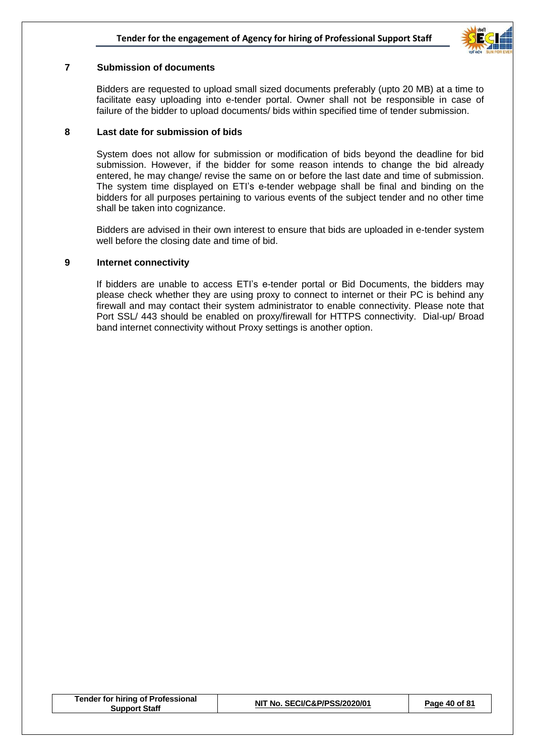

#### **7 Submission of documents**

Bidders are requested to upload small sized documents preferably (upto 20 MB) at a time to facilitate easy uploading into e-tender portal. Owner shall not be responsible in case of failure of the bidder to upload documents/ bids within specified time of tender submission.

#### **8 Last date for submission of bids**

System does not allow for submission or modification of bids beyond the deadline for bid submission. However, if the bidder for some reason intends to change the bid already entered, he may change/ revise the same on or before the last date and time of submission. The system time displayed on ETI's e-tender webpage shall be final and binding on the bidders for all purposes pertaining to various events of the subject tender and no other time shall be taken into cognizance.

Bidders are advised in their own interest to ensure that bids are uploaded in e-tender system well before the closing date and time of bid.

#### **9 Internet connectivity**

If bidders are unable to access ETI's e-tender portal or Bid Documents, the bidders may please check whether they are using proxy to connect to internet or their PC is behind any firewall and may contact their system administrator to enable connectivity. Please note that Port SSL/ 443 should be enabled on proxy/firewall for HTTPS connectivity. Dial-up/ Broad band internet connectivity without Proxy settings is another option.

| <b>Tender for hiring of Professional</b><br><b>Support Staff</b> | NIT No. SECI/C&P/PSS/2020/01 | Page 40 of 81 |
|------------------------------------------------------------------|------------------------------|---------------|
|------------------------------------------------------------------|------------------------------|---------------|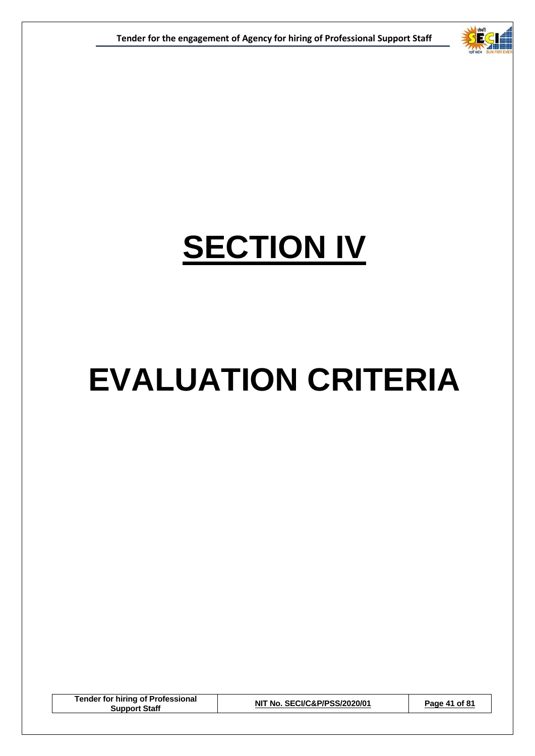

## **SECTION IV**

## **EVALUATION CRITERIA**

**Tender for hiring of Professional Support Staff NIT No. SECI/C&P/PSS/2020/01 Page 41 of 81**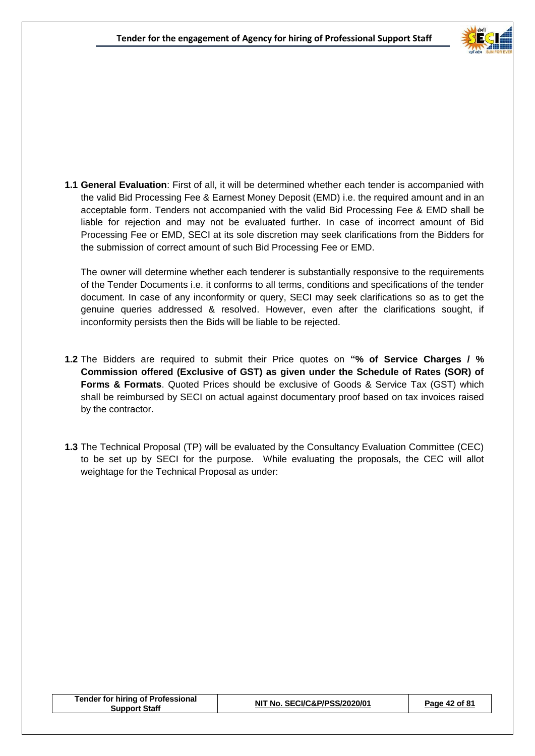

**1.1 General Evaluation**: First of all, it will be determined whether each tender is accompanied with the valid Bid Processing Fee & Earnest Money Deposit (EMD) i.e. the required amount and in an acceptable form. Tenders not accompanied with the valid Bid Processing Fee & EMD shall be liable for rejection and may not be evaluated further. In case of incorrect amount of Bid Processing Fee or EMD, SECI at its sole discretion may seek clarifications from the Bidders for the submission of correct amount of such Bid Processing Fee or EMD.

The owner will determine whether each tenderer is substantially responsive to the requirements of the Tender Documents i.e. it conforms to all terms, conditions and specifications of the tender document. In case of any inconformity or query, SECI may seek clarifications so as to get the genuine queries addressed & resolved. However, even after the clarifications sought, if inconformity persists then the Bids will be liable to be rejected.

- **1.2** The Bidders are required to submit their Price quotes on **"% of Service Charges / % Commission offered (Exclusive of GST) as given under the Schedule of Rates (SOR) of Forms & Formats**. Quoted Prices should be exclusive of Goods & Service Tax (GST) which shall be reimbursed by SECI on actual against documentary proof based on tax invoices raised by the contractor.
- **1.3** The Technical Proposal (TP) will be evaluated by the Consultancy Evaluation Committee (CEC) to be set up by SECI for the purpose. While evaluating the proposals, the CEC will allot weightage for the Technical Proposal as under:

| <b>Tender for hiring of Professional</b><br>Support Staff | NIT No. SECI/C&P/PSS/2020/01 | Page 42 of 81 |
|-----------------------------------------------------------|------------------------------|---------------|
|-----------------------------------------------------------|------------------------------|---------------|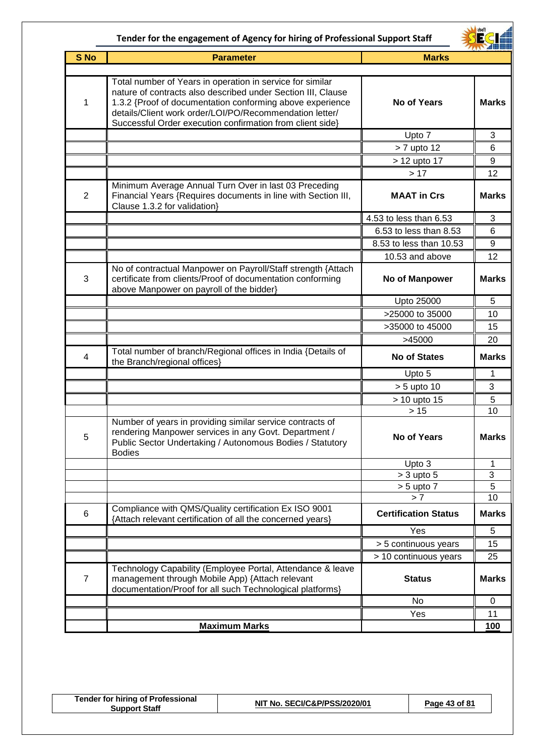

|                 | <b>ZANY ZIDEDE</b>                                                                                                                                                                                                                                                                                             |                             |                |
|-----------------|----------------------------------------------------------------------------------------------------------------------------------------------------------------------------------------------------------------------------------------------------------------------------------------------------------------|-----------------------------|----------------|
| S <sub>No</sub> | <b>Parameter</b>                                                                                                                                                                                                                                                                                               | <b>Marks</b>                |                |
| 1               | Total number of Years in operation in service for similar<br>nature of contracts also described under Section III, Clause<br>1.3.2 {Proof of documentation conforming above experience<br>details/Client work order/LOI/PO/Recommendation letter/<br>Successful Order execution confirmation from client side} | <b>No of Years</b>          | <b>Marks</b>   |
|                 |                                                                                                                                                                                                                                                                                                                | Upto 7                      | 3              |
|                 |                                                                                                                                                                                                                                                                                                                | > 7 upto 12                 | 6              |
|                 |                                                                                                                                                                                                                                                                                                                | > 12 upto 17                | 9              |
|                 |                                                                                                                                                                                                                                                                                                                | >17                         | 12             |
| 2               | Minimum Average Annual Turn Over in last 03 Preceding<br>Financial Years {Requires documents in line with Section III,<br>Clause 1.3.2 for validation}                                                                                                                                                         | <b>MAAT in Crs</b>          | <b>Marks</b>   |
|                 |                                                                                                                                                                                                                                                                                                                | 4.53 to less than 6.53      | 3              |
|                 |                                                                                                                                                                                                                                                                                                                | 6.53 to less than 8.53      | 6              |
|                 |                                                                                                                                                                                                                                                                                                                | 8.53 to less than 10.53     | 9              |
|                 |                                                                                                                                                                                                                                                                                                                | 10.53 and above             | 12             |
| 3               | No of contractual Manpower on Payroll/Staff strength {Attach<br>certificate from clients/Proof of documentation conforming<br>above Manpower on payroll of the bidder}                                                                                                                                         | No of Manpower              | <b>Marks</b>   |
|                 |                                                                                                                                                                                                                                                                                                                | Upto 25000                  | 5              |
|                 |                                                                                                                                                                                                                                                                                                                | >25000 to 35000             | 10             |
|                 |                                                                                                                                                                                                                                                                                                                | >35000 to 45000             | 15             |
|                 |                                                                                                                                                                                                                                                                                                                | >45000                      | 20             |
| $\overline{4}$  | Total number of branch/Regional offices in India {Details of<br>the Branch/regional offices}                                                                                                                                                                                                                   | <b>No of States</b>         | <b>Marks</b>   |
|                 |                                                                                                                                                                                                                                                                                                                | Upto 5                      | 1              |
|                 |                                                                                                                                                                                                                                                                                                                | $> 5$ upto 10               | 3              |
|                 |                                                                                                                                                                                                                                                                                                                | > 10 upto 15                | 5              |
|                 |                                                                                                                                                                                                                                                                                                                | $>15$                       | 10             |
| 5               | Number of years in providing similar service contracts of<br>rendering Manpower services in any Govt. Department /<br>Public Sector Undertaking / Autonomous Bodies / Statutory<br><b>Bodies</b>                                                                                                               | <b>No of Years</b>          | <b>Marks</b>   |
|                 |                                                                                                                                                                                                                                                                                                                | Upto 3                      | 1              |
|                 |                                                                                                                                                                                                                                                                                                                | $>$ 3 upto 5                | $\overline{3}$ |
|                 |                                                                                                                                                                                                                                                                                                                | $> 5$ upto $7$              | 5              |
|                 |                                                                                                                                                                                                                                                                                                                | > 7                         | 10             |
| 6               | Compliance with QMS/Quality certification Ex ISO 9001<br>{Attach relevant certification of all the concerned years}                                                                                                                                                                                            | <b>Certification Status</b> | <b>Marks</b>   |
|                 |                                                                                                                                                                                                                                                                                                                | Yes                         | 5              |
|                 |                                                                                                                                                                                                                                                                                                                | > 5 continuous years        | 15             |
|                 |                                                                                                                                                                                                                                                                                                                | > 10 continuous years       | 25             |
| $\overline{7}$  | Technology Capability (Employee Portal, Attendance & leave<br>management through Mobile App) {Attach relevant<br>documentation/Proof for all such Technological platforms}                                                                                                                                     | <b>Status</b>               | <b>Marks</b>   |
|                 |                                                                                                                                                                                                                                                                                                                | No                          | 0              |
|                 |                                                                                                                                                                                                                                                                                                                | Yes                         | 11             |
|                 | <b>Maximum Marks</b>                                                                                                                                                                                                                                                                                           |                             | 100            |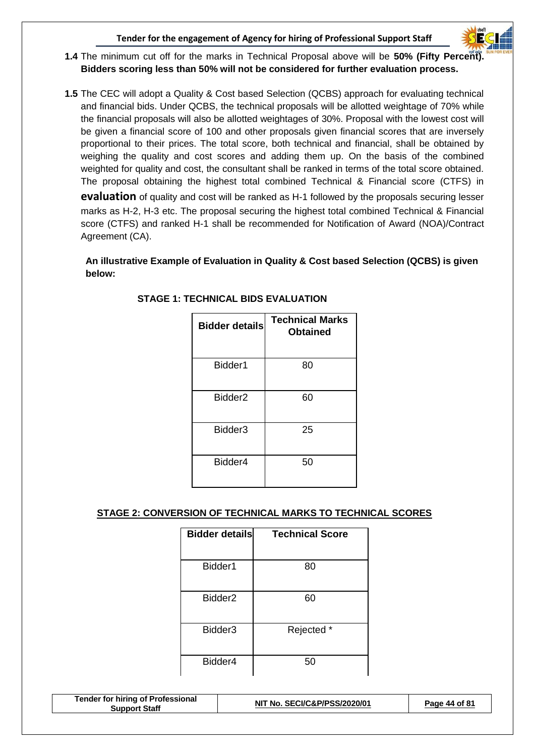

- **1.4** The minimum cut off for the marks in Technical Proposal above will be **50% (Fifty Percent). Bidders scoring less than 50% will not be considered for further evaluation process.**
- **1.5** The CEC will adopt a Quality & Cost based Selection (QCBS) approach for evaluating technical and financial bids. Under QCBS, the technical proposals will be allotted weightage of 70% while the financial proposals will also be allotted weightages of 30%. Proposal with the lowest cost will be given a financial score of 100 and other proposals given financial scores that are inversely proportional to their prices. The total score, both technical and financial, shall be obtained by weighing the quality and cost scores and adding them up. On the basis of the combined weighted for quality and cost, the consultant shall be ranked in terms of the total score obtained. The proposal obtaining the highest total combined Technical & Financial score (CTFS) in **evaluation** of quality and cost will be ranked as H-1 followed by the proposals securing lesser

marks as H-2, H-3 etc. The proposal securing the highest total combined Technical & Financial score (CTFS) and ranked H-1 shall be recommended for Notification of Award (NOA)/Contract Agreement (CA).

**An illustrative Example of Evaluation in Quality & Cost based Selection (QCBS) is given below:**

| <b>Bidder details</b> | <b>Technical Marks</b><br><b>Obtained</b> |
|-----------------------|-------------------------------------------|
| Bidder1               | 80                                        |
| Bidder <sub>2</sub>   | 60                                        |
| Bidder <sub>3</sub>   | 25                                        |
| Bidder4               | 50                                        |

#### **STAGE 1: TECHNICAL BIDS EVALUATION**

#### **STAGE 2: CONVERSION OF TECHNICAL MARKS TO TECHNICAL SCORES**

| <b>Bidder details</b> | <b>Technical Score</b> |
|-----------------------|------------------------|
| Bidder1               | 80                     |
| Bidder <sub>2</sub>   | 60                     |
| Bidder <sub>3</sub>   | Rejected *             |
| Bidder4               | 50                     |

| <b>Tender for hiring of Professional</b><br><b>Support Staff</b> | NIT No. SECI/C&P/PSS/2020/01 | Page 44 of 81 |
|------------------------------------------------------------------|------------------------------|---------------|
|------------------------------------------------------------------|------------------------------|---------------|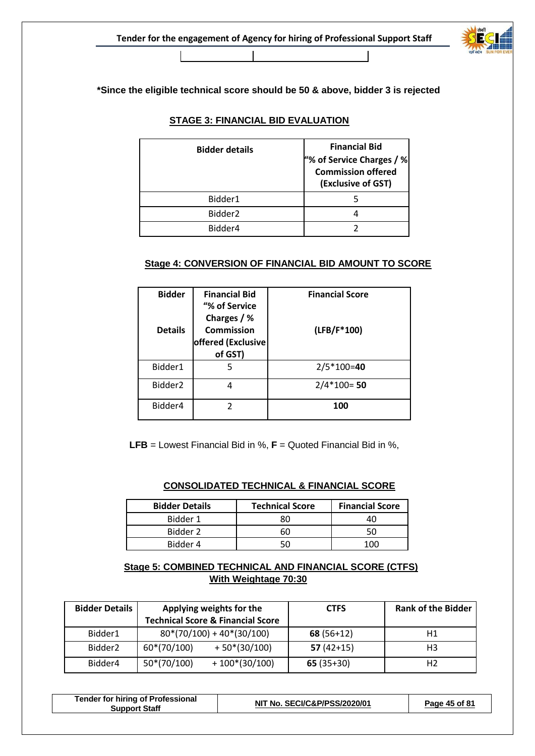

**\*Since the eligible technical score should be 50 & above, bidder 3 is rejected**

#### **STAGE 3: FINANCIAL BID EVALUATION**

 $\blacksquare$ 

| <b>Bidder details</b> | <b>Financial Bid</b><br>"% of Service Charges / %<br>Commission offered<br>(Exclusive of GST) |
|-----------------------|-----------------------------------------------------------------------------------------------|
| Bidder1               |                                                                                               |
| Bidder <sub>2</sub>   |                                                                                               |
| Bidder4               |                                                                                               |

#### **Stage 4: CONVERSION OF FINANCIAL BID AMOUNT TO SCORE**

| <b>Bidder</b><br><b>Details</b> | <b>Financial Bid</b><br>"% of Service<br>Charges / %<br><b>Commission</b><br>offered (Exclusive<br>of GST) | <b>Financial Score</b><br>(LFB/F*100) |
|---------------------------------|------------------------------------------------------------------------------------------------------------|---------------------------------------|
| Bidder1                         | 5                                                                                                          | $2/5*100=40$                          |
| Bidder <sub>2</sub>             | 4                                                                                                          | $2/4*100=50$                          |
| Bidder4                         | 2                                                                                                          | 100                                   |

**LFB** = Lowest Financial Bid in %, **F** = Quoted Financial Bid in %,

#### **CONSOLIDATED TECHNICAL & FINANCIAL SCORE**

| <b>Bidder Details</b> | <b>Technical Score</b> | <b>Financial Score</b> |
|-----------------------|------------------------|------------------------|
| Bidder 1              | ЗC                     |                        |
| Bidder 2              |                        |                        |
| Bidder 4              |                        |                        |

## **Stage 5: COMBINED TECHNICAL AND FINANCIAL SCORE (CTFS) With Weightage 70:30**

| <b>Bidder Details</b> |               | Applying weights for the<br><b>Technical Score &amp; Financial Score</b> | <b>CTFS</b> | <b>Rank of the Bidder</b> |
|-----------------------|---------------|--------------------------------------------------------------------------|-------------|---------------------------|
| Bidder1               |               | $80*(70/100) + 40*(30/100)$                                              | $68(56+12)$ | Η1                        |
| Bidder <sub>2</sub>   | 60*(70/100)   | $+50*(30/100)$                                                           | $57(42+15)$ | H3                        |
| Bidder4               | $50*(70/100)$ | $+100*(30/100)$                                                          | $65(35+30)$ | H <sub>2</sub>            |

| <b>Tender for hiring of Professional</b><br><b>Support Staff</b> | NIT No. SECI/C&P/PSS/2020/01 | Page 45 of 81 |
|------------------------------------------------------------------|------------------------------|---------------|
|                                                                  |                              |               |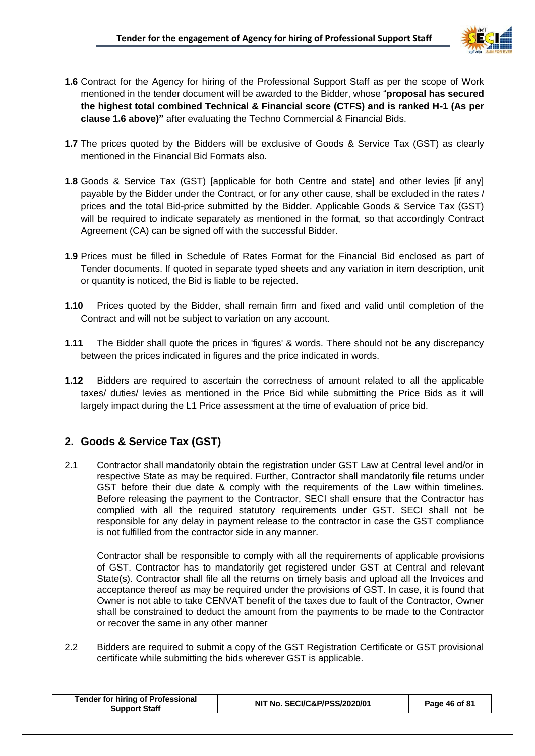

- **1.6** Contract for the Agency for hiring of the Professional Support Staff as per the scope of Work mentioned in the tender document will be awarded to the Bidder, whose "**proposal has secured the highest total combined Technical & Financial score (CTFS) and is ranked H-1 (As per clause 1.6 above)"** after evaluating the Techno Commercial & Financial Bids.
- **1.7** The prices quoted by the Bidders will be exclusive of Goods & Service Tax (GST) as clearly mentioned in the Financial Bid Formats also.
- **1.8** Goods & Service Tax (GST) [applicable for both Centre and state] and other levies [if any] payable by the Bidder under the Contract, or for any other cause, shall be excluded in the rates / prices and the total Bid-price submitted by the Bidder. Applicable Goods & Service Tax (GST) will be required to indicate separately as mentioned in the format, so that accordingly Contract Agreement (CA) can be signed off with the successful Bidder.
- **1.9** Prices must be filled in Schedule of Rates Format for the Financial Bid enclosed as part of Tender documents. If quoted in separate typed sheets and any variation in item description, unit or quantity is noticed, the Bid is liable to be rejected.
- **1.10** Prices quoted by the Bidder, shall remain firm and fixed and valid until completion of the Contract and will not be subject to variation on any account.
- **1.11** The Bidder shall quote the prices in 'figures' & words. There should not be any discrepancy between the prices indicated in figures and the price indicated in words.
- **1.12** Bidders are required to ascertain the correctness of amount related to all the applicable taxes/ duties/ levies as mentioned in the Price Bid while submitting the Price Bids as it will largely impact during the L1 Price assessment at the time of evaluation of price bid.

## **2. Goods & Service Tax (GST)**

2.1 Contractor shall mandatorily obtain the registration under GST Law at Central level and/or in respective State as may be required. Further, Contractor shall mandatorily file returns under GST before their due date & comply with the requirements of the Law within timelines. Before releasing the payment to the Contractor, SECI shall ensure that the Contractor has complied with all the required statutory requirements under GST. SECI shall not be responsible for any delay in payment release to the contractor in case the GST compliance is not fulfilled from the contractor side in any manner.

Contractor shall be responsible to comply with all the requirements of applicable provisions of GST. Contractor has to mandatorily get registered under GST at Central and relevant State(s). Contractor shall file all the returns on timely basis and upload all the Invoices and acceptance thereof as may be required under the provisions of GST. In case, it is found that Owner is not able to take CENVAT benefit of the taxes due to fault of the Contractor, Owner shall be constrained to deduct the amount from the payments to be made to the Contractor or recover the same in any other manner

2.2 Bidders are required to submit a copy of the GST Registration Certificate or GST provisional certificate while submitting the bids wherever GST is applicable.

| <b>Tender for hiring of Professional</b><br>Support Staff | NIT No. SECI/C&P/PSS/2020/01 | Page 46 of 81 |
|-----------------------------------------------------------|------------------------------|---------------|
|                                                           |                              |               |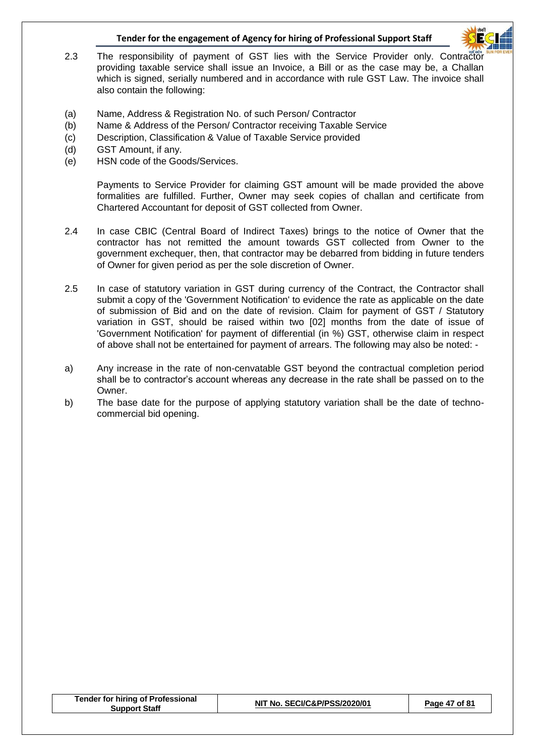

- 2.3 The responsibility of payment of GST lies with the Service Provider only. Contractor providing taxable service shall issue an Invoice, a Bill or as the case may be, a Challan which is signed, serially numbered and in accordance with rule GST Law. The invoice shall also contain the following:
- (a) Name, Address & Registration No. of such Person/ Contractor
- (b) Name & Address of the Person/ Contractor receiving Taxable Service
- (c) Description, Classification & Value of Taxable Service provided
- (d) GST Amount, if any.
- (e) HSN code of the Goods/Services.

Payments to Service Provider for claiming GST amount will be made provided the above formalities are fulfilled. Further, Owner may seek copies of challan and certificate from Chartered Accountant for deposit of GST collected from Owner.

- 2.4 In case CBIC (Central Board of Indirect Taxes) brings to the notice of Owner that the contractor has not remitted the amount towards GST collected from Owner to the government exchequer, then, that contractor may be debarred from bidding in future tenders of Owner for given period as per the sole discretion of Owner.
- 2.5 In case of statutory variation in GST during currency of the Contract, the Contractor shall submit a copy of the 'Government Notification' to evidence the rate as applicable on the date of submission of Bid and on the date of revision. Claim for payment of GST / Statutory variation in GST, should be raised within two [02] months from the date of issue of 'Government Notification' for payment of differential (in %) GST, otherwise claim in respect of above shall not be entertained for payment of arrears. The following may also be noted: -
- a) Any increase in the rate of non-cenvatable GST beyond the contractual completion period shall be to contractor's account whereas any decrease in the rate shall be passed on to the Owner.
- b) The base date for the purpose of applying statutory variation shall be the date of technocommercial bid opening.

| <b>Tender for hiring of Professional</b><br><b>Support Staff</b> | NIT No. SECI/C&P/PSS/2020/01 | Page 47 of 81 |
|------------------------------------------------------------------|------------------------------|---------------|
|                                                                  |                              |               |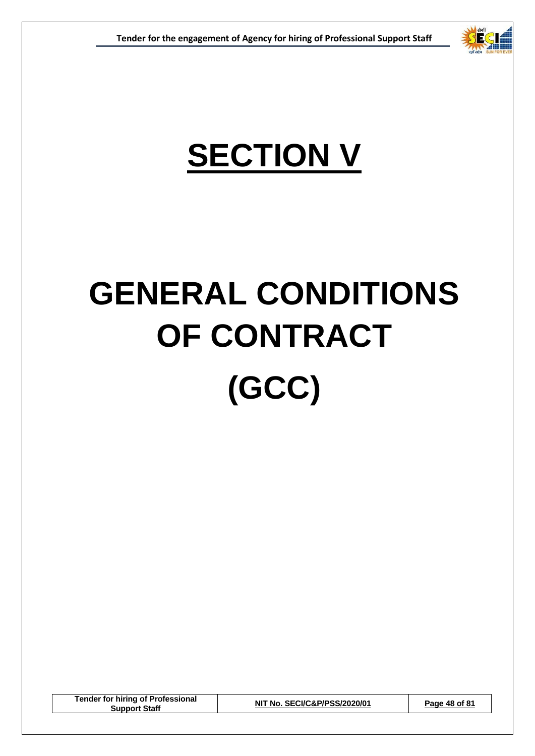

## **SECTION V**

# **GENERAL CONDITIONS OF CONTRACT (GCC)**

**Tender for hiring of Professional Support Staff NIT No. SECI/C&P/PSS/2020/01 Page 48 of 81**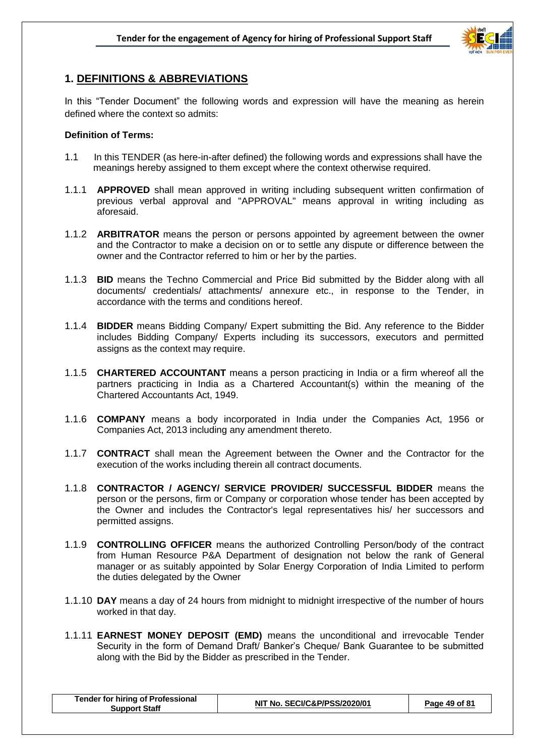

## **1. DEFINITIONS & ABBREVIATIONS**

In this "Tender Document" the following words and expression will have the meaning as herein defined where the context so admits:

#### **Definition of Terms:**

- 1.1 In this TENDER (as here-in-after defined) the following words and expressions shall have the meanings hereby assigned to them except where the context otherwise required.
- 1.1.1 **APPROVED** shall mean approved in writing including subsequent written confirmation of previous verbal approval and "APPROVAL" means approval in writing including as aforesaid.
- 1.1.2 **ARBITRATOR** means the person or persons appointed by agreement between the owner and the Contractor to make a decision on or to settle any dispute or difference between the owner and the Contractor referred to him or her by the parties.
- 1.1.3 **BID** means the Techno Commercial and Price Bid submitted by the Bidder along with all documents/ credentials/ attachments/ annexure etc., in response to the Tender, in accordance with the terms and conditions hereof.
- 1.1.4 **BIDDER** means Bidding Company/ Expert submitting the Bid. Any reference to the Bidder includes Bidding Company/ Experts including its successors, executors and permitted assigns as the context may require.
- 1.1.5 **CHARTERED ACCOUNTANT** means a person practicing in India or a firm whereof all the partners practicing in India as a Chartered Accountant(s) within the meaning of the Chartered Accountants Act, 1949.
- 1.1.6 **COMPANY** means a body incorporated in India under the Companies Act, 1956 or Companies Act, 2013 including any amendment thereto.
- 1.1.7 **CONTRACT** shall mean the Agreement between the Owner and the Contractor for the execution of the works including therein all contract documents.
- 1.1.8 **CONTRACTOR / AGENCY/ SERVICE PROVIDER/ SUCCESSFUL BIDDER** means the person or the persons, firm or Company or corporation whose tender has been accepted by the Owner and includes the Contractor's legal representatives his/ her successors and permitted assigns.
- 1.1.9 **CONTROLLING OFFICER** means the authorized Controlling Person/body of the contract from Human Resource P&A Department of designation not below the rank of General manager or as suitably appointed by Solar Energy Corporation of India Limited to perform the duties delegated by the Owner
- 1.1.10 **DAY** means a day of 24 hours from midnight to midnight irrespective of the number of hours worked in that day.
- 1.1.11 **EARNEST MONEY DEPOSIT (EMD)** means the unconditional and irrevocable Tender Security in the form of Demand Draft/ Banker's Cheque/ Bank Guarantee to be submitted along with the Bid by the Bidder as prescribed in the Tender.

| <b>Tender for hiring of Professional</b><br>NIT No. SECI/C&P/PSS/2020/01<br><b>Support Staff</b> | Page 49 of 81 |
|--------------------------------------------------------------------------------------------------|---------------|
|--------------------------------------------------------------------------------------------------|---------------|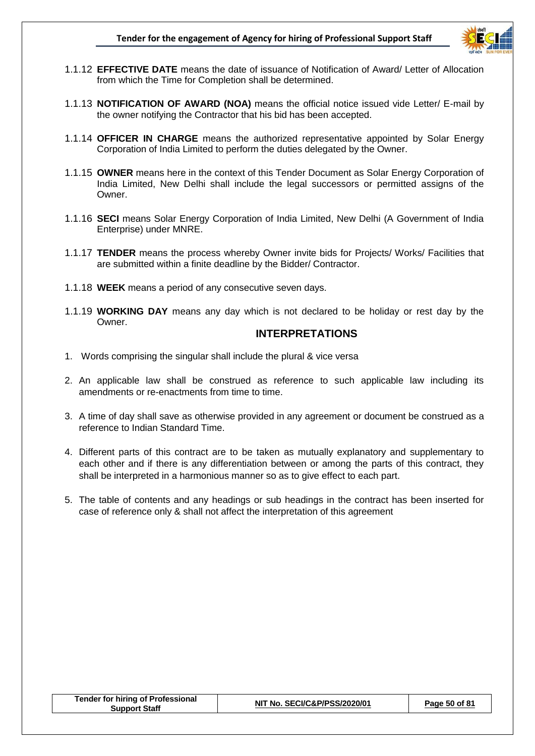

- 1.1.12 **EFFECTIVE DATE** means the date of issuance of Notification of Award/ Letter of Allocation from which the Time for Completion shall be determined.
- 1.1.13 **NOTIFICATION OF AWARD (NOA)** means the official notice issued vide Letter/ E-mail by the owner notifying the Contractor that his bid has been accepted.
- 1.1.14 **OFFICER IN CHARGE** means the authorized representative appointed by Solar Energy Corporation of India Limited to perform the duties delegated by the Owner.
- 1.1.15 **OWNER** means here in the context of this Tender Document as Solar Energy Corporation of India Limited, New Delhi shall include the legal successors or permitted assigns of the **Owner**
- 1.1.16 **SECI** means Solar Energy Corporation of India Limited, New Delhi (A Government of India Enterprise) under MNRE.
- 1.1.17 **TENDER** means the process whereby Owner invite bids for Projects/ Works/ Facilities that are submitted within a finite deadline by the Bidder/ Contractor.
- 1.1.18 **WEEK** means a period of any consecutive seven days.
- 1.1.19 **WORKING DAY** means any day which is not declared to be holiday or rest day by the Owner.

#### **INTERPRETATIONS**

- 1. Words comprising the singular shall include the plural & vice versa
- 2. An applicable law shall be construed as reference to such applicable law including its amendments or re-enactments from time to time.
- 3. A time of day shall save as otherwise provided in any agreement or document be construed as a reference to Indian Standard Time.
- 4. Different parts of this contract are to be taken as mutually explanatory and supplementary to each other and if there is any differentiation between or among the parts of this contract, they shall be interpreted in a harmonious manner so as to give effect to each part.
- 5. The table of contents and any headings or sub headings in the contract has been inserted for case of reference only & shall not affect the interpretation of this agreement

| <b>Tender for hiring of Professional</b><br>Support Staff | NIT No. SECI/C&P/PSS/2020/01 | Page 50 of 81 |
|-----------------------------------------------------------|------------------------------|---------------|
|-----------------------------------------------------------|------------------------------|---------------|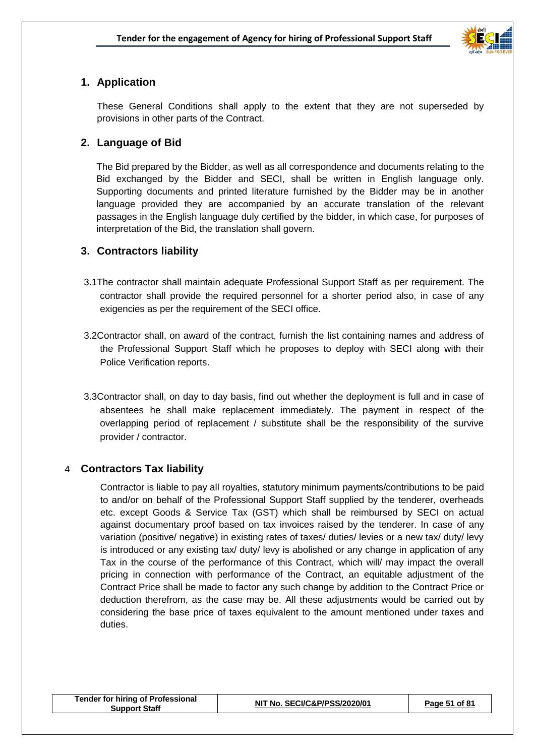

## **1. Application**

These General Conditions shall apply to the extent that they are not superseded by provisions in other parts of the Contract.

## **2. Language of Bid**

The Bid prepared by the Bidder, as well as all correspondence and documents relating to the Bid exchanged by the Bidder and SECI, shall be written in English language only. Supporting documents and printed literature furnished by the Bidder may be in another language provided they are accompanied by an accurate translation of the relevant passages in the English language duly certified by the bidder, in which case, for purposes of interpretation of the Bid, the translation shall govern.

## **3. Contractors liability**

- 3.1The contractor shall maintain adequate Professional Support Staff as per requirement. The contractor shall provide the required personnel for a shorter period also, in case of any exigencies as per the requirement of the SECI office.
- 3.2Contractor shall, on award of the contract, furnish the list containing names and address of the Professional Support Staff which he proposes to deploy with SECI along with their Police Verification reports.
- 3.3Contractor shall, on day to day basis, find out whether the deployment is full and in case of absentees he shall make replacement immediately. The payment in respect of the overlapping period of replacement / substitute shall be the responsibility of the survive provider / contractor.

## 4 **Contractors Tax liability**

Contractor is liable to pay all royalties, statutory minimum payments/contributions to be paid to and/or on behalf of the Professional Support Staff supplied by the tenderer, overheads etc. except Goods & Service Tax (GST) which shall be reimbursed by SECI on actual against documentary proof based on tax invoices raised by the tenderer. In case of any variation (positive/ negative) in existing rates of taxes/ duties/ levies or a new tax/ duty/ levy is introduced or any existing tax/ duty/ levy is abolished or any change in application of any Tax in the course of the performance of this Contract, which will/ may impact the overall pricing in connection with performance of the Contract, an equitable adjustment of the Contract Price shall be made to factor any such change by addition to the Contract Price or deduction therefrom, as the case may be. All these adjustments would be carried out by considering the base price of taxes equivalent to the amount mentioned under taxes and duties.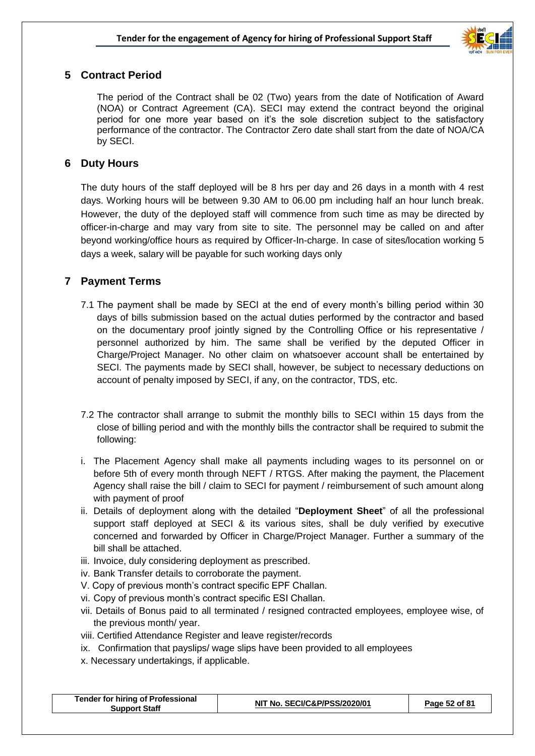

## **5 Contract Period**

The period of the Contract shall be 02 (Two) years from the date of Notification of Award (NOA) or Contract Agreement (CA). SECI may extend the contract beyond the original period for one more year based on it's the sole discretion subject to the satisfactory performance of the contractor. The Contractor Zero date shall start from the date of NOA/CA by SECI.

## **6 Duty Hours**

The duty hours of the staff deployed will be 8 hrs per day and 26 days in a month with 4 rest days. Working hours will be between 9.30 AM to 06.00 pm including half an hour lunch break. However, the duty of the deployed staff will commence from such time as may be directed by officer-in-charge and may vary from site to site. The personnel may be called on and after beyond working/office hours as required by Officer-In-charge. In case of sites/location working 5 days a week, salary will be payable for such working days only

## **7 Payment Terms**

- 7.1 The payment shall be made by SECI at the end of every month's billing period within 30 days of bills submission based on the actual duties performed by the contractor and based on the documentary proof jointly signed by the Controlling Office or his representative / personnel authorized by him. The same shall be verified by the deputed Officer in Charge/Project Manager. No other claim on whatsoever account shall be entertained by SECI. The payments made by SECI shall, however, be subject to necessary deductions on account of penalty imposed by SECI, if any, on the contractor, TDS, etc.
- 7.2 The contractor shall arrange to submit the monthly bills to SECI within 15 days from the close of billing period and with the monthly bills the contractor shall be required to submit the following:
- i. The Placement Agency shall make all payments including wages to its personnel on or before 5th of every month through NEFT / RTGS. After making the payment, the Placement Agency shall raise the bill / claim to SECI for payment / reimbursement of such amount along with payment of proof
- ii. Details of deployment along with the detailed "**Deployment Sheet**" of all the professional support staff deployed at SECI & its various sites, shall be duly verified by executive concerned and forwarded by Officer in Charge/Project Manager. Further a summary of the bill shall be attached.
- iii. Invoice, duly considering deployment as prescribed.
- iv. Bank Transfer details to corroborate the payment.
- V. Copy of previous month's contract specific EPF Challan.
- vi. Copy of previous month's contract specific ESI Challan.
- vii. Details of Bonus paid to all terminated / resigned contracted employees, employee wise, of the previous month/ year.
- viii. Certified Attendance Register and leave register/records
- ix. Confirmation that payslips/ wage slips have been provided to all employees
- x. Necessary undertakings, if applicable.

| <b>Tender for hiring of Professional</b><br>NIT No. SECI/C&P/PSS/2020/01<br>Page 52 of 81<br><b>Support Staff</b> |
|-------------------------------------------------------------------------------------------------------------------|
|-------------------------------------------------------------------------------------------------------------------|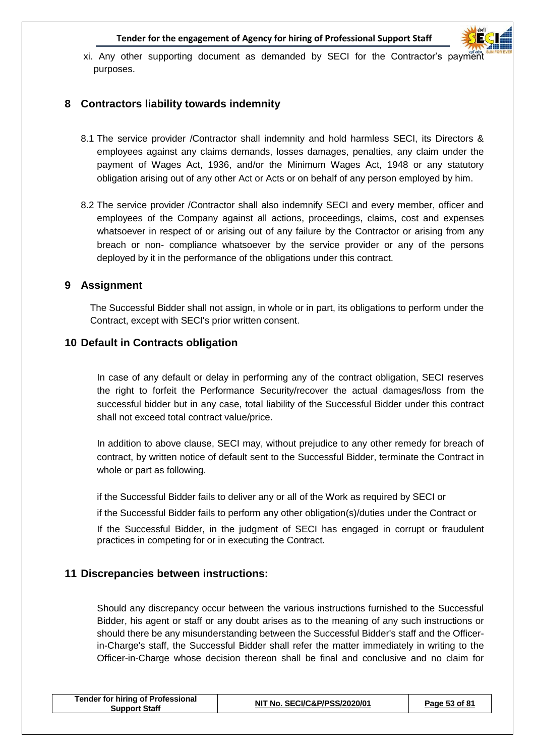

xi. Any other supporting document as demanded by SECI for the Contractor's payment purposes.

## **8 Contractors liability towards indemnity**

- 8.1 The service provider /Contractor shall indemnity and hold harmless SECI, its Directors & employees against any claims demands, losses damages, penalties, any claim under the payment of Wages Act, 1936, and/or the Minimum Wages Act, 1948 or any statutory obligation arising out of any other Act or Acts or on behalf of any person employed by him.
- 8.2 The service provider /Contractor shall also indemnify SECI and every member, officer and employees of the Company against all actions, proceedings, claims, cost and expenses whatsoever in respect of or arising out of any failure by the Contractor or arising from any breach or non- compliance whatsoever by the service provider or any of the persons deployed by it in the performance of the obligations under this contract.

#### **9 Assignment**

The Successful Bidder shall not assign, in whole or in part, its obligations to perform under the Contract, except with SECI's prior written consent.

#### **10 Default in Contracts obligation**

In case of any default or delay in performing any of the contract obligation, SECI reserves the right to forfeit the Performance Security/recover the actual damages/loss from the successful bidder but in any case, total liability of the Successful Bidder under this contract shall not exceed total contract value/price.

In addition to above clause, SECI may, without prejudice to any other remedy for breach of contract, by written notice of default sent to the Successful Bidder, terminate the Contract in whole or part as following.

if the Successful Bidder fails to deliver any or all of the Work as required by SECI or

if the Successful Bidder fails to perform any other obligation(s)/duties under the Contract or

If the Successful Bidder, in the judgment of SECI has engaged in corrupt or fraudulent practices in competing for or in executing the Contract.

## **11 Discrepancies between instructions:**

Should any discrepancy occur between the various instructions furnished to the Successful Bidder, his agent or staff or any doubt arises as to the meaning of any such instructions or should there be any misunderstanding between the Successful Bidder's staff and the Officerin-Charge's staff, the Successful Bidder shall refer the matter immediately in writing to the Officer-in-Charge whose decision thereon shall be final and conclusive and no claim for

| Tender for hiring of Professional<br><b>Support Staff</b> | NIT No. SECI/C&P/PSS/2020/01 | Page 53 of 81 |
|-----------------------------------------------------------|------------------------------|---------------|
|                                                           |                              |               |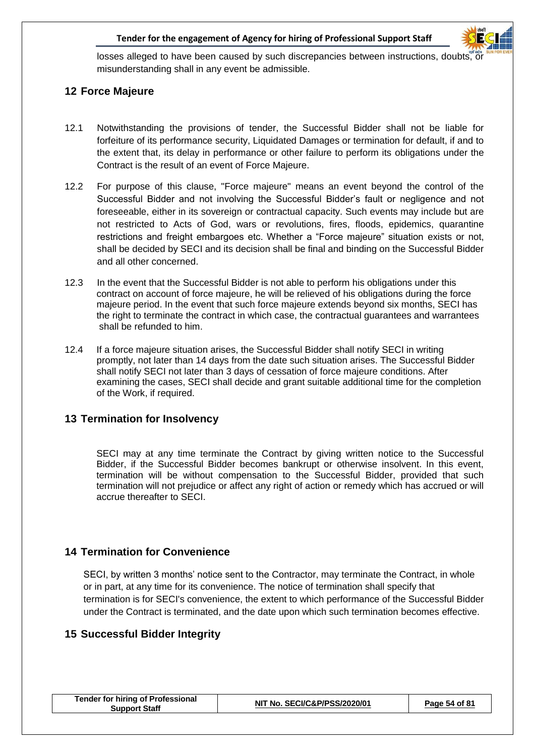

losses alleged to have been caused by such discrepancies between instructions, doubts, or misunderstanding shall in any event be admissible.

## **12 Force Majeure**

- 12.1 Notwithstanding the provisions of tender, the Successful Bidder shall not be liable for forfeiture of its performance security, Liquidated Damages or termination for default, if and to the extent that, its delay in performance or other failure to perform its obligations under the Contract is the result of an event of Force Majeure.
- 12.2 For purpose of this clause, "Force majeure" means an event beyond the control of the Successful Bidder and not involving the Successful Bidder's fault or negligence and not foreseeable, either in its sovereign or contractual capacity. Such events may include but are not restricted to Acts of God, wars or revolutions, fires, floods, epidemics, quarantine restrictions and freight embargoes etc. Whether a "Force majeure" situation exists or not, shall be decided by SECI and its decision shall be final and binding on the Successful Bidder and all other concerned.
- 12.3 In the event that the Successful Bidder is not able to perform his obligations under this contract on account of force majeure, he will be relieved of his obligations during the force majeure period. In the event that such force majeure extends beyond six months, SECI has the right to terminate the contract in which case, the contractual guarantees and warrantees shall be refunded to him.
- 12.4 If a force majeure situation arises, the Successful Bidder shall notify SECI in writing promptly, not later than 14 days from the date such situation arises. The Successful Bidder shall notify SECI not later than 3 days of cessation of force majeure conditions. After examining the cases, SECI shall decide and grant suitable additional time for the completion of the Work, if required.

## **13 Termination for Insolvency**

SECI may at any time terminate the Contract by giving written notice to the Successful Bidder, if the Successful Bidder becomes bankrupt or otherwise insolvent. In this event, termination will be without compensation to the Successful Bidder, provided that such termination will not prejudice or affect any right of action or remedy which has accrued or will accrue thereafter to SECI.

## **14 Termination for Convenience**

SECI, by written 3 months' notice sent to the Contractor, may terminate the Contract, in whole or in part, at any time for its convenience. The notice of termination shall specify that termination is for SECI's convenience, the extent to which performance of the Successful Bidder under the Contract is terminated, and the date upon which such termination becomes effective.

## **15 Successful Bidder Integrity**

| <b>Tender for hiring of Professional</b><br>Support Staff | NIT No. SECI/C&P/PSS/2020/01 | Page 54 of 81 |
|-----------------------------------------------------------|------------------------------|---------------|
|-----------------------------------------------------------|------------------------------|---------------|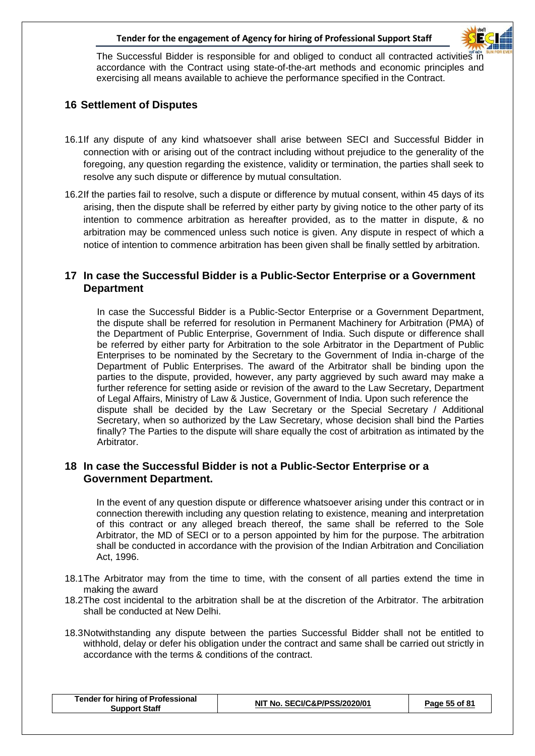

The Successful Bidder is responsible for and obliged to conduct all contracted activities in accordance with the Contract using state-of-the-art methods and economic principles and exercising all means available to achieve the performance specified in the Contract.

## **16 Settlement of Disputes**

- 16.1If any dispute of any kind whatsoever shall arise between SECI and Successful Bidder in connection with or arising out of the contract including without prejudice to the generality of the foregoing, any question regarding the existence, validity or termination, the parties shall seek to resolve any such dispute or difference by mutual consultation.
- 16.2If the parties fail to resolve, such a dispute or difference by mutual consent, within 45 days of its arising, then the dispute shall be referred by either party by giving notice to the other party of its intention to commence arbitration as hereafter provided, as to the matter in dispute, & no arbitration may be commenced unless such notice is given. Any dispute in respect of which a notice of intention to commence arbitration has been given shall be finally settled by arbitration.

## **17 In case the Successful Bidder is a Public-Sector Enterprise or a Government Department**

In case the Successful Bidder is a Public-Sector Enterprise or a Government Department, the dispute shall be referred for resolution in Permanent Machinery for Arbitration (PMA) of the Department of Public Enterprise, Government of India. Such dispute or difference shall be referred by either party for Arbitration to the sole Arbitrator in the Department of Public Enterprises to be nominated by the Secretary to the Government of India in-charge of the Department of Public Enterprises. The award of the Arbitrator shall be binding upon the parties to the dispute, provided, however, any party aggrieved by such award may make a further reference for setting aside or revision of the award to the Law Secretary, Department of Legal Affairs, Ministry of Law & Justice, Government of India. Upon such reference the dispute shall be decided by the Law Secretary or the Special Secretary / Additional Secretary, when so authorized by the Law Secretary, whose decision shall bind the Parties finally? The Parties to the dispute will share equally the cost of arbitration as intimated by the Arbitrator.

## **18 In case the Successful Bidder is not a Public-Sector Enterprise or a Government Department.**

In the event of any question dispute or difference whatsoever arising under this contract or in connection therewith including any question relating to existence, meaning and interpretation of this contract or any alleged breach thereof, the same shall be referred to the Sole Arbitrator, the MD of SECI or to a person appointed by him for the purpose. The arbitration shall be conducted in accordance with the provision of the Indian Arbitration and Conciliation Act, 1996.

- 18.1The Arbitrator may from the time to time, with the consent of all parties extend the time in making the award
- 18.2The cost incidental to the arbitration shall be at the discretion of the Arbitrator. The arbitration shall be conducted at New Delhi.
- 18.3Notwithstanding any dispute between the parties Successful Bidder shall not be entitled to withhold, delay or defer his obligation under the contract and same shall be carried out strictly in accordance with the terms & conditions of the contract.

| <b>Tender for hiring of Professional</b><br><b>Support Staff</b> | NIT No. SECI/C&P/PSS/2020/01 | Page 55 of 81 |
|------------------------------------------------------------------|------------------------------|---------------|
|                                                                  |                              |               |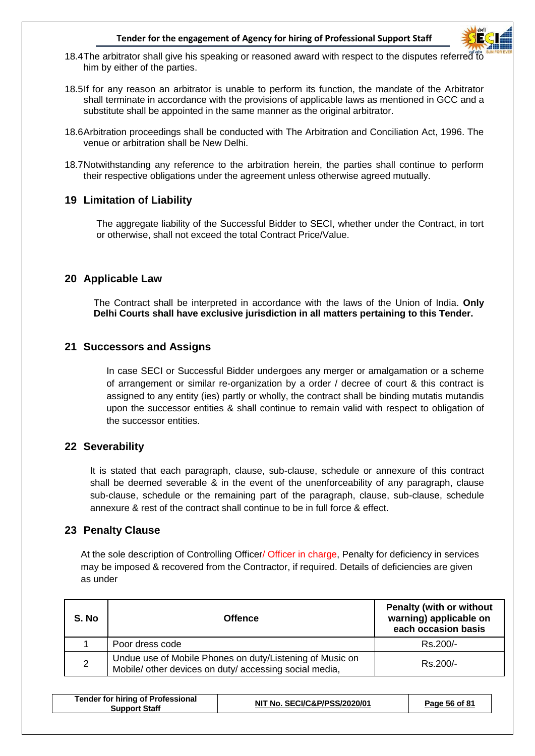

- 18.4The arbitrator shall give his speaking or reasoned award with respect to the disputes referred to him by either of the parties.
- 18.5If for any reason an arbitrator is unable to perform its function, the mandate of the Arbitrator shall terminate in accordance with the provisions of applicable laws as mentioned in GCC and a substitute shall be appointed in the same manner as the original arbitrator.
- 18.6Arbitration proceedings shall be conducted with The Arbitration and Conciliation Act, 1996. The venue or arbitration shall be New Delhi.
- 18.7Notwithstanding any reference to the arbitration herein, the parties shall continue to perform their respective obligations under the agreement unless otherwise agreed mutually.

#### **19 Limitation of Liability**

The aggregate liability of the Successful Bidder to SECI, whether under the Contract, in tort or otherwise, shall not exceed the total Contract Price/Value.

#### **20 Applicable Law**

The Contract shall be interpreted in accordance with the laws of the Union of India. **Only Delhi Courts shall have exclusive jurisdiction in all matters pertaining to this Tender.**

#### **21 Successors and Assigns**

In case SECI or Successful Bidder undergoes any merger or amalgamation or a scheme of arrangement or similar re-organization by a order / decree of court & this contract is assigned to any entity (ies) partly or wholly, the contract shall be binding mutatis mutandis upon the successor entities & shall continue to remain valid with respect to obligation of the successor entities.

#### **22 Severability**

It is stated that each paragraph, clause, sub-clause, schedule or annexure of this contract shall be deemed severable & in the event of the unenforceability of any paragraph, clause sub-clause, schedule or the remaining part of the paragraph, clause, sub-clause, schedule annexure & rest of the contract shall continue to be in full force & effect.

## **23 Penalty Clause**

At the sole description of Controlling Officer/ Officer in charge, Penalty for deficiency in services may be imposed & recovered from the Contractor, if required. Details of deficiencies are given as under

| S. No | <b>Offence</b>                                                                                                     | <b>Penalty (with or without</b><br>warning) applicable on<br>each occasion basis |
|-------|--------------------------------------------------------------------------------------------------------------------|----------------------------------------------------------------------------------|
|       | Poor dress code                                                                                                    | $Rs.200/-$                                                                       |
| 2     | Undue use of Mobile Phones on duty/Listening of Music on<br>Mobile/ other devices on duty/ accessing social media, | $Rs.200/-$                                                                       |

| <b>Tender for hiring of Professional</b><br><b>Support Staff</b> | NIT No. SECI/C&P/PSS/2020/01 | Page 56 of 81 |
|------------------------------------------------------------------|------------------------------|---------------|
|                                                                  |                              |               |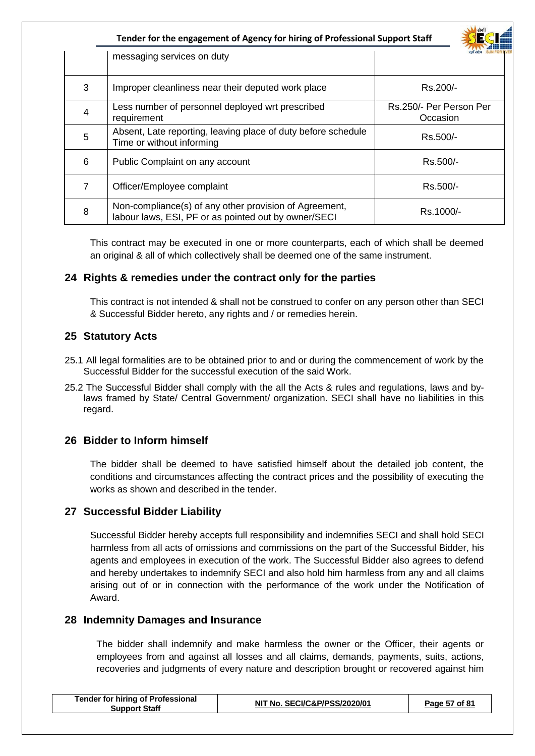|                | Tender for the engagement of Agency for hiring of Professional Support Staff                                   | सेकी                                |
|----------------|----------------------------------------------------------------------------------------------------------------|-------------------------------------|
|                | messaging services on duty                                                                                     |                                     |
| 3              | Improper cleanliness near their deputed work place                                                             | Rs.200/-                            |
| 4              | Less number of personnel deployed wrt prescribed<br>requirement                                                | Rs.250/- Per Person Per<br>Occasion |
| 5              | Absent, Late reporting, leaving place of duty before schedule<br>Time or without informing                     | Rs.500/-                            |
| 6              | Public Complaint on any account                                                                                | Rs.500/-                            |
| $\overline{7}$ | Officer/Employee complaint                                                                                     | Rs.500/-                            |
| 8              | Non-compliance(s) of any other provision of Agreement,<br>labour laws, ESI, PF or as pointed out by owner/SECI | Rs.1000/-                           |

This contract may be executed in one or more counterparts, each of which shall be deemed an original & all of which collectively shall be deemed one of the same instrument.

## **24 Rights & remedies under the contract only for the parties**

This contract is not intended & shall not be construed to confer on any person other than SECI & Successful Bidder hereto, any rights and / or remedies herein.

#### **25 Statutory Acts**

- 25.1 All legal formalities are to be obtained prior to and or during the commencement of work by the Successful Bidder for the successful execution of the said Work.
- 25.2 The Successful Bidder shall comply with the all the Acts & rules and regulations, laws and bylaws framed by State/ Central Government/ organization. SECI shall have no liabilities in this regard.

## **26 Bidder to Inform himself**

The bidder shall be deemed to have satisfied himself about the detailed job content, the conditions and circumstances affecting the contract prices and the possibility of executing the works as shown and described in the tender.

## **27 Successful Bidder Liability**

Successful Bidder hereby accepts full responsibility and indemnifies SECI and shall hold SECI harmless from all acts of omissions and commissions on the part of the Successful Bidder, his agents and employees in execution of the work. The Successful Bidder also agrees to defend and hereby undertakes to indemnify SECI and also hold him harmless from any and all claims arising out of or in connection with the performance of the work under the Notification of Award.

#### **28 Indemnity Damages and Insurance**

The bidder shall indemnify and make harmless the owner or the Officer, their agents or employees from and against all losses and all claims, demands, payments, suits, actions, recoveries and judgments of every nature and description brought or recovered against him

| <b>Tender for hiring of Professional</b> | NIT No. SECI/C&P/PSS/2020/01 |
|------------------------------------------|------------------------------|
| <b>Support Staff</b>                     | Page 57 of 81                |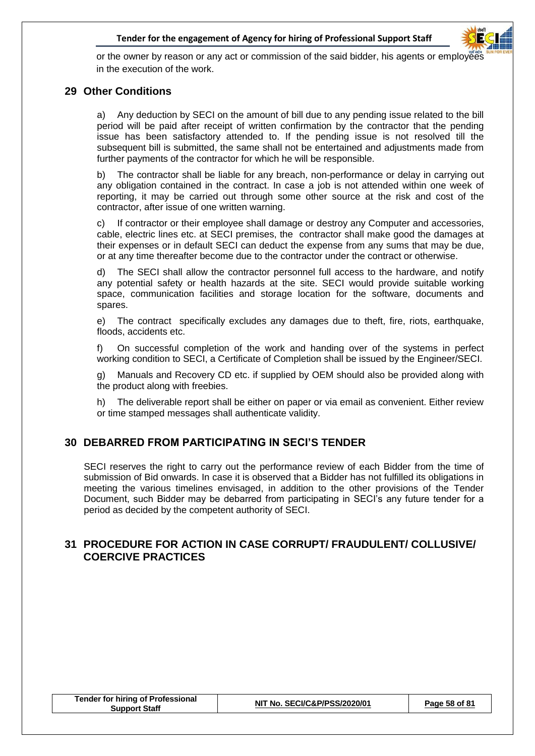

or the owner by reason or any act or commission of the said bidder, his agents or employees in the execution of the work.

### **29 Other Conditions**

a) Any deduction by SECI on the amount of bill due to any pending issue related to the bill period will be paid after receipt of written confirmation by the contractor that the pending issue has been satisfactory attended to. If the pending issue is not resolved till the subsequent bill is submitted, the same shall not be entertained and adjustments made from further payments of the contractor for which he will be responsible.

b) The contractor shall be liable for any breach, non-performance or delay in carrying out any obligation contained in the contract. In case a job is not attended within one week of reporting, it may be carried out through some other source at the risk and cost of the contractor, after issue of one written warning.

c) If contractor or their employee shall damage or destroy any Computer and accessories, cable, electric lines etc. at SECI premises, the contractor shall make good the damages at their expenses or in default SECI can deduct the expense from any sums that may be due, or at any time thereafter become due to the contractor under the contract or otherwise.

d) The SECI shall allow the contractor personnel full access to the hardware, and notify any potential safety or health hazards at the site. SECI would provide suitable working space, communication facilities and storage location for the software, documents and spares.

e) The contract specifically excludes any damages due to theft, fire, riots, earthquake, floods, accidents etc.

f) On successful completion of the work and handing over of the systems in perfect working condition to SECI, a Certificate of Completion shall be issued by the Engineer/SECI.

g) Manuals and Recovery CD etc. if supplied by OEM should also be provided along with the product along with freebies.

h) The deliverable report shall be either on paper or via email as convenient. Either review or time stamped messages shall authenticate validity.

## **30 DEBARRED FROM PARTICIPATING IN SECI'S TENDER**

SECI reserves the right to carry out the performance review of each Bidder from the time of submission of Bid onwards. In case it is observed that a Bidder has not fulfilled its obligations in meeting the various timelines envisaged, in addition to the other provisions of the Tender Document, such Bidder may be debarred from participating in SECI's any future tender for a period as decided by the competent authority of SECI.

## **31 PROCEDURE FOR ACTION IN CASE CORRUPT/ FRAUDULENT/ COLLUSIVE/ COERCIVE PRACTICES**

| <b>Tender for hiring of Professional</b> |
|------------------------------------------|
| <b>Support Staff</b>                     |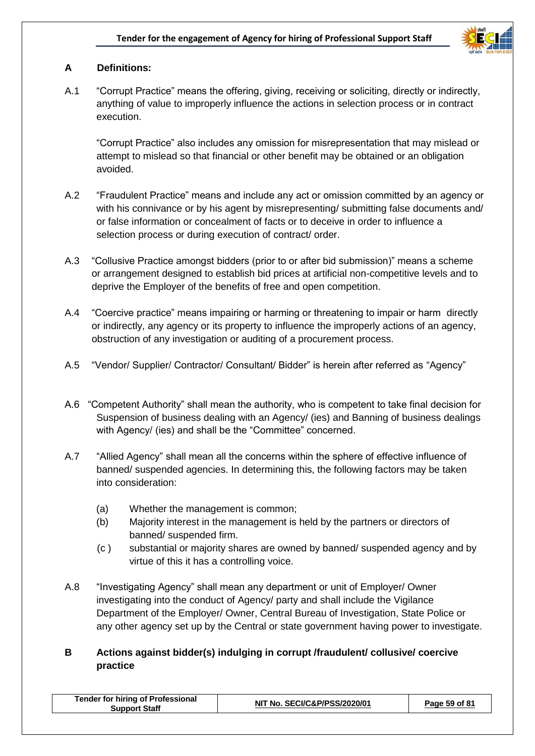

## **A Definitions:**

A.1 "Corrupt Practice" means the offering, giving, receiving or soliciting, directly or indirectly, anything of value to improperly influence the actions in selection process or in contract execution.

"Corrupt Practice" also includes any omission for misrepresentation that may mislead or attempt to mislead so that financial or other benefit may be obtained or an obligation avoided.

- A.2 "Fraudulent Practice" means and include any act or omission committed by an agency or with his connivance or by his agent by misrepresenting/ submitting false documents and/ or false information or concealment of facts or to deceive in order to influence a selection process or during execution of contract/ order.
- A.3 "Collusive Practice amongst bidders (prior to or after bid submission)" means a scheme or arrangement designed to establish bid prices at artificial non-competitive levels and to deprive the Employer of the benefits of free and open competition.
- A.4 "Coercive practice" means impairing or harming or threatening to impair or harm directly or indirectly, any agency or its property to influence the improperly actions of an agency, obstruction of any investigation or auditing of a procurement process.
- A.5 "Vendor/ Supplier/ Contractor/ Consultant/ Bidder" is herein after referred as "Agency"
- A.6 "Competent Authority" shall mean the authority, who is competent to take final decision for Suspension of business dealing with an Agency/ (ies) and Banning of business dealings with Agency/ (ies) and shall be the "Committee" concerned.
- A.7 "Allied Agency" shall mean all the concerns within the sphere of effective influence of banned/ suspended agencies. In determining this, the following factors may be taken into consideration:
	- (a) Whether the management is common;
	- (b) Majority interest in the management is held by the partners or directors of banned/ suspended firm.
	- (c ) substantial or majority shares are owned by banned/ suspended agency and by virtue of this it has a controlling voice.
- A.8 "Investigating Agency" shall mean any department or unit of Employer/ Owner investigating into the conduct of Agency/ party and shall include the Vigilance Department of the Employer/ Owner, Central Bureau of Investigation, State Police or any other agency set up by the Central or state government having power to investigate.

## **B Actions against bidder(s) indulging in corrupt /fraudulent/ collusive/ coercive practice**

| <b>Tender for hiring of Professional</b><br>Support Staff | NIT No. SECI/C&P/PSS/2020/01 | Page 59 of 81 |
|-----------------------------------------------------------|------------------------------|---------------|
|                                                           |                              |               |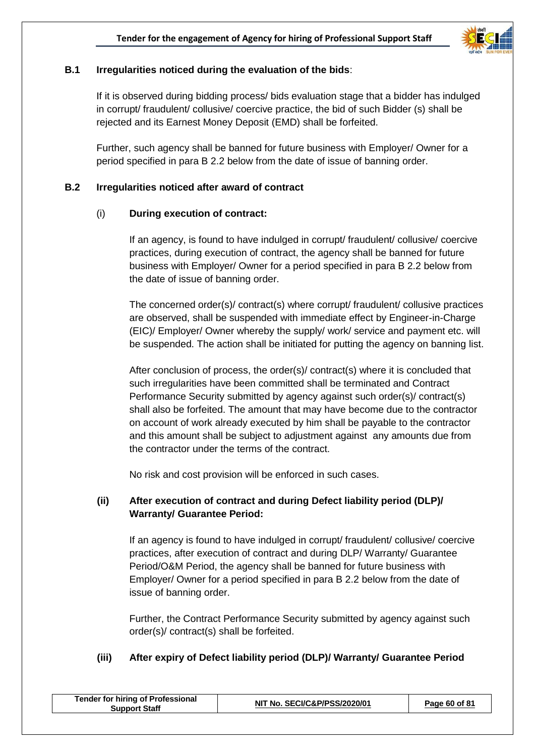

## **B.1 Irregularities noticed during the evaluation of the bids**:

If it is observed during bidding process/ bids evaluation stage that a bidder has indulged in corrupt/ fraudulent/ collusive/ coercive practice, the bid of such Bidder (s) shall be rejected and its Earnest Money Deposit (EMD) shall be forfeited.

Further, such agency shall be banned for future business with Employer/ Owner for a period specified in para B 2.2 below from the date of issue of banning order.

#### **B.2 Irregularities noticed after award of contract**

#### (i) **During execution of contract:**

If an agency, is found to have indulged in corrupt/ fraudulent/ collusive/ coercive practices, during execution of contract, the agency shall be banned for future business with Employer/ Owner for a period specified in para B 2.2 below from the date of issue of banning order.

The concerned order(s)/ contract(s) where corrupt/ fraudulent/ collusive practices are observed, shall be suspended with immediate effect by Engineer-in-Charge (EIC)/ Employer/ Owner whereby the supply/ work/ service and payment etc. will be suspended. The action shall be initiated for putting the agency on banning list.

After conclusion of process, the order(s)/ contract(s) where it is concluded that such irregularities have been committed shall be terminated and Contract Performance Security submitted by agency against such order(s)/ contract(s) shall also be forfeited. The amount that may have become due to the contractor on account of work already executed by him shall be payable to the contractor and this amount shall be subject to adjustment against any amounts due from the contractor under the terms of the contract.

No risk and cost provision will be enforced in such cases.

## **(ii) After execution of contract and during Defect liability period (DLP)/ Warranty/ Guarantee Period:**

If an agency is found to have indulged in corrupt/ fraudulent/ collusive/ coercive practices, after execution of contract and during DLP/ Warranty/ Guarantee Period/O&M Period, the agency shall be banned for future business with Employer/ Owner for a period specified in para B 2.2 below from the date of issue of banning order.

Further, the Contract Performance Security submitted by agency against such order(s)/ contract(s) shall be forfeited.

## **(iii) After expiry of Defect liability period (DLP)/ Warranty/ Guarantee Period**

| <b>Tender for hiring of Professional</b><br><b>Support Staff</b> | NIT No. SECI/C&P/PSS/2020/01 | Page 60 of 81 |
|------------------------------------------------------------------|------------------------------|---------------|
|                                                                  |                              |               |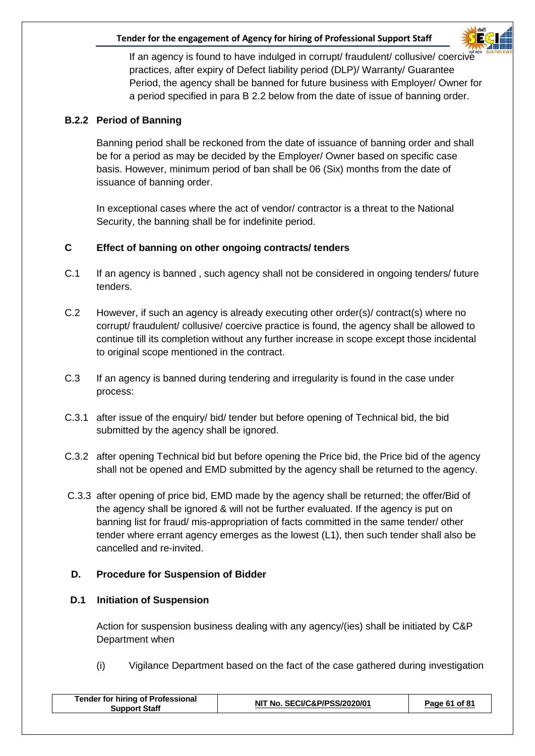

If an agency is found to have indulged in corrupt/ fraudulent/ collusive/ coercive practices, after expiry of Defect liability period (DLP)/ Warranty/ Guarantee Period, the agency shall be banned for future business with Employer/ Owner for a period specified in para B 2.2 below from the date of issue of banning order.

## **B.2.2 Period of Banning**

Banning period shall be reckoned from the date of issuance of banning order and shall be for a period as may be decided by the Employer/ Owner based on specific case basis. However, minimum period of ban shall be 06 (Six) months from the date of issuance of banning order.

In exceptional cases where the act of vendor/ contractor is a threat to the National Security, the banning shall be for indefinite period.

## **C Effect of banning on other ongoing contracts/ tenders**

- C.1 If an agency is banned, such agency shall not be considered in ongoing tenders/ future tenders.
- C.2 However, if such an agency is already executing other order(s)/ contract(s) where no corrupt/ fraudulent/ collusive/ coercive practice is found, the agency shall be allowed to continue till its completion without any further increase in scope except those incidental to original scope mentioned in the contract.
- C.3 If an agency is banned during tendering and irregularity is found in the case under process:
- C.3.1 after issue of the enquiry/ bid/ tender but before opening of Technical bid, the bid submitted by the agency shall be ignored.
- C.3.2 after opening Technical bid but before opening the Price bid, the Price bid of the agency shall not be opened and EMD submitted by the agency shall be returned to the agency.
- C.3.3 after opening of price bid, EMD made by the agency shall be returned; the offer/Bid of the agency shall be ignored & will not be further evaluated. If the agency is put on banning list for fraud/ mis-appropriation of facts committed in the same tender/ other tender where errant agency emerges as the lowest (L1), then such tender shall also be cancelled and re-invited.

## **D. Procedure for Suspension of Bidder**

## **D.1 Initiation of Suspension**

Action for suspension business dealing with any agency/(ies) shall be initiated by C&P Department when

(i) Vigilance Department based on the fact of the case gathered during investigation

| <b>Tender for hiring of Professional</b><br><b>Support Staff</b> | NIT No. SECI/C&P/PSS/2020/01 | Page 61 of 81 |
|------------------------------------------------------------------|------------------------------|---------------|
|------------------------------------------------------------------|------------------------------|---------------|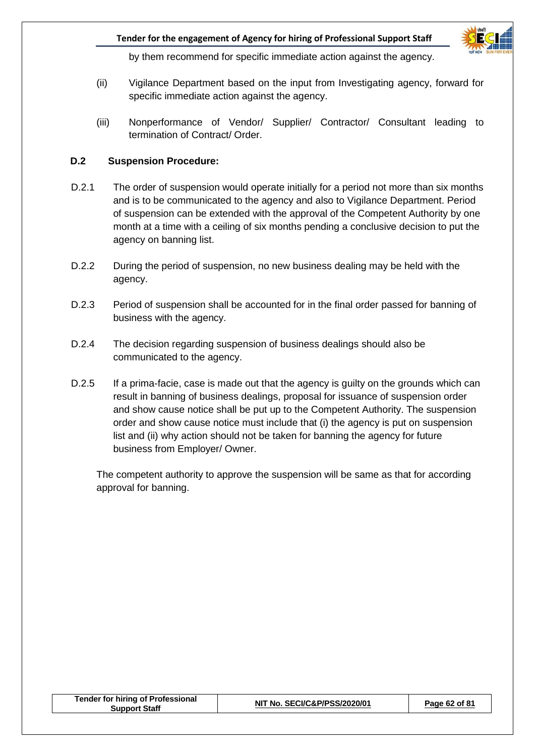

by them recommend for specific immediate action against the agency.

- (ii) Vigilance Department based on the input from Investigating agency, forward for specific immediate action against the agency.
- (iii) Nonperformance of Vendor/ Supplier/ Contractor/ Consultant leading to termination of Contract/ Order.

### **D.2 Suspension Procedure:**

- D.2.1 The order of suspension would operate initially for a period not more than six months and is to be communicated to the agency and also to Vigilance Department. Period of suspension can be extended with the approval of the Competent Authority by one month at a time with a ceiling of six months pending a conclusive decision to put the agency on banning list.
- D.2.2 During the period of suspension, no new business dealing may be held with the agency.
- D.2.3 Period of suspension shall be accounted for in the final order passed for banning of business with the agency.
- D.2.4 The decision regarding suspension of business dealings should also be communicated to the agency.
- D.2.5 If a prima-facie, case is made out that the agency is guilty on the grounds which can result in banning of business dealings, proposal for issuance of suspension order and show cause notice shall be put up to the Competent Authority. The suspension order and show cause notice must include that (i) the agency is put on suspension list and (ii) why action should not be taken for banning the agency for future business from Employer/ Owner.

The competent authority to approve the suspension will be same as that for according approval for banning.

| NIT No. SECI/C&P/PSS/2020/01<br>Page 62 of 81<br><b>Support Staff</b> | <b>Tender for hiring of Professional</b> |  |  |
|-----------------------------------------------------------------------|------------------------------------------|--|--|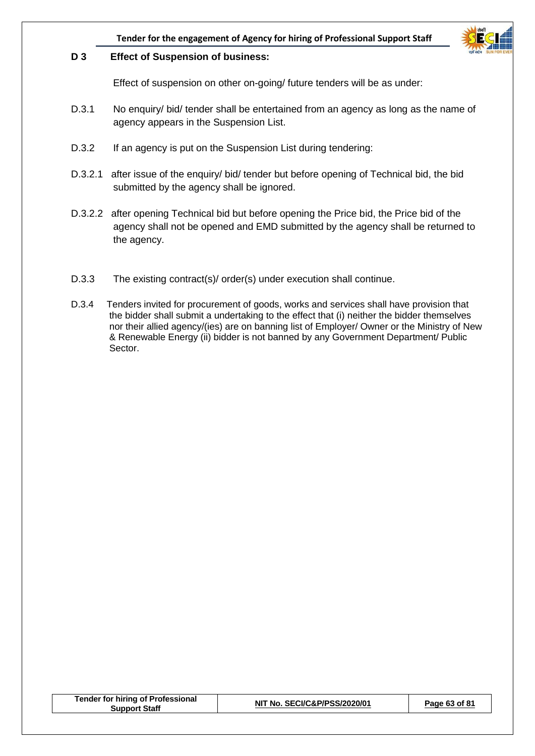

#### **D 3 Effect of Suspension of business:**

Effect of suspension on other on-going/ future tenders will be as under:

- D.3.1 No enquiry/ bid/ tender shall be entertained from an agency as long as the name of agency appears in the Suspension List.
- D.3.2 If an agency is put on the Suspension List during tendering:
- D.3.2.1 after issue of the enquiry/ bid/ tender but before opening of Technical bid, the bid submitted by the agency shall be ignored.
- D.3.2.2 after opening Technical bid but before opening the Price bid, the Price bid of the agency shall not be opened and EMD submitted by the agency shall be returned to the agency.
- D.3.3 The existing contract(s)/ order(s) under execution shall continue.
- D.3.4 Tenders invited for procurement of goods, works and services shall have provision that the bidder shall submit a undertaking to the effect that (i) neither the bidder themselves nor their allied agency/(ies) are on banning list of Employer/ Owner or the Ministry of New & Renewable Energy (ii) bidder is not banned by any Government Department/ Public Sector.

| <b>Tender for hiring of Professional</b><br><b>Support Staff</b> | NIT No. SECI/C&P/PSS/2020/01 | Page 63 of 81 |
|------------------------------------------------------------------|------------------------------|---------------|
|                                                                  |                              |               |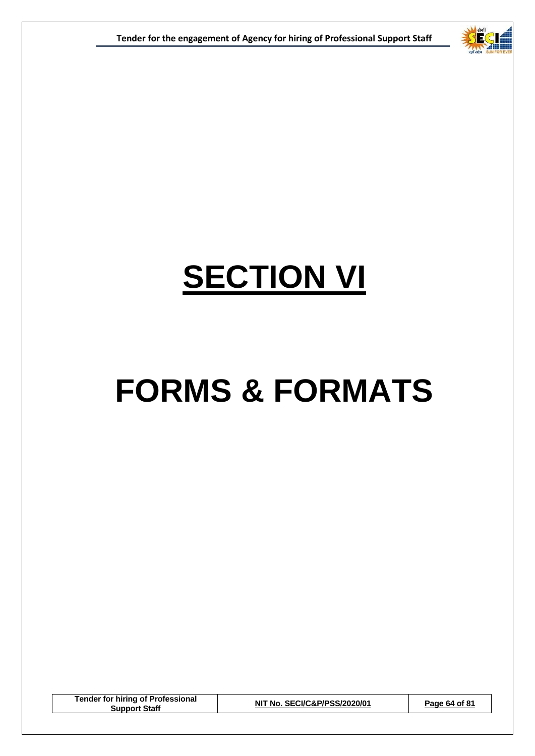



## **SECTION VI**

## **FORMS & FORMATS**

**Tender for hiring of Professional Support Staff NIT No. SECI/C&P/PSS/2020/01 Page 64 of 81**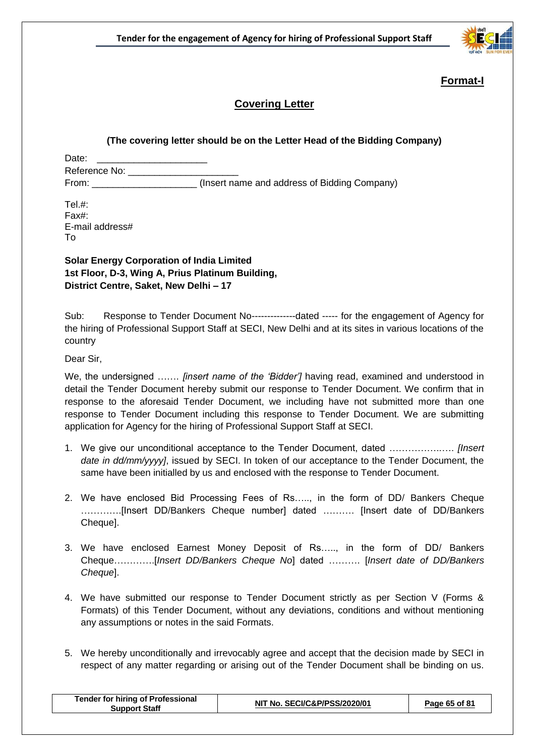

## **Format-I**

## **Covering Letter**

#### **(The covering letter should be on the Letter Head of the Bidding Company)**

Date: Reference No: \_\_\_\_\_\_\_\_\_\_\_\_\_\_\_\_\_\_\_\_\_ From: \_\_\_\_\_\_\_\_\_\_\_\_\_\_\_\_\_\_\_\_ (Insert name and address of Bidding Company)

Tel $#$ : Fax#: E-mail address# To

**Solar Energy Corporation of India Limited 1st Floor, D-3, Wing A, Prius Platinum Building, District Centre, Saket, New Delhi – 17**

Sub: Response to Tender Document No--------------dated ----- for the engagement of Agency for the hiring of Professional Support Staff at SECI, New Delhi and at its sites in various locations of the country

Dear Sir,

We, the undersigned ……. *[insert name of the 'Bidder']* having read, examined and understood in detail the Tender Document hereby submit our response to Tender Document. We confirm that in response to the aforesaid Tender Document, we including have not submitted more than one response to Tender Document including this response to Tender Document. We are submitting application for Agency for the hiring of Professional Support Staff at SECI.

- 1. We give our unconditional acceptance to the Tender Document, dated ……………..…. *[Insert date in dd/mm/yyyy]*, issued by SECI. In token of our acceptance to the Tender Document, the same have been initialled by us and enclosed with the response to Tender Document.
- 2. We have enclosed Bid Processing Fees of Rs….., in the form of DD/ Bankers Cheque ………….[Insert DD/Bankers Cheque number] dated ………. [Insert date of DD/Bankers Cheque].
- 3. We have enclosed Earnest Money Deposit of Rs….., in the form of DD/ Bankers Cheque………….[*Insert DD/Bankers Cheque No*] dated ………. [*Insert date of DD/Bankers Cheque*].
- 4. We have submitted our response to Tender Document strictly as per Section V (Forms & Formats) of this Tender Document, without any deviations, conditions and without mentioning any assumptions or notes in the said Formats.
- 5. We hereby unconditionally and irrevocably agree and accept that the decision made by SECI in respect of any matter regarding or arising out of the Tender Document shall be binding on us.

| <b>Tender for hiring of Professional</b><br><b>Support Staff</b> | NIT No. SECI/C&P/PSS/2020/01 | Page 65 of 81 |
|------------------------------------------------------------------|------------------------------|---------------|
|                                                                  |                              |               |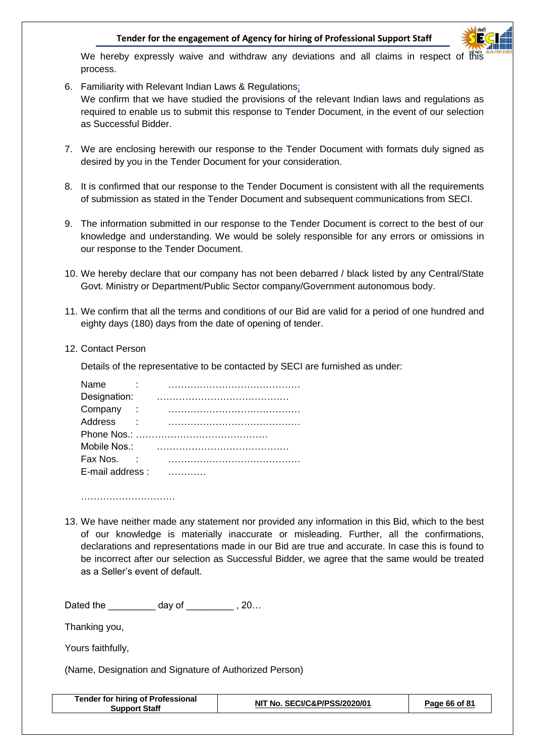

We hereby expressly waive and withdraw any deviations and all claims in respect of this process.

- 6. Familiarity with Relevant Indian Laws & Regulations: We confirm that we have studied the provisions of the relevant Indian laws and regulations as required to enable us to submit this response to Tender Document, in the event of our selection as Successful Bidder.
- 7. We are enclosing herewith our response to the Tender Document with formats duly signed as desired by you in the Tender Document for your consideration.
- 8. It is confirmed that our response to the Tender Document is consistent with all the requirements of submission as stated in the Tender Document and subsequent communications from SECI.
- 9. The information submitted in our response to the Tender Document is correct to the best of our knowledge and understanding. We would be solely responsible for any errors or omissions in our response to the Tender Document.
- 10. We hereby declare that our company has not been debarred / black listed by any Central/State Govt. Ministry or Department/Public Sector company/Government autonomous body.
- 11. We confirm that all the terms and conditions of our Bid are valid for a period of one hundred and eighty days (180) days from the date of opening of tender.
- 12. Contact Person

Details of the representative to be contacted by SECI are furnished as under:

| Name                |  |  |  |  |  |  |  |  |  |  |  |
|---------------------|--|--|--|--|--|--|--|--|--|--|--|
| Designation:        |  |  |  |  |  |  |  |  |  |  |  |
| Company<br>$\sim$ 1 |  |  |  |  |  |  |  |  |  |  |  |
| Address             |  |  |  |  |  |  |  |  |  |  |  |
|                     |  |  |  |  |  |  |  |  |  |  |  |
| Mobile Nos.:        |  |  |  |  |  |  |  |  |  |  |  |
| Fax Nos.            |  |  |  |  |  |  |  |  |  |  |  |
| E-mail address:     |  |  |  |  |  |  |  |  |  |  |  |

………………………………………

13. We have neither made any statement nor provided any information in this Bid, which to the best of our knowledge is materially inaccurate or misleading. Further, all the confirmations, declarations and representations made in our Bid are true and accurate. In case this is found to be incorrect after our selection as Successful Bidder, we agree that the same would be treated as a Seller's event of default.

Dated the \_\_\_\_\_\_\_\_\_\_ day of \_\_\_\_\_\_\_\_\_\_ , 20...

Thanking you,

Yours faithfully,

(Name, Designation and Signature of Authorized Person)

| <b>Tender for hiring of Professional</b><br>NIT No. SECI/C&P/PSS/2020/01<br>Page 66 of 81<br><b>Support Staff</b> |
|-------------------------------------------------------------------------------------------------------------------|
|-------------------------------------------------------------------------------------------------------------------|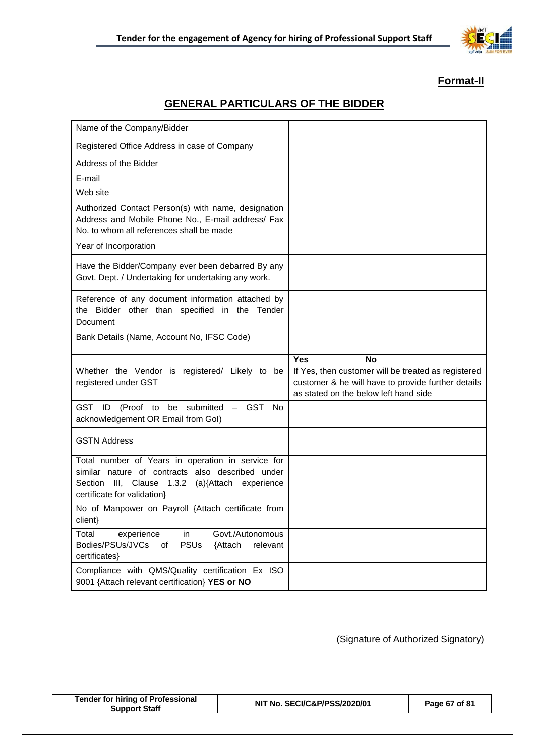

## **Format-II**

## **GENERAL PARTICULARS OF THE BIDDER**

| Name of the Company/Bidder                                                                                                                                                              |                                                                                                                                                                               |
|-----------------------------------------------------------------------------------------------------------------------------------------------------------------------------------------|-------------------------------------------------------------------------------------------------------------------------------------------------------------------------------|
| Registered Office Address in case of Company                                                                                                                                            |                                                                                                                                                                               |
| Address of the Bidder                                                                                                                                                                   |                                                                                                                                                                               |
| E-mail                                                                                                                                                                                  |                                                                                                                                                                               |
| Web site                                                                                                                                                                                |                                                                                                                                                                               |
| Authorized Contact Person(s) with name, designation<br>Address and Mobile Phone No., E-mail address/ Fax<br>No. to whom all references shall be made                                    |                                                                                                                                                                               |
| Year of Incorporation                                                                                                                                                                   |                                                                                                                                                                               |
| Have the Bidder/Company ever been debarred By any<br>Govt. Dept. / Undertaking for undertaking any work.                                                                                |                                                                                                                                                                               |
| Reference of any document information attached by<br>the Bidder other than specified in the Tender<br>Document                                                                          |                                                                                                                                                                               |
| Bank Details (Name, Account No, IFSC Code)                                                                                                                                              |                                                                                                                                                                               |
|                                                                                                                                                                                         |                                                                                                                                                                               |
| Whether the Vendor is registered/ Likely to be<br>registered under GST                                                                                                                  | <b>Yes</b><br><b>No</b><br>If Yes, then customer will be treated as registered<br>customer & he will have to provide further details<br>as stated on the below left hand side |
| GST ID (Proof to be submitted - GST No<br>acknowledgement OR Email from Gol)                                                                                                            |                                                                                                                                                                               |
| <b>GSTN Address</b>                                                                                                                                                                     |                                                                                                                                                                               |
| Total number of Years in operation in service for<br>similar nature of contracts also described under<br>Section III, Clause 1.3.2 (a){Attach experience<br>certificate for validation} |                                                                                                                                                                               |
| No of Manpower on Payroll {Attach certificate from<br>client}                                                                                                                           |                                                                                                                                                                               |
| Govt./Autonomous<br>Total<br>in<br>experience<br><b>PSUs</b><br>Bodies/PSUs/JVCs<br>relevant<br>of<br>{Attach<br>certificates}                                                          |                                                                                                                                                                               |

(Signature of Authorized Signatory)

| <b>Tender for hiring of Professional</b> |  |  |  |
|------------------------------------------|--|--|--|
| <b>Support Staff</b>                     |  |  |  |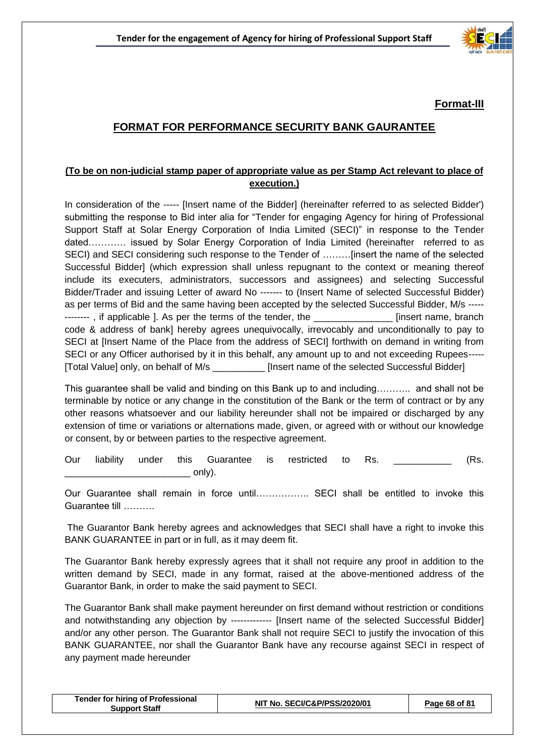

**Format-III**

## **FORMAT FOR PERFORMANCE SECURITY BANK GAURANTEE**

#### **(To be on non-judicial stamp paper of appropriate value as per Stamp Act relevant to place of execution.)**

In consideration of the ----- [Insert name of the Bidder] (hereinafter referred to as selected Bidder') submitting the response to Bid inter alia for "Tender for engaging Agency for hiring of Professional Support Staff at Solar Energy Corporation of India Limited (SECI)" in response to the Tender dated………… issued by Solar Energy Corporation of India Limited (hereinafter referred to as SECI) and SECI considering such response to the Tender of ………[insert the name of the selected Successful Bidder] (which expression shall unless repugnant to the context or meaning thereof include its executers, administrators, successors and assignees) and selecting Successful Bidder/Trader and issuing Letter of award No ------- to (Insert Name of selected Successful Bidder) as per terms of Bid and the same having been accepted by the selected Successful Bidder, M/s ----- --------, if applicable ]. As per the terms of the tender, the tender and a linsert name, branch code & address of bank] hereby agrees unequivocally, irrevocably and unconditionally to pay to SECI at [Insert Name of the Place from the address of SECI] forthwith on demand in writing from SECI or any Officer authorised by it in this behalf, any amount up to and not exceeding Rupees----- [Total Value] only, on behalf of M/s \_\_\_\_\_\_\_\_\_\_ [Insert name of the selected Successful Bidder]

This guarantee shall be valid and binding on this Bank up to and including……….. and shall not be terminable by notice or any change in the constitution of the Bank or the term of contract or by any other reasons whatsoever and our liability hereunder shall not be impaired or discharged by any extension of time or variations or alternations made, given, or agreed with or without our knowledge or consent, by or between parties to the respective agreement.

Our liability under this Guarantee is restricted to Rs. \_\_\_\_\_\_\_\_\_\_\_ (Rs.  $\_$  only).

Our Guarantee shall remain in force until…………….. SECI shall be entitled to invoke this Guarantee till ……….

The Guarantor Bank hereby agrees and acknowledges that SECI shall have a right to invoke this BANK GUARANTEE in part or in full, as it may deem fit.

The Guarantor Bank hereby expressly agrees that it shall not require any proof in addition to the written demand by SECI, made in any format, raised at the above-mentioned address of the Guarantor Bank, in order to make the said payment to SECI.

The Guarantor Bank shall make payment hereunder on first demand without restriction or conditions and notwithstanding any objection by ------------- [Insert name of the selected Successful Bidder] and/or any other person. The Guarantor Bank shall not require SECI to justify the invocation of this BANK GUARANTEE, nor shall the Guarantor Bank have any recourse against SECI in respect of any payment made hereunder

| <b>Tender for hiring of Professional</b><br><b>Support Staff</b> | NIT No. SECI/C&P/PSS/2020/01 | Page 68 of 81 |
|------------------------------------------------------------------|------------------------------|---------------|
|------------------------------------------------------------------|------------------------------|---------------|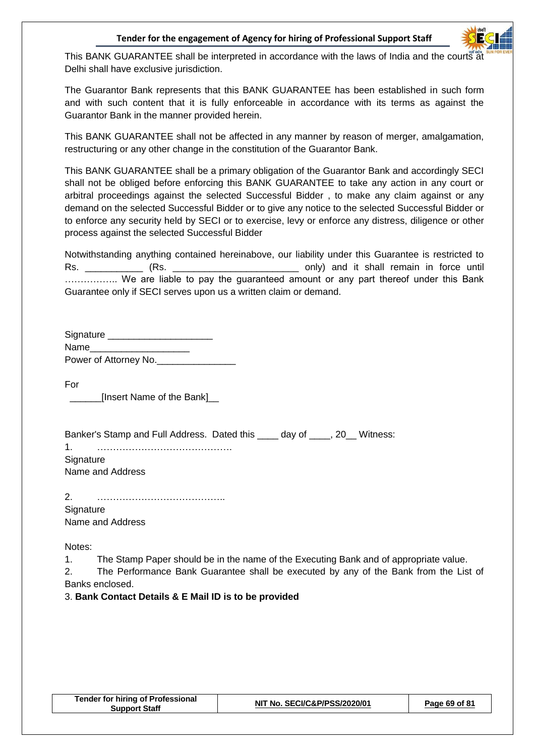

This BANK GUARANTEE shall be interpreted in accordance with the laws of India and the courts at Delhi shall have exclusive jurisdiction.

The Guarantor Bank represents that this BANK GUARANTEE has been established in such form and with such content that it is fully enforceable in accordance with its terms as against the Guarantor Bank in the manner provided herein.

This BANK GUARANTEE shall not be affected in any manner by reason of merger, amalgamation, restructuring or any other change in the constitution of the Guarantor Bank.

This BANK GUARANTEE shall be a primary obligation of the Guarantor Bank and accordingly SECI shall not be obliged before enforcing this BANK GUARANTEE to take any action in any court or arbitral proceedings against the selected Successful Bidder , to make any claim against or any demand on the selected Successful Bidder or to give any notice to the selected Successful Bidder or to enforce any security held by SECI or to exercise, levy or enforce any distress, diligence or other process against the selected Successful Bidder

Notwithstanding anything contained hereinabove, our liability under this Guarantee is restricted to Rs. \_\_\_\_\_\_\_\_\_\_\_ (Rs. \_\_\_\_\_\_\_\_\_\_\_\_\_\_\_\_\_\_\_\_\_\_\_\_ only) and it shall remain in force until .................. We are liable to pay the guaranteed amount or any part thereof under this Bank Guarantee only if SECI serves upon us a written claim or demand.

| Signature             |  |
|-----------------------|--|
| Name                  |  |
| Power of Attorney No. |  |

For

\_\_\_\_\_\_[Insert Name of the Bank]\_\_

| Banker's Stamp and Full Address. Dated this day of 30 Witness: |  |
|----------------------------------------------------------------|--|
| 1.                                                             |  |
| Signature                                                      |  |
| Name and Address                                               |  |
|                                                                |  |

| 2.               |  |  |  |
|------------------|--|--|--|
| Signature        |  |  |  |
| Name and Address |  |  |  |

Notes:

1. The Stamp Paper should be in the name of the Executing Bank and of appropriate value.

2. The Performance Bank Guarantee shall be executed by any of the Bank from the List of Banks enclosed.

3. **Bank Contact Details & E Mail ID is to be provided**

| <b>Tender for hiring of Professional</b> |
|------------------------------------------|
| <b>Support Staff</b>                     |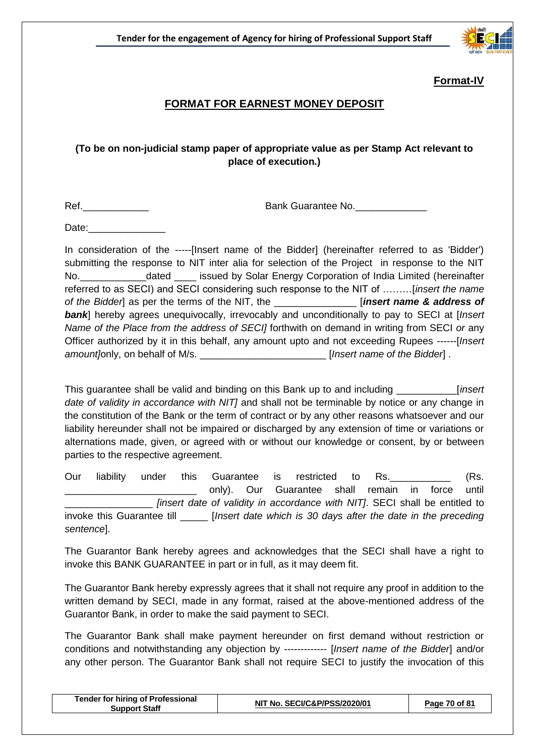

## **Format-IV**

## **FORMAT FOR EARNEST MONEY DEPOSIT**

## **(To be on non-judicial stamp paper of appropriate value as per Stamp Act relevant to place of execution.)**

Ref.\_\_\_\_\_\_\_\_\_\_\_\_ Bank Guarantee No.\_\_\_\_\_\_\_\_\_\_\_\_\_

Date:

In consideration of the -----[Insert name of the Bidder] (hereinafter referred to as 'Bidder') submitting the response to NIT inter alia for selection of the Project in response to the NIT No.\_\_\_\_\_\_\_\_\_\_\_\_dated \_\_\_\_ issued by Solar Energy Corporation of India Limited (hereinafter referred to as SECI) and SECI considering such response to the NIT of ………[*insert the name of the Bidder*] as per the terms of the NIT, the \_\_\_\_\_\_\_\_\_\_\_\_\_\_\_ [*insert name & address of bank*] hereby agrees unequivocally, irrevocably and unconditionally to pay to SECI at [*Insert Name of the Place from the address of SECI]* forthwith on demand in writing from SECI *or* any Officer authorized by it in this behalf, any amount upto and not exceeding Rupees ------[*Insert amount*[only, on behalf of M/s.  $\blacksquare$  **ight** [*Insert name of the Bidder*].

This guarantee shall be valid and binding on this Bank up to and including \_\_\_\_\_\_\_\_\_\_\_[*insert date of validity in accordance with NIT]* and shall not be terminable by notice or any change in the constitution of the Bank or the term of contract or by any other reasons whatsoever and our liability hereunder shall not be impaired or discharged by any extension of time or variations or alternations made, given, or agreed with or without our knowledge or consent, by or between parties to the respective agreement.

Our liability under this Guarantee is restricted to Rs. **Example 18** (Rs. only). Our Guarantee shall remain in force until \_\_\_\_\_\_\_\_\_\_\_\_\_\_\_\_ *[insert date of validity in accordance with NIT]*. SECI shall be entitled to invoke this Guarantee till \_\_\_\_\_ [*Insert date which is 30 days after the date in the preceding sentence*].

The Guarantor Bank hereby agrees and acknowledges that the SECI shall have a right to invoke this BANK GUARANTEE in part or in full, as it may deem fit.

The Guarantor Bank hereby expressly agrees that it shall not require any proof in addition to the written demand by SECI, made in any format, raised at the above-mentioned address of the Guarantor Bank, in order to make the said payment to SECI.

The Guarantor Bank shall make payment hereunder on first demand without restriction or conditions and notwithstanding any objection by ------------- [*Insert name of the Bidder*] and/or any other person. The Guarantor Bank shall not require SECI to justify the invocation of this

| NIT No. SECI/C&P/PSS/2020/01<br>Page 70 of 81<br><b>Support Staff</b> | <b>Tender for hiring of Professional</b> |  |  |
|-----------------------------------------------------------------------|------------------------------------------|--|--|
|-----------------------------------------------------------------------|------------------------------------------|--|--|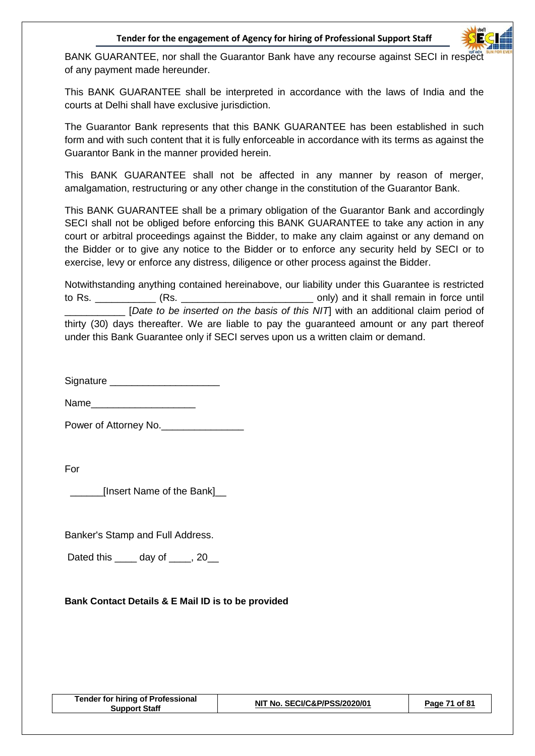

BANK GUARANTEE, nor shall the Guarantor Bank have any recourse against SECI in respect of any payment made hereunder.

This BANK GUARANTEE shall be interpreted in accordance with the laws of India and the courts at Delhi shall have exclusive jurisdiction.

The Guarantor Bank represents that this BANK GUARANTEE has been established in such form and with such content that it is fully enforceable in accordance with its terms as against the Guarantor Bank in the manner provided herein.

This BANK GUARANTEE shall not be affected in any manner by reason of merger, amalgamation, restructuring or any other change in the constitution of the Guarantor Bank.

This BANK GUARANTEE shall be a primary obligation of the Guarantor Bank and accordingly SECI shall not be obliged before enforcing this BANK GUARANTEE to take any action in any court or arbitral proceedings against the Bidder, to make any claim against or any demand on the Bidder or to give any notice to the Bidder or to enforce any security held by SECI or to exercise, levy or enforce any distress, diligence or other process against the Bidder.

Notwithstanding anything contained hereinabove, our liability under this Guarantee is restricted to Rs. \_\_\_\_\_\_\_\_\_\_\_\_ (Rs. \_\_\_\_\_\_\_\_\_\_\_\_\_\_\_\_\_\_\_\_\_\_\_\_\_\_\_\_\_\_\_\_\_\_ only) and it shall remain in force until \_\_\_\_\_\_\_\_\_\_\_ [*Date to be inserted on the basis of this NIT*] with an additional claim period of thirty (30) days thereafter. We are liable to pay the guaranteed amount or any part thereof under this Bank Guarantee only if SECI serves upon us a written claim or demand.

Signature \_\_\_\_\_\_\_\_\_\_\_\_\_\_\_\_\_\_\_\_

 $Name$ 

Power of Attorney No.\_\_\_\_\_\_\_\_\_\_\_\_\_\_\_

For

\_\_\_\_\_\_[Insert Name of the Bank]\_\_

Banker's Stamp and Full Address.

Dated this \_\_\_\_ day of \_\_\_\_, 20\_\_

## **Bank Contact Details & E Mail ID is to be provided**

| <b>Tender for hiring of Professional</b><br><b>Support Staff</b> | NIT No. SECI/C&P/PSS/2020/01 | 71 of 81<br>$P$ age. |
|------------------------------------------------------------------|------------------------------|----------------------|
|------------------------------------------------------------------|------------------------------|----------------------|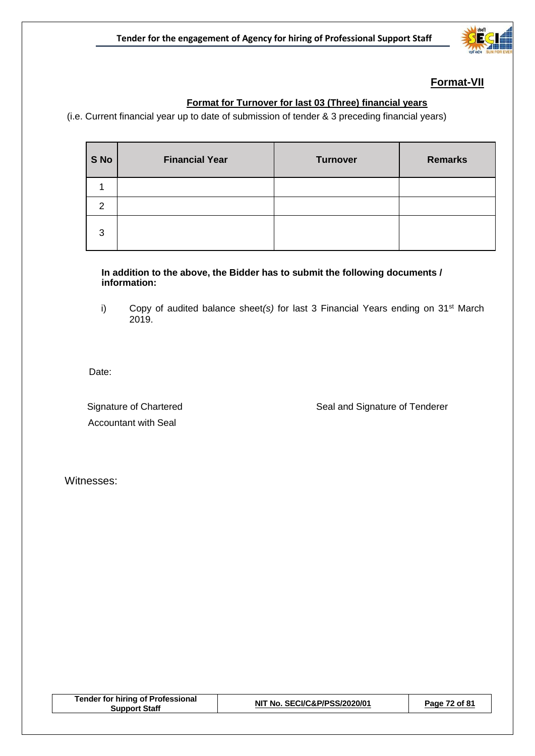

## **Format-VII**

## **Format for Turnover for last 03 (Three) financial years**

(i.e. Current financial year up to date of submission of tender & 3 preceding financial years)

| S No | <b>Financial Year</b> | <b>Turnover</b> | <b>Remarks</b> |
|------|-----------------------|-----------------|----------------|
|      |                       |                 |                |
| 2    |                       |                 |                |
| 3    |                       |                 |                |

**In addition to the above, the Bidder has to submit the following documents / information:**

i) Copy of audited balance sheet(s) for last 3 Financial Years ending on 31<sup>st</sup> March 2019.

Date:

Accountant with Seal

Signature of Chartered Signature of Tenderer

Witnesses:

| <b>Tender for hiring of Professional</b><br><b>Support Staff</b> | NIT No. SECI/C&P/PSS/2020/01 | Page 72 of 81 |
|------------------------------------------------------------------|------------------------------|---------------|
|                                                                  |                              |               |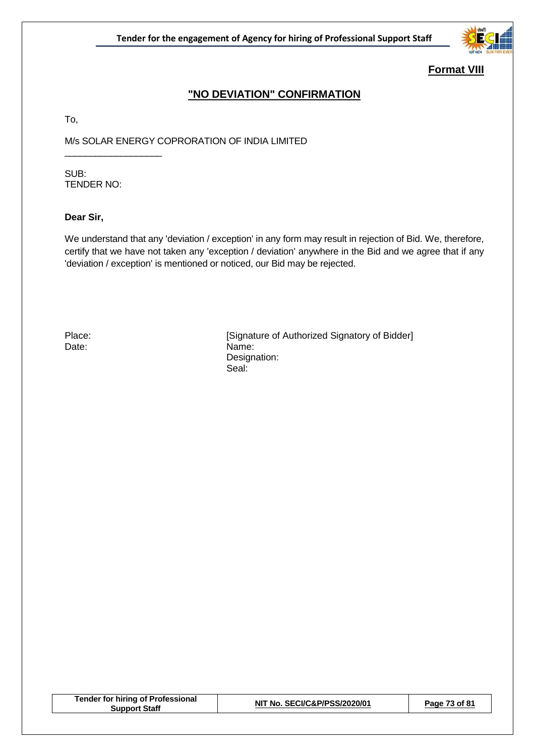

### **Format VIII**

## **"NO DEVIATION" CONFIRMATION**

To,

M/s SOLAR ENERGY COPRORATION OF INDIA LIMITED \_\_\_\_\_\_\_\_\_\_\_\_\_\_\_\_\_\_\_

SUB: TENDER NO:

#### **Dear Sir,**

We understand that any 'deviation / exception' in any form may result in rejection of Bid. We, therefore, certify that we have not taken any 'exception / deviation' anywhere in the Bid and we agree that if any 'deviation / exception' is mentioned or noticed, our Bid may be rejected.

Place: [Signature of Authorized Signatory of Bidder] Date: Name: Designation: Seal:

| <b>Tender for hiring of Professional</b><br>Support Staff | NIT No. SECI/C&P/PSS/2020/01 | Page 73 of 81 |
|-----------------------------------------------------------|------------------------------|---------------|
|                                                           |                              |               |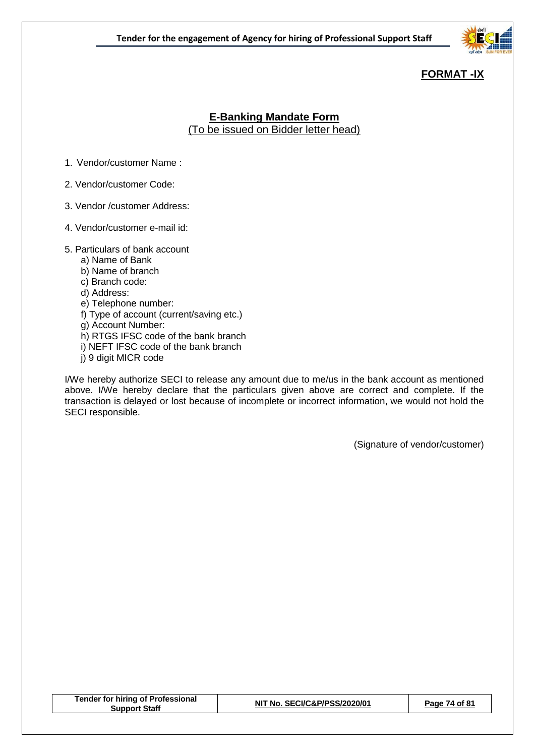

# **FORMAT -IX**

### **E-Banking Mandate Form** (To be issued on Bidder letter head)

- 1. Vendor/customer Name :
- 2. Vendor/customer Code:
- 3. Vendor /customer Address:
- 4. Vendor/customer e-mail id:
- 5. Particulars of bank account
	- a) Name of Bank
	- b) Name of branch
	- c) Branch code:
	- d) Address:
	- e) Telephone number:
	- f) Type of account (current/saving etc.)
	- g) Account Number:
	- h) RTGS IFSC code of the bank branch
	- i) NEFT IFSC code of the bank branch
	- j) 9 digit MICR code

I/We hereby authorize SECI to release any amount due to me/us in the bank account as mentioned above. I/We hereby declare that the particulars given above are correct and complete. If the transaction is delayed or lost because of incomplete or incorrect information, we would not hold the SECI responsible.

(Signature of vendor/customer)

| <b>Tender for hiring of Professional</b><br><b>Support Staff</b> | NIT No. SECI/C&P/PSS/2020/01 | Page 74 of 81 |
|------------------------------------------------------------------|------------------------------|---------------|
|------------------------------------------------------------------|------------------------------|---------------|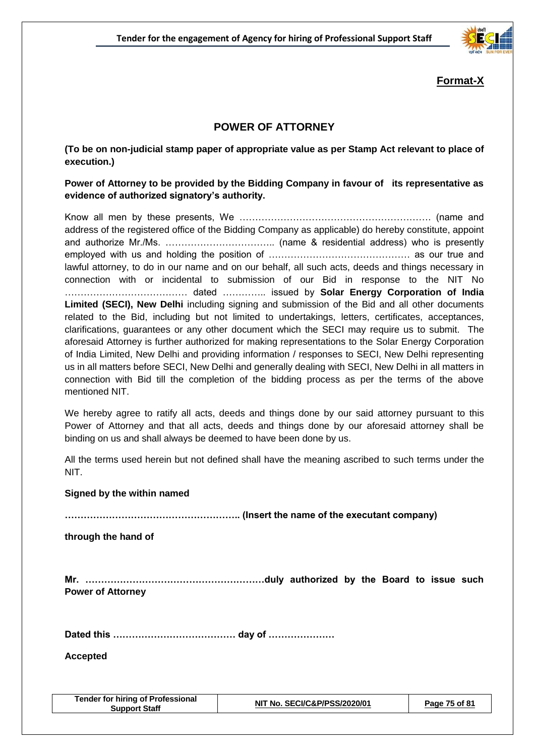

### **Format-X**

### **POWER OF ATTORNEY**

**(To be on non-judicial stamp paper of appropriate value as per Stamp Act relevant to place of execution.)**

#### **Power of Attorney to be provided by the Bidding Company in favour of its representative as evidence of authorized signatory's authority.**

Know all men by these presents, We ……………………………………………………. (name and address of the registered office of the Bidding Company as applicable) do hereby constitute, appoint and authorize Mr./Ms. …………………………….. (name & residential address) who is presently employed with us and holding the position of ……………………………………… as our true and lawful attorney, to do in our name and on our behalf, all such acts, deeds and things necessary in connection with or incidental to submission of our Bid in response to the NIT No ………………………………… dated ………….. issued by **Solar Energy Corporation of India Limited (SECI), New Delhi** including signing and submission of the Bid and all other documents related to the Bid, including but not limited to undertakings, letters, certificates, acceptances, clarifications, guarantees or any other document which the SECI may require us to submit. The aforesaid Attorney is further authorized for making representations to the Solar Energy Corporation of India Limited, New Delhi and providing information / responses to SECI, New Delhi representing us in all matters before SECI, New Delhi and generally dealing with SECI, New Delhi in all matters in connection with Bid till the completion of the bidding process as per the terms of the above mentioned NIT.

We hereby agree to ratify all acts, deeds and things done by our said attorney pursuant to this Power of Attorney and that all acts, deeds and things done by our aforesaid attorney shall be binding on us and shall always be deemed to have been done by us.

All the terms used herein but not defined shall have the meaning ascribed to such terms under the NIT.

#### **Signed by the within named**

**……………………………………………….. (Insert the name of the executant company)**

**through the hand of**

**Mr. …………………………………………………duly authorized by the Board to issue such Power of Attorney**

**Dated this ………………………………… day of …………………**

**Accepted**

| <b>Tender for hiring of Professional</b><br>Support Staff | NIT No. SECI/C&P/PSS/2020/01 | Page 75 of 81 |
|-----------------------------------------------------------|------------------------------|---------------|
|-----------------------------------------------------------|------------------------------|---------------|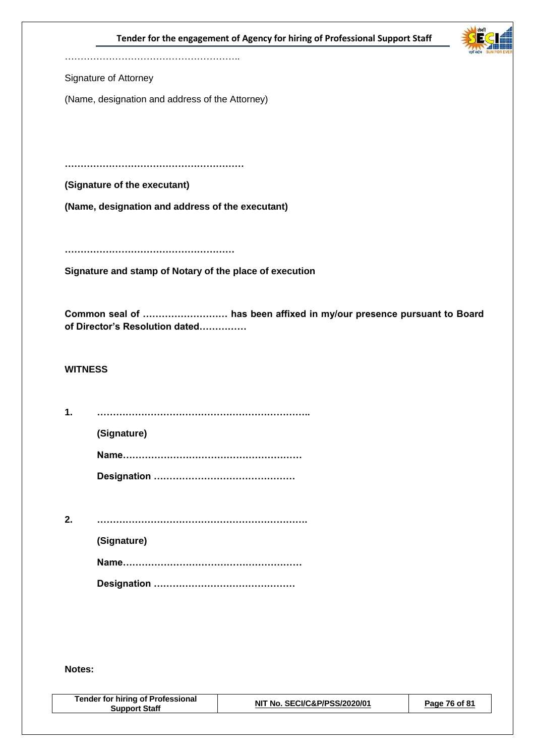#### **Tender for the engagement of Agency for hiring of Professional Support Staff**



………………………………………………………

Signature of Attorney

(Name, designation and address of the Attorney)

**…………………………………………………**

**(Signature of the executant)**

**(Name, designation and address of the executant)**

**………………………………………………**

**Signature and stamp of Notary of the place of execution**

**Common seal of ……………………… has been affixed in my/our presence pursuant to Board of Director's Resolution dated……………**

#### **WITNESS**

**1. …………………………………………………………..**

**(Signature)**

**Name………………………………………………… Designation ………………………………………**

**2. …………………………………………………………. (Signature) Name………………………………………………… Designation ………………………………………**

#### **Notes:**

| <b>Tender for hiring of Professional</b><br>Support Staff | NIT No. SECI/C&P/PSS/2020/01 | Page 76 of 81 |
|-----------------------------------------------------------|------------------------------|---------------|
|                                                           |                              |               |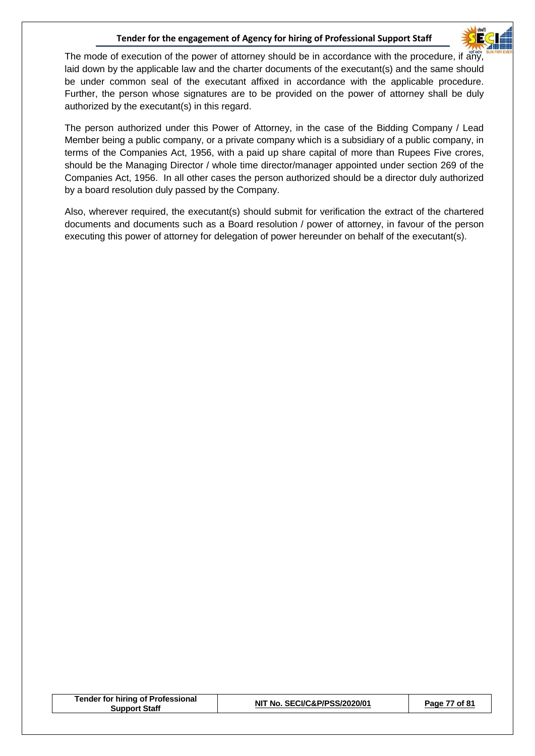#### **Tender for the engagement of Agency for hiring of Professional Support Staff**



The mode of execution of the power of attorney should be in accordance with the procedure, if any, laid down by the applicable law and the charter documents of the executant(s) and the same should be under common seal of the executant affixed in accordance with the applicable procedure. Further, the person whose signatures are to be provided on the power of attorney shall be duly authorized by the executant(s) in this regard.

The person authorized under this Power of Attorney, in the case of the Bidding Company / Lead Member being a public company, or a private company which is a subsidiary of a public company, in terms of the Companies Act, 1956, with a paid up share capital of more than Rupees Five crores, should be the Managing Director / whole time director/manager appointed under section 269 of the Companies Act, 1956. In all other cases the person authorized should be a director duly authorized by a board resolution duly passed by the Company.

Also, wherever required, the executant(s) should submit for verification the extract of the chartered documents and documents such as a Board resolution / power of attorney, in favour of the person executing this power of attorney for delegation of power hereunder on behalf of the executant(s).

| <b>Tender for hiring of Professional</b><br>Support Staff | NIT No. SECI/C&P/PSS/2020/01 | 7 of 81<br>Раае |
|-----------------------------------------------------------|------------------------------|-----------------|
|                                                           |                              |                 |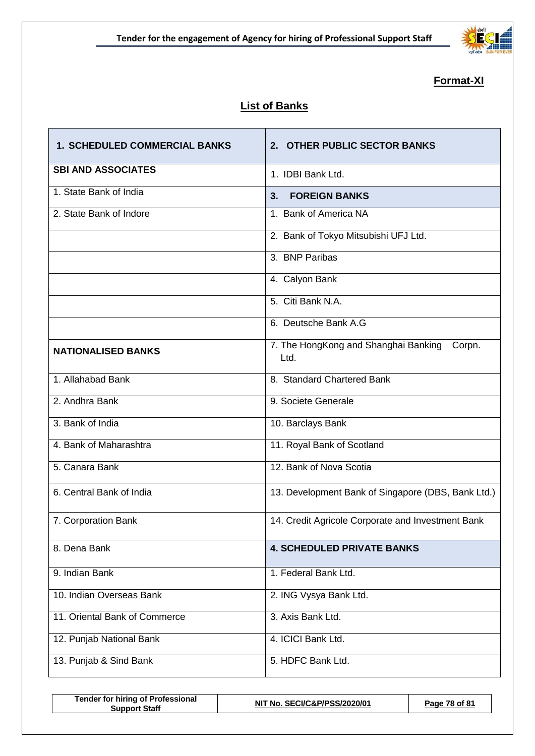

# **Format-XI**

# **List of Banks**

| <b>1. SCHEDULED COMMERCIAL BANKS</b> | 2. OTHER PUBLIC SECTOR BANKS                           |
|--------------------------------------|--------------------------------------------------------|
| <b>SBI AND ASSOCIATES</b>            | 1. IDBI Bank Ltd.                                      |
| 1. State Bank of India               | <b>FOREIGN BANKS</b><br>3.                             |
| 2. State Bank of Indore              | 1. Bank of America NA                                  |
|                                      | 2. Bank of Tokyo Mitsubishi UFJ Ltd.                   |
|                                      | 3. BNP Paribas                                         |
|                                      | 4. Calyon Bank                                         |
|                                      | 5. Citi Bank N.A.                                      |
|                                      | 6. Deutsche Bank A.G                                   |
| <b>NATIONALISED BANKS</b>            | 7. The HongKong and Shanghai Banking<br>Corpn.<br>Ltd. |
| 1. Allahabad Bank                    | 8. Standard Chartered Bank                             |
| 2. Andhra Bank                       | 9. Societe Generale                                    |
| 3. Bank of India                     | 10. Barclays Bank                                      |
| 4. Bank of Maharashtra               | 11. Royal Bank of Scotland                             |
| 5. Canara Bank                       | 12. Bank of Nova Scotia                                |
| 6. Central Bank of India             | 13. Development Bank of Singapore (DBS, Bank Ltd.)     |
| 7. Corporation Bank                  | 14. Credit Agricole Corporate and Investment Bank      |
| 8. Dena Bank                         | <b>4. SCHEDULED PRIVATE BANKS</b>                      |
| 9. Indian Bank                       | 1. Federal Bank Ltd.                                   |
| 10. Indian Overseas Bank             | 2. ING Vysya Bank Ltd.                                 |
| 11. Oriental Bank of Commerce        | 3. Axis Bank Ltd.                                      |
| 12. Punjab National Bank             | 4. ICICI Bank Ltd.                                     |
| 13. Punjab & Sind Bank               | 5. HDFC Bank Ltd.                                      |

| Tender for hiring of Professional<br>Support Staff | NIT No. SECI/C&P/PSS/2020/01 | Page 78 of 81 |  |
|----------------------------------------------------|------------------------------|---------------|--|
|                                                    |                              |               |  |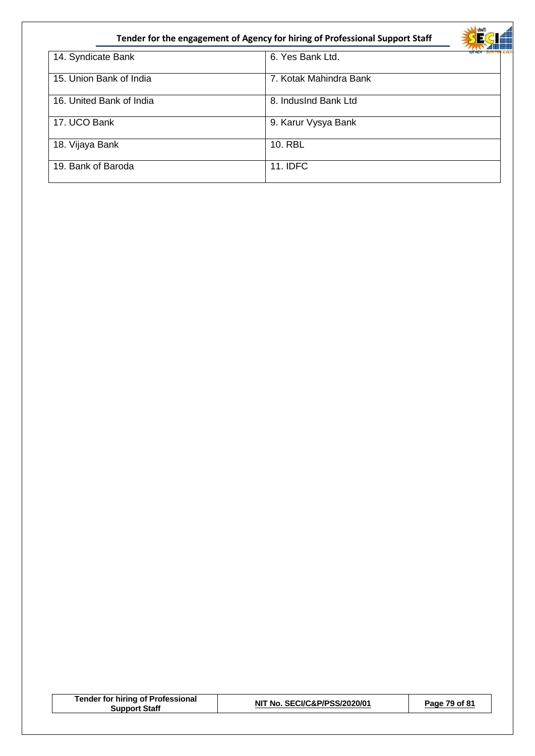| Tender for the engagement of Agency for hiring of Professional Support Staff |                        |  |
|------------------------------------------------------------------------------|------------------------|--|
| 14. Syndicate Bank                                                           | 6. Yes Bank Ltd.       |  |
| 15. Union Bank of India                                                      | 7. Kotak Mahindra Bank |  |
| 16. United Bank of India                                                     | 8. IndusInd Bank Ltd   |  |
| 17. UCO Bank                                                                 | 9. Karur Vysya Bank    |  |
| 18. Vijaya Bank                                                              | 10. RBL                |  |
| 19. Bank of Baroda                                                           | <b>11. IDFC</b>        |  |

| <b>Tender for hiring of Professional</b><br><b>Support Staff</b> | NIT No. SECI/C&P/PSS/2020/01 | Page 79 of 81 |
|------------------------------------------------------------------|------------------------------|---------------|
|                                                                  |                              |               |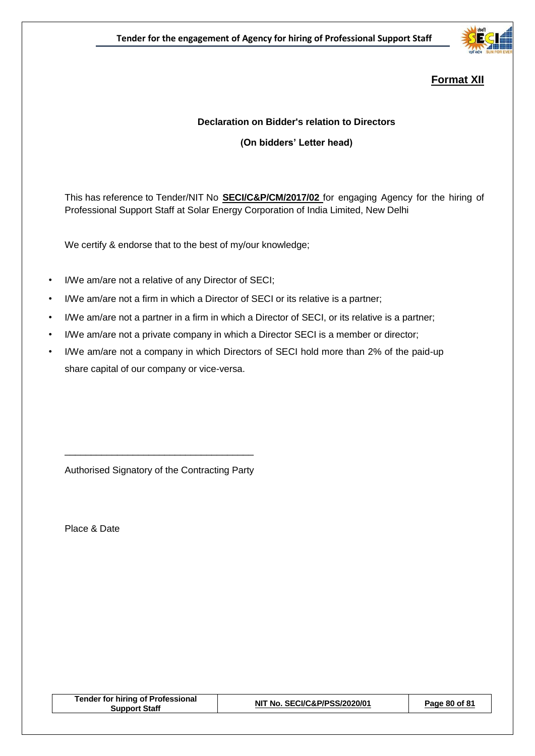

# **Format XII**

#### **Declaration on Bidder's relation to Directors**

**(On bidders' Letter head)**

This has reference to Tender/NIT No **SECI/C&P/CM/2017/02** for engaging Agency for the hiring of Professional Support Staff at Solar Energy Corporation of India Limited, New Delhi

We certify & endorse that to the best of my/our knowledge;

- I/We am/are not a relative of any Director of SECI;
- I/We am/are not a firm in which a Director of SECI or its relative is a partner;
- I/We am/are not a partner in a firm in which a Director of SECI, or its relative is a partner;
- I/We am/are not a private company in which a Director SECI is a member or director;
- I/We am/are not a company in which Directors of SECI hold more than 2% of the paid-up share capital of our company or vice-versa.

Authorised Signatory of the Contracting Party

\_\_\_\_\_\_\_\_\_\_\_\_\_\_\_\_\_\_\_\_\_\_\_\_\_\_\_\_\_\_\_\_\_\_\_\_

Place & Date

| <b>Tender for hiring of Professional</b><br><b>Support Staff</b> | NIT No. SECI/C&P/PSS/2020/01 | Page 80 of 81 |
|------------------------------------------------------------------|------------------------------|---------------|
|                                                                  |                              |               |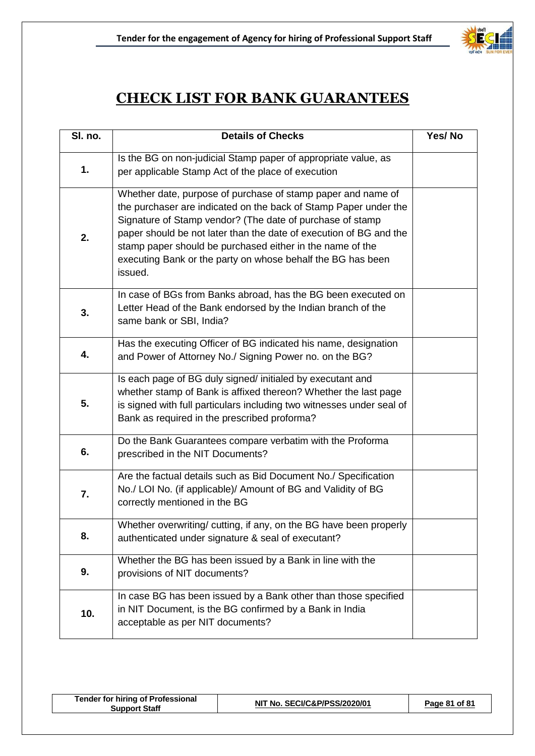

# **CHECK LIST FOR BANK GUARANTEES**

| SI. no. | <b>Details of Checks</b>                                                                                                                                                                                                                                                                                                                                                                                   | Yes/No |
|---------|------------------------------------------------------------------------------------------------------------------------------------------------------------------------------------------------------------------------------------------------------------------------------------------------------------------------------------------------------------------------------------------------------------|--------|
| 1.      | Is the BG on non-judicial Stamp paper of appropriate value, as<br>per applicable Stamp Act of the place of execution                                                                                                                                                                                                                                                                                       |        |
| 2.      | Whether date, purpose of purchase of stamp paper and name of<br>the purchaser are indicated on the back of Stamp Paper under the<br>Signature of Stamp vendor? (The date of purchase of stamp<br>paper should be not later than the date of execution of BG and the<br>stamp paper should be purchased either in the name of the<br>executing Bank or the party on whose behalf the BG has been<br>issued. |        |
| 3.      | In case of BGs from Banks abroad, has the BG been executed on<br>Letter Head of the Bank endorsed by the Indian branch of the<br>same bank or SBI, India?                                                                                                                                                                                                                                                  |        |
| 4.      | Has the executing Officer of BG indicated his name, designation<br>and Power of Attorney No./ Signing Power no. on the BG?                                                                                                                                                                                                                                                                                 |        |
| 5.      | Is each page of BG duly signed/ initialed by executant and<br>whether stamp of Bank is affixed thereon? Whether the last page<br>is signed with full particulars including two witnesses under seal of<br>Bank as required in the prescribed proforma?                                                                                                                                                     |        |
| 6.      | Do the Bank Guarantees compare verbatim with the Proforma<br>prescribed in the NIT Documents?                                                                                                                                                                                                                                                                                                              |        |
| 7.      | Are the factual details such as Bid Document No./ Specification<br>No./ LOI No. (if applicable)/ Amount of BG and Validity of BG<br>correctly mentioned in the BG                                                                                                                                                                                                                                          |        |
| 8.      | Whether overwriting/ cutting, if any, on the BG have been properly<br>authenticated under signature & seal of executant?                                                                                                                                                                                                                                                                                   |        |
| 9.      | Whether the BG has been issued by a Bank in line with the<br>provisions of NIT documents?                                                                                                                                                                                                                                                                                                                  |        |
| 10.     | In case BG has been issued by a Bank other than those specified<br>in NIT Document, is the BG confirmed by a Bank in India<br>acceptable as per NIT documents?                                                                                                                                                                                                                                             |        |